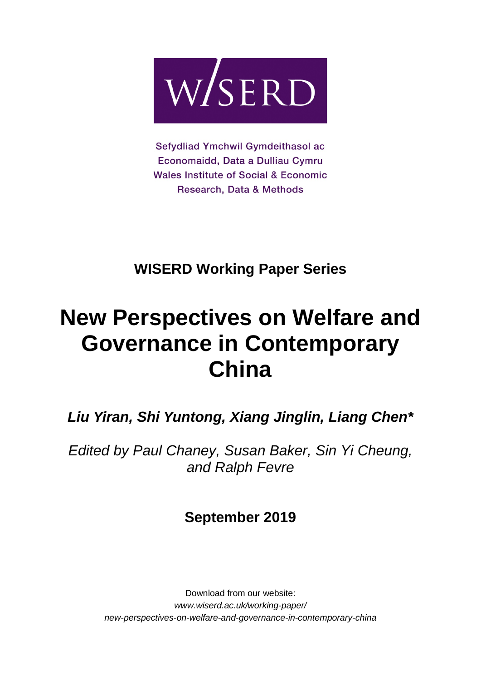

Sefydliad Ymchwil Gymdeithasol ac Economaidd, Data a Dulliau Cymru **Wales Institute of Social & Economic** Research, Data & Methods

**WISERD Working Paper Series**

# **New Perspectives on Welfare and Governance in Contemporary China**

*Liu Yiran, Shi Yuntong, Xiang Jinglin, Liang Chen\**

*Edited by Paul Chaney, Susan Baker, Sin Yi Cheung, and Ralph Fevre*

**September 2019**

Download from our website: *www.wiserd.ac.uk/working-paper/ new-perspectives-on-welfare-and-governance-in-contemporary-china*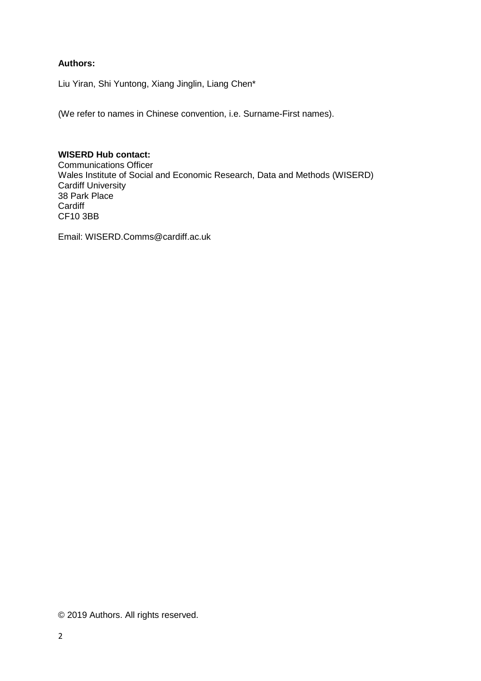# **Authors:**

Liu Yiran, Shi Yuntong, Xiang Jinglin, Liang Chen\*

(We refer to names in Chinese convention, i.e. Surname-First names).

# **WISERD Hub contact:**

Communications Officer Wales Institute of Social and Economic Research, Data and Methods (WISERD) Cardiff University 38 Park Place **Cardiff** CF10 3BB

Email: WISERD.Comms@cardiff.ac.uk

© 2019 Authors. All rights reserved.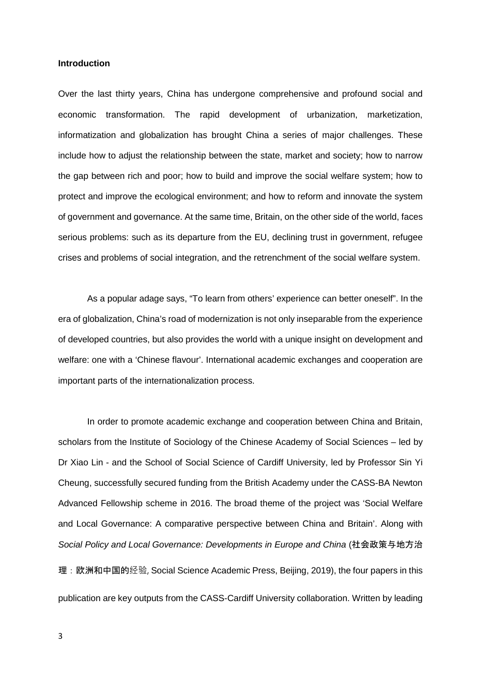#### **Introduction**

Over the last thirty years, China has undergone comprehensive and profound social and economic transformation. The rapid development of urbanization, marketization, informatization and globalization has brought China a series of major challenges. These include how to adjust the relationship between the state, market and society; how to narrow the gap between rich and poor; how to build and improve the social welfare system; how to protect and improve the ecological environment; and how to reform and innovate the system of government and governance. At the same time, Britain, on the other side of the world, faces serious problems: such as its departure from the EU, declining trust in government, refugee crises and problems of social integration, and the retrenchment of the social welfare system.

As a popular adage says, "To learn from others' experience can better oneself". In the era of globalization, China's road of modernization is not only inseparable from the experience of developed countries, but also provides the world with a unique insight on development and welfare: one with a 'Chinese flavour'. International academic exchanges and cooperation are important parts of the internationalization process.

In order to promote academic exchange and cooperation between China and Britain, scholars from the Institute of Sociology of the Chinese Academy of Social Sciences – led by Dr Xiao Lin - and the School of Social Science of Cardiff University, led by Professor Sin Yi Cheung, successfully secured funding from the British Academy under the CASS-BA Newton Advanced Fellowship scheme in 2016. The broad theme of the project was 'Social Welfare and Local Governance: A comparative perspective between China and Britain'. Along with *Social Policy and Local Governance: Developments in Europe and China* (社会政策与地方治

理:欧洲和中国的经验, Social Science Academic Press, Beijing, 2019), the four papers in this publication are key outputs from the CASS-Cardiff University collaboration. Written by leading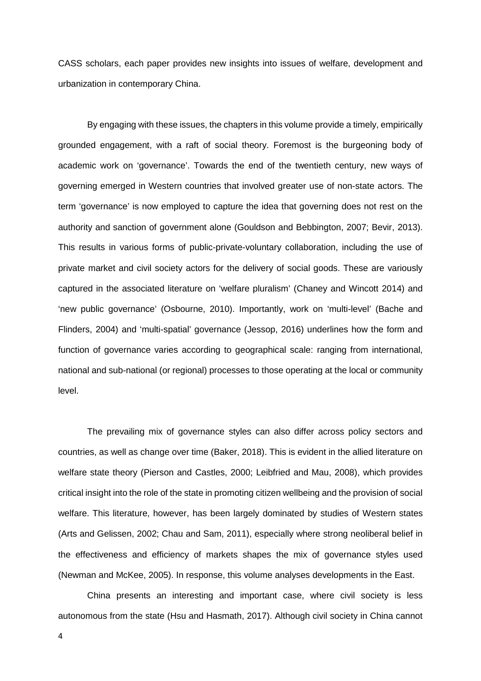CASS scholars, each paper provides new insights into issues of welfare, development and urbanization in contemporary China.

By engaging with these issues, the chapters in this volume provide a timely, empirically grounded engagement, with a raft of social theory. Foremost is the burgeoning body of academic work on 'governance'. Towards the end of the twentieth century, new ways of governing emerged in Western countries that involved greater use of non-state actors. The term 'governance' is now employed to capture the idea that governing does not rest on the authority and sanction of government alone (Gouldson and Bebbington, 2007; Bevir, 2013). This results in various forms of public-private-voluntary collaboration, including the use of private market and civil society actors for the delivery of social goods. These are variously captured in the associated literature on 'welfare pluralism' (Chaney and Wincott 2014) and 'new public governance' (Osbourne, 2010). Importantly, work on 'multi-level' (Bache and Flinders, 2004) and 'multi-spatial' governance (Jessop, 2016) underlines how the form and function of governance varies according to geographical scale: ranging from international, national and sub-national (or regional) processes to those operating at the local or community level.

The prevailing mix of governance styles can also differ across policy sectors and countries, as well as change over time (Baker, 2018). This is evident in the allied literature on welfare state theory (Pierson and Castles, 2000; Leibfried and Mau, 2008), which provides critical insight into the role of the state in promoting citizen wellbeing and the provision of social welfare. This literature, however, has been largely dominated by studies of Western states (Arts and Gelissen, 2002; Chau and Sam, 2011), especially where strong neoliberal belief in the effectiveness and efficiency of markets shapes the mix of governance styles used (Newman and McKee, 2005). In response, this volume analyses developments in the East.

China presents an interesting and important case, where civil society is less autonomous from the state (Hsu and Hasmath, 2017). Although civil society in China cannot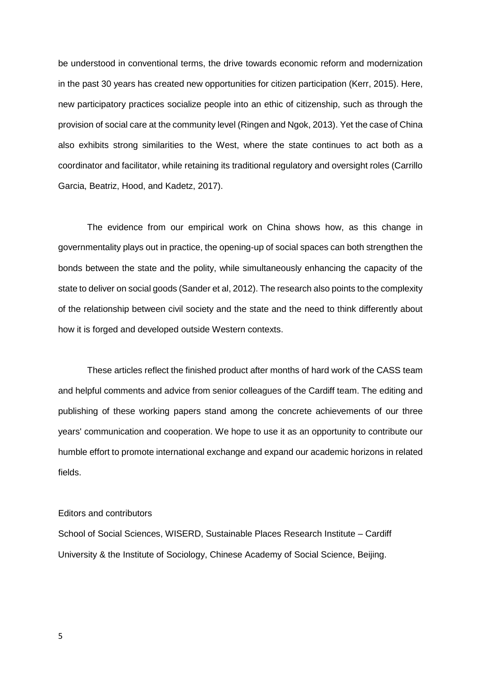be understood in conventional terms, the drive towards economic reform and modernization in the past 30 years has created new opportunities for citizen participation (Kerr, 2015). Here, new participatory practices socialize people into an ethic of citizenship, such as through the provision of social care at the community level (Ringen and Ngok, 2013). Yet the case of China also exhibits strong similarities to the West, where the state continues to act both as a coordinator and facilitator, while retaining its traditional regulatory and oversight roles (Carrillo Garcia, Beatriz, Hood, and Kadetz, 2017).

The evidence from our empirical work on China shows how, as this change in governmentality plays out in practice, the opening-up of social spaces can both strengthen the bonds between the state and the polity, while simultaneously enhancing the capacity of the state to deliver on social goods (Sander et al, 2012). The research also points to the complexity of the relationship between civil society and the state and the need to think differently about how it is forged and developed outside Western contexts.

These articles reflect the finished product after months of hard work of the CASS team and helpful comments and advice from senior colleagues of the Cardiff team. The editing and publishing of these working papers stand among the concrete achievements of our three years' communication and cooperation. We hope to use it as an opportunity to contribute our humble effort to promote international exchange and expand our academic horizons in related fields.

#### Editors and contributors

School of Social Sciences, WISERD, Sustainable Places Research Institute – Cardiff University & the Institute of Sociology, Chinese Academy of Social Science, Beijing.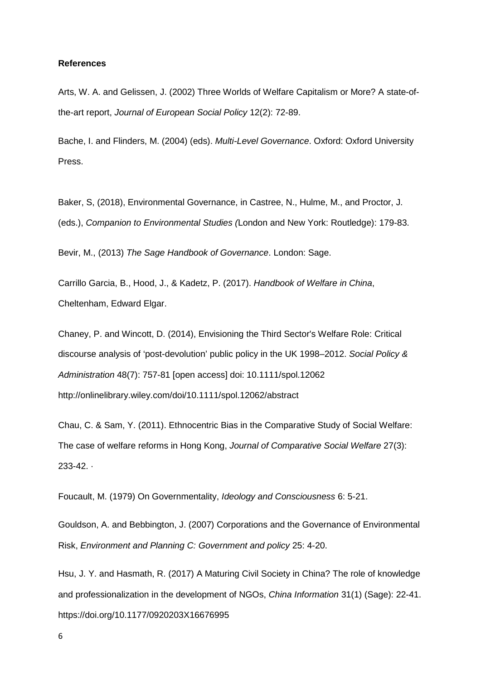#### **References**

Arts, W. A. and Gelissen, J. (2002) Three Worlds of Welfare Capitalism or More? A state-ofthe-art report, *Journal of European Social Policy* 12(2): 72-89.

Bache, I. and Flinders, M. (2004) (eds). *Multi-Level Governance*. Oxford: Oxford University Press.

Baker, S, (2018), Environmental Governance, in Castree, N., Hulme, M., and Proctor, J. (eds.), *Companion to Environmental Studies (*London and New York: Routledge): 179-83.

Bevir, M., (2013) *The Sage Handbook of Governance*. London: Sage.

Carrillo Garcia, B., Hood, J., & Kadetz, P. (2017). *Handbook of Welfare in China*, Cheltenham, Edward Elgar.

Chaney, P. and Wincott, D. (2014), Envisioning the Third Sector's Welfare Role: Critical discourse analysis of 'post-devolution' public policy in the UK 1998–2012. *Social Policy & Administration* 48(7): 757-81 [open access] doi: 10.1111/spol.12062 http://onlinelibrary.wiley.com/doi/10.1111/spol.12062/abstract

Chau, C. & Sam, Y. (2011). Ethnocentric Bias in the Comparative Study of Social Welfare: The case of welfare reforms in Hong Kong, *Journal of Comparative Social Welfare* 27(3): 233-42. ·

Foucault, M. (1979) On Governmentality, *Ideology and Consciousness* 6: 5-21.

Gouldson, A. and Bebbington, J. (2007) Corporations and the Governance of Environmental Risk, *Environment and Planning C: Government and policy* 25: 4-20.

Hsu, J. Y. and Hasmath, R. (2017) A Maturing Civil Society in China? The role of knowledge and professionalization in the development of NGOs, *China Information* 31(1) (Sage): 22-41. https://doi.org/10.1177/0920203X16676995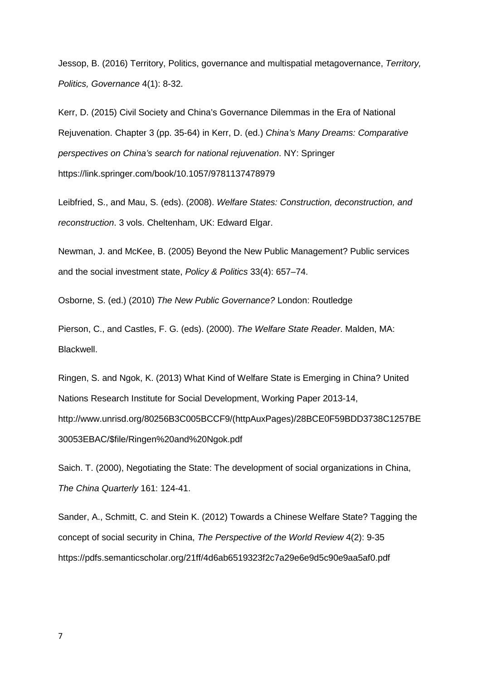Jessop, B. (2016) Territory, Politics, governance and multispatial metagovernance, *Territory, Politics, Governance* 4(1): 8-32.

Kerr, D. (2015) Civil Society and China's Governance Dilemmas in the Era of National Rejuvenation. Chapter 3 (pp. 35-64) in Kerr, D. (ed.) *China's Many Dreams: Comparative perspectives on China's search for national rejuvenation*. NY: Springer https://link.springer.com/book/10.1057/9781137478979

Leibfried, S., and Mau, S. (eds). (2008). *Welfare States: Construction, deconstruction, and reconstruction*. 3 vols. Cheltenham, UK: Edward Elgar.

Newman, J. and McKee, B. (2005) Beyond the New Public Management? Public services and the social investment state, *Policy & Politics* 33(4): 657–74.

Osborne, S. (ed.) (2010) *The New Public Governance?* London: Routledge

Pierson, C., and Castles, F. G. (eds). (2000). *The Welfare State Reader*. Malden, MA: Blackwell.

Ringen, S. and Ngok, K. (2013) What Kind of Welfare State is Emerging in China? United Nations Research Institute for Social Development, Working Paper 2013-14, http://www.unrisd.org/80256B3C005BCCF9/(httpAuxPages)/28BCE0F59BDD3738C1257BE 30053EBAC/\$file/Ringen%20and%20Ngok.pdf

Saich. T. (2000), Negotiating the State: The development of social organizations in China, *The China Quarterly* 161: 124-41.

Sander, A., Schmitt, C. and Stein K. (2012) Towards a Chinese Welfare State? Tagging the concept of social security in China, *The Perspective of the World Review* 4(2): 9-35 https://pdfs.semanticscholar.org/21ff/4d6ab6519323f2c7a29e6e9d5c90e9aa5af0.pdf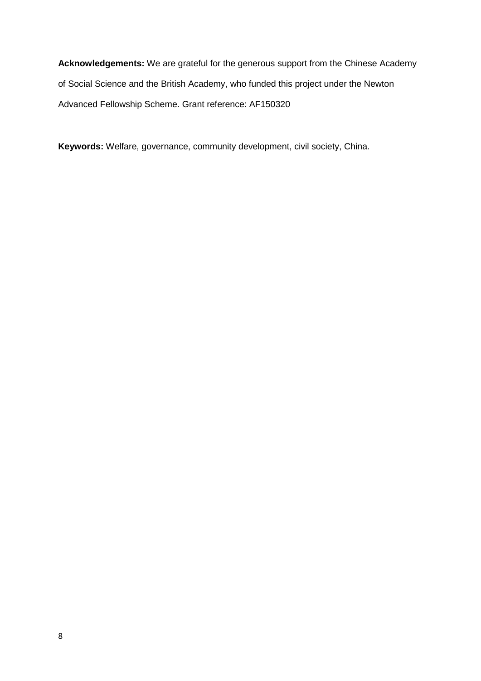**Acknowledgements:** We are grateful for the generous support from the Chinese Academy of Social Science and the British Academy, who funded this project under the Newton Advanced Fellowship Scheme. Grant reference: AF150320

**Keywords:** Welfare, governance, community development, civil society, China.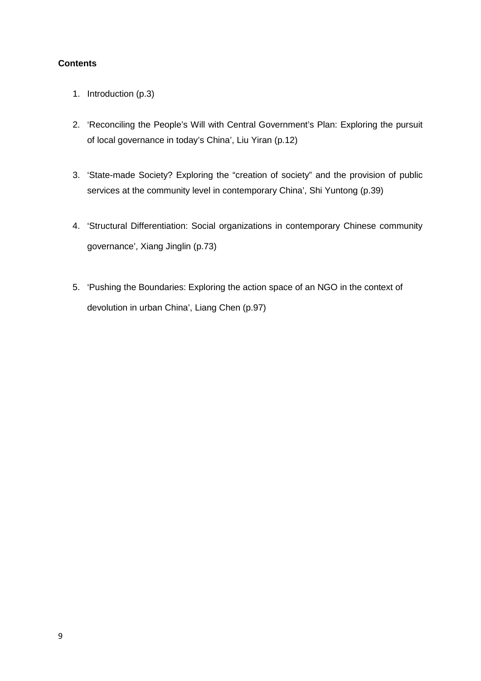# **Contents**

- 1. Introduction (p.3)
- 2. 'Reconciling the People's Will with Central Government's Plan: Exploring the pursuit of local governance in today's China', Liu Yiran (p.12)
- 3. 'State-made Society? Exploring the "creation of society" and the provision of public services at the community level in contemporary China', Shi Yuntong (p.39)
- 4. 'Structural Differentiation: Social organizations in contemporary Chinese community governance', Xiang Jinglin (p.73)
- 5. 'Pushing the Boundaries: Exploring the action space of an NGO in the context of devolution in urban China', Liang Chen (p.97)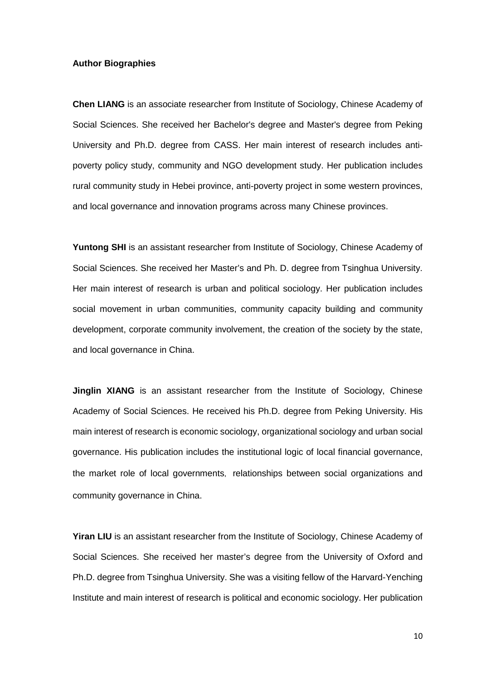### **Author Biographies**

**Chen LIANG** is an associate researcher from Institute of Sociology, Chinese Academy of Social Sciences. She received her Bachelor's degree and Master's degree from Peking University and Ph.D. degree from CASS. Her main interest of research includes antipoverty policy study, community and NGO development study. Her publication includes rural community study in Hebei province, anti-poverty project in some western provinces, and local governance and innovation programs across many Chinese provinces.

**Yuntong SHI** is an assistant researcher from Institute of Sociology, Chinese Academy of Social Sciences. She received her Master's and Ph. D. degree from Tsinghua University. Her main interest of research is urban and political sociology. Her publication includes social movement in urban communities, community capacity building and community development, corporate community involvement, the creation of the society by the state, and local governance in China.

**Jinglin XIANG** is an assistant researcher from the Institute of Sociology, Chinese Academy of Social Sciences. He received his Ph.D. degree from Peking University. His main interest of research is economic sociology, organizational sociology and urban social governance. His publication includes the institutional logic of local financial governance, the market role of local governments, relationships between social organizations and community governance in China.

**Yiran LIU** is an assistant researcher from the Institute of Sociology, Chinese Academy of Social Sciences. She received her master's degree from the University of Oxford and Ph.D. degree from Tsinghua University. She was a visiting fellow of the Harvard-Yenching Institute and main interest of research is political and economic sociology. Her publication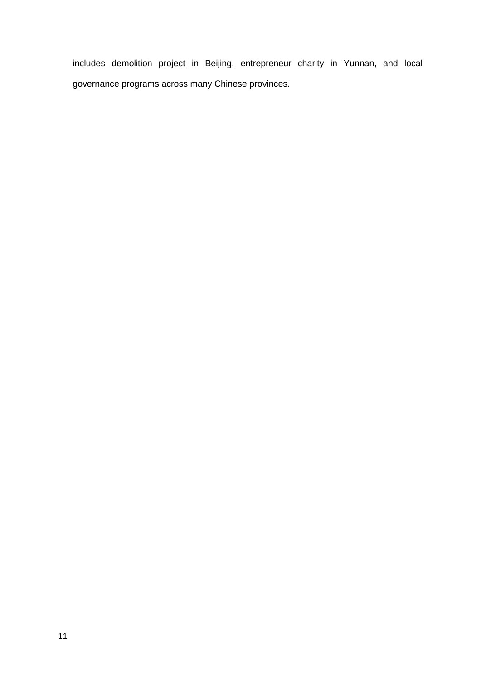includes demolition project in Beijing, entrepreneur charity in Yunnan, and local governance programs across many Chinese provinces.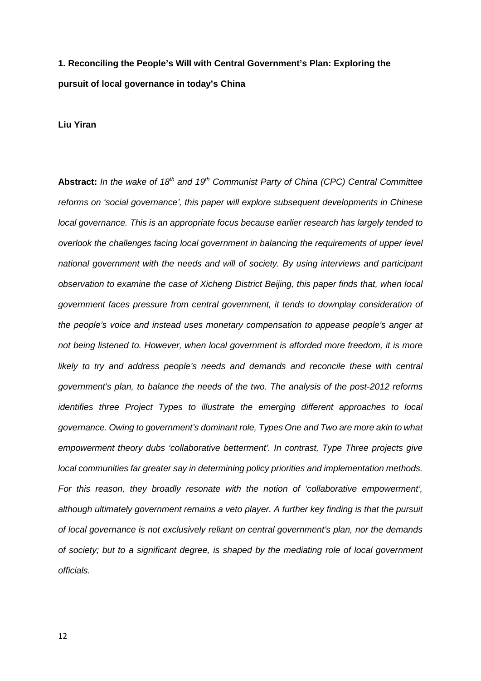# **1. Reconciling the People's Will with Central Government's Plan: Exploring the pursuit of local governance in today's China**

#### **Liu Yiran**

**Abstract:** *In the wake of 18th and 19th Communist Party of China (CPC) Central Committee reforms on 'social governance', this paper will explore subsequent developments in Chinese local governance. This is an appropriate focus because earlier research has largely tended to overlook the challenges facing local government in balancing the requirements of upper level national government with the needs and will of society. By using interviews and participant observation to examine the case of Xicheng District Beijing, this paper finds that, when local government faces pressure from central government, it tends to downplay consideration of the people's voice and instead uses monetary compensation to appease people's anger at not being listened to. However, when local government is afforded more freedom, it is more*  likely to try and address people's needs and demands and reconcile these with central *government's plan, to balance the needs of the two. The analysis of the post-2012 reforms identifies three Project Types to illustrate the emerging different approaches to local governance. Owing to government's dominant role, Types One and Two are more akin to what empowerment theory dubs 'collaborative betterment'. In contrast, Type Three projects give local communities far greater say in determining policy priorities and implementation methods. For this reason, they broadly resonate with the notion of 'collaborative empowerment', although ultimately government remains a veto player. A further key finding is that the pursuit of local governance is not exclusively reliant on central government's plan, nor the demands of society; but to a significant degree, is shaped by the mediating role of local government officials.*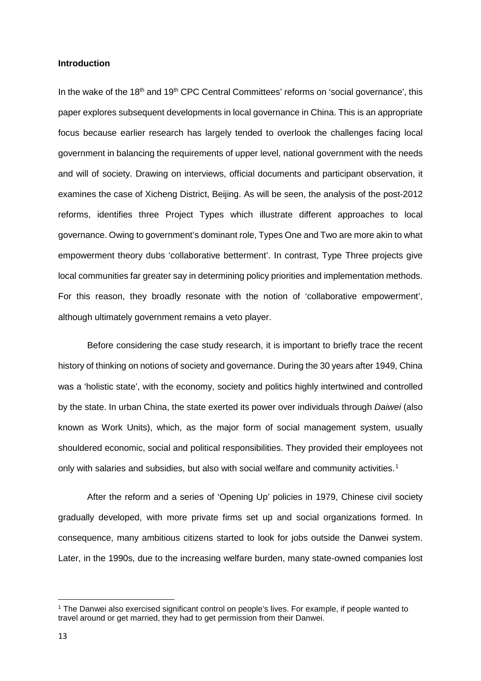#### **Introduction**

In the wake of the 18<sup>th</sup> and 19<sup>th</sup> CPC Central Committees' reforms on 'social governance', this paper explores subsequent developments in local governance in China. This is an appropriate focus because earlier research has largely tended to overlook the challenges facing local government in balancing the requirements of upper level, national government with the needs and will of society. Drawing on interviews, official documents and participant observation, it examines the case of Xicheng District, Beijing. As will be seen, the analysis of the post-2012 reforms, identifies three Project Types which illustrate different approaches to local governance. Owing to government's dominant role, Types One and Two are more akin to what empowerment theory dubs 'collaborative betterment'. In contrast, Type Three projects give local communities far greater say in determining policy priorities and implementation methods. For this reason, they broadly resonate with the notion of 'collaborative empowerment', although ultimately government remains a veto player.

Before considering the case study research, it is important to briefly trace the recent history of thinking on notions of society and governance. During the 30 years after 1949, China was a 'holistic state', with the economy, society and politics highly intertwined and controlled by the state. In urban China, the state exerted its power over individuals through *Daiwei* (also known as Work Units), which, as the major form of social management system, usually shouldered economic, social and political responsibilities. They provided their employees not only with salaries and subsidies, but also with social welfare and community activities.<sup>[1](#page-12-0)</sup>

After the reform and a series of 'Opening Up' policies in 1979, Chinese civil society gradually developed, with more private firms set up and social organizations formed. In consequence, many ambitious citizens started to look for jobs outside the Danwei system. Later, in the 1990s, due to the increasing welfare burden, many state-owned companies lost

 $\overline{a}$ 

<span id="page-12-0"></span><sup>1</sup> The Danwei also exercised significant control on people's lives. For example, if people wanted to travel around or get married, they had to get permission from their Danwei.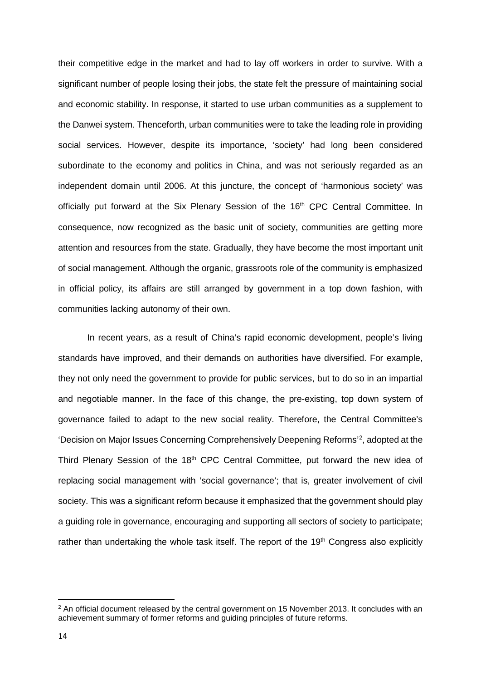their competitive edge in the market and had to lay off workers in order to survive. With a significant number of people losing their jobs, the state felt the pressure of maintaining social and economic stability. In response, it started to use urban communities as a supplement to the Danwei system. Thenceforth, urban communities were to take the leading role in providing social services. However, despite its importance, 'society' had long been considered subordinate to the economy and politics in China, and was not seriously regarded as an independent domain until 2006. At this juncture, the concept of 'harmonious society' was officially put forward at the Six Plenary Session of the 16<sup>th</sup> CPC Central Committee. In consequence, now recognized as the basic unit of society, communities are getting more attention and resources from the state. Gradually, they have become the most important unit of social management. Although the organic, grassroots role of the community is emphasized in official policy, its affairs are still arranged by government in a top down fashion, with communities lacking autonomy of their own.

In recent years, as a result of China's rapid economic development, people's living standards have improved, and their demands on authorities have diversified. For example, they not only need the government to provide for public services, but to do so in an impartial and negotiable manner. In the face of this change, the pre-existing, top down system of governance failed to adapt to the new social reality. Therefore, the Central Committee's 'Decision on Major Issues Concerning Comprehensively Deepening Reforms' [2](#page-13-0) , adopted at the Third Plenary Session of the 18<sup>th</sup> CPC Central Committee, put forward the new idea of replacing social management with 'social governance'; that is, greater involvement of civil society. This was a significant reform because it emphasized that the government should play a guiding role in governance, encouraging and supporting all sectors of society to participate; rather than undertaking the whole task itself. The report of the 19<sup>th</sup> Congress also explicitly

 $\overline{a}$ 

<span id="page-13-0"></span><sup>&</sup>lt;sup>2</sup> An official document released by the central government on 15 November 2013. It concludes with an achievement summary of former reforms and guiding principles of future reforms.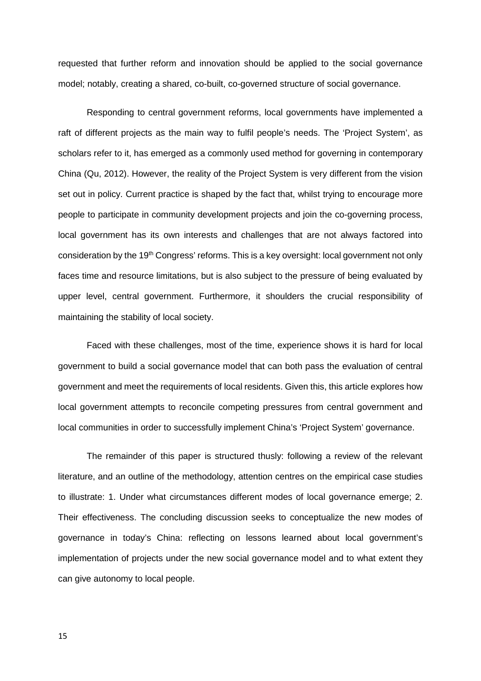requested that further reform and innovation should be applied to the social governance model; notably, creating a shared, co-built, co-governed structure of social governance.

Responding to central government reforms, local governments have implemented a raft of different projects as the main way to fulfil people's needs. The 'Project System', as scholars refer to it, has emerged as a commonly used method for governing in contemporary China (Qu, 2012). However, the reality of the Project System is very different from the vision set out in policy. Current practice is shaped by the fact that, whilst trying to encourage more people to participate in community development projects and join the co-governing process, local government has its own interests and challenges that are not always factored into consideration by the 19<sup>th</sup> Congress' reforms. This is a key oversight: local government not only faces time and resource limitations, but is also subject to the pressure of being evaluated by upper level, central government. Furthermore, it shoulders the crucial responsibility of maintaining the stability of local society.

Faced with these challenges, most of the time, experience shows it is hard for local government to build a social governance model that can both pass the evaluation of central government and meet the requirements of local residents. Given this, this article explores how local government attempts to reconcile competing pressures from central government and local communities in order to successfully implement China's 'Project System' governance.

The remainder of this paper is structured thusly: following a review of the relevant literature, and an outline of the methodology, attention centres on the empirical case studies to illustrate: 1. Under what circumstances different modes of local governance emerge; 2. Their effectiveness. The concluding discussion seeks to conceptualize the new modes of governance in today's China: reflecting on lessons learned about local government's implementation of projects under the new social governance model and to what extent they can give autonomy to local people.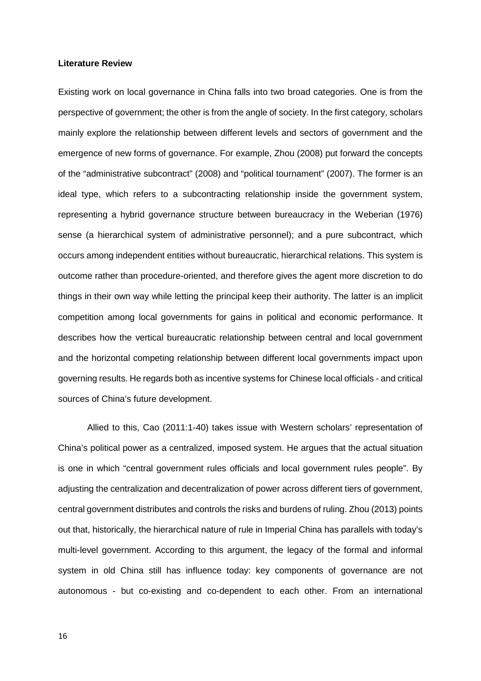#### **Literature Review**

Existing work on local governance in China falls into two broad categories. One is from the perspective of government; the other is from the angle of society. In the first category, scholars mainly explore the relationship between different levels and sectors of government and the emergence of new forms of governance. For example, Zhou (2008) put forward the concepts of the "administrative subcontract" (2008) and "political tournament" (2007). The former is an ideal type, which refers to a subcontracting relationship inside the government system, representing a hybrid governance structure between bureaucracy in the Weberian (1976) sense (a hierarchical system of administrative personnel); and a pure subcontract, which occurs among independent entities without bureaucratic, hierarchical relations. This system is outcome rather than procedure-oriented, and therefore gives the agent more discretion to do things in their own way while letting the principal keep their authority. The latter is an implicit competition among local governments for gains in political and economic performance. It describes how the vertical bureaucratic relationship between central and local government and the horizontal competing relationship between different local governments impact upon governing results. He regards both as incentive systems for Chinese local officials - and critical sources of China's future development.

Allied to this, Cao (2011:1-40) takes issue with Western scholars' representation of China's political power as a centralized, imposed system. He argues that the actual situation is one in which "central government rules officials and local government rules people". By adjusting the centralization and decentralization of power across different tiers of government, central government distributes and controls the risks and burdens of ruling. Zhou (2013) points out that, historically, the hierarchical nature of rule in Imperial China has parallels with today's multi-level government. According to this argument, the legacy of the formal and informal system in old China still has influence today: key components of governance are not autonomous - but co-existing and co-dependent to each other. From an international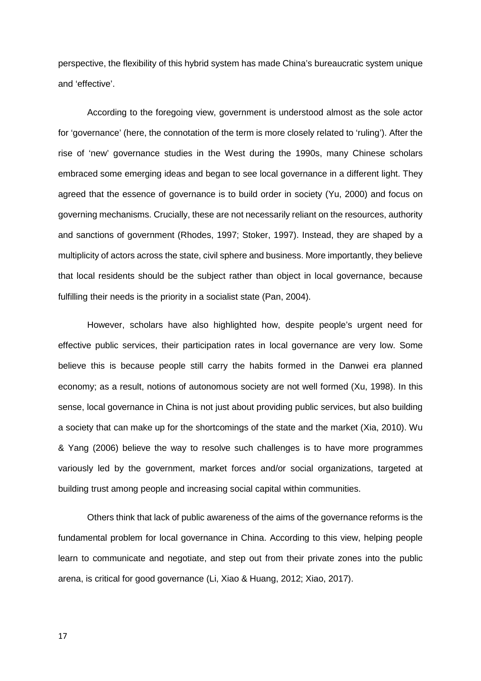perspective, the flexibility of this hybrid system has made China's bureaucratic system unique and 'effective'.

According to the foregoing view, government is understood almost as the sole actor for 'governance' (here, the connotation of the term is more closely related to 'ruling'). After the rise of 'new' governance studies in the West during the 1990s, many Chinese scholars embraced some emerging ideas and began to see local governance in a different light. They agreed that the essence of governance is to build order in society (Yu, 2000) and focus on governing mechanisms. Crucially, these are not necessarily reliant on the resources, authority and sanctions of government (Rhodes, 1997; Stoker, 1997). Instead, they are shaped by a multiplicity of actors across the state, civil sphere and business. More importantly, they believe that local residents should be the subject rather than object in local governance, because fulfilling their needs is the priority in a socialist state (Pan, 2004).

However, scholars have also highlighted how, despite people's urgent need for effective public services, their participation rates in local governance are very low. Some believe this is because people still carry the habits formed in the Danwei era planned economy; as a result, notions of autonomous society are not well formed (Xu, 1998). In this sense, local governance in China is not just about providing public services, but also building a society that can make up for the shortcomings of the state and the market (Xia, 2010). Wu & Yang (2006) believe the way to resolve such challenges is to have more programmes variously led by the government, market forces and/or social organizations, targeted at building trust among people and increasing social capital within communities.

Others think that lack of public awareness of the aims of the governance reforms is the fundamental problem for local governance in China. According to this view, helping people learn to communicate and negotiate, and step out from their private zones into the public arena, is critical for good governance (Li, Xiao & Huang, 2012; Xiao, 2017).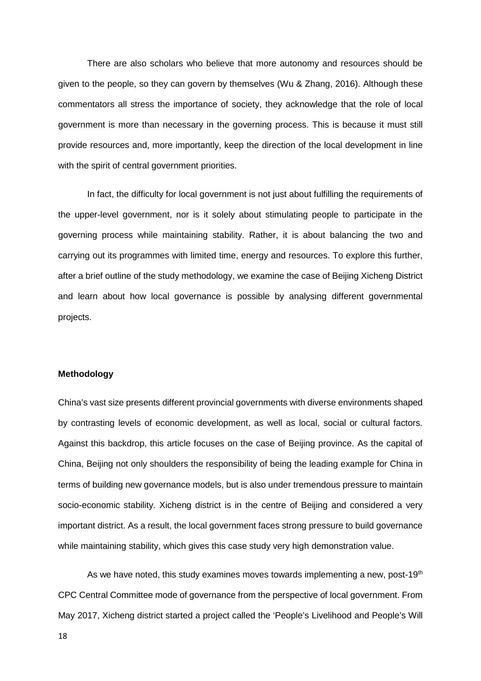There are also scholars who believe that more autonomy and resources should be given to the people, so they can govern by themselves (Wu & Zhang, 2016). Although these commentators all stress the importance of society, they acknowledge that the role of local government is more than necessary in the governing process. This is because it must still provide resources and, more importantly, keep the direction of the local development in line with the spirit of central government priorities.

In fact, the difficulty for local government is not just about fulfilling the requirements of the upper-level government, nor is it solely about stimulating people to participate in the governing process while maintaining stability. Rather, it is about balancing the two and carrying out its programmes with limited time, energy and resources. To explore this further, after a brief outline of the study methodology, we examine the case of Beijing Xicheng District and learn about how local governance is possible by analysing different governmental projects.

#### **Methodology**

China's vast size presents different provincial governments with diverse environments shaped by contrasting levels of economic development, as well as local, social or cultural factors. Against this backdrop, this article focuses on the case of Beijing province. As the capital of China, Beijing not only shoulders the responsibility of being the leading example for China in terms of building new governance models, but is also under tremendous pressure to maintain socio-economic stability. Xicheng district is in the centre of Beijing and considered a very important district. As a result, the local government faces strong pressure to build governance while maintaining stability, which gives this case study very high demonstration value.

As we have noted, this study examines moves towards implementing a new, post-19<sup>th</sup> CPC Central Committee mode of governance from the perspective of local government. From May 2017, Xicheng district started a project called the 'People's Livelihood and People's Will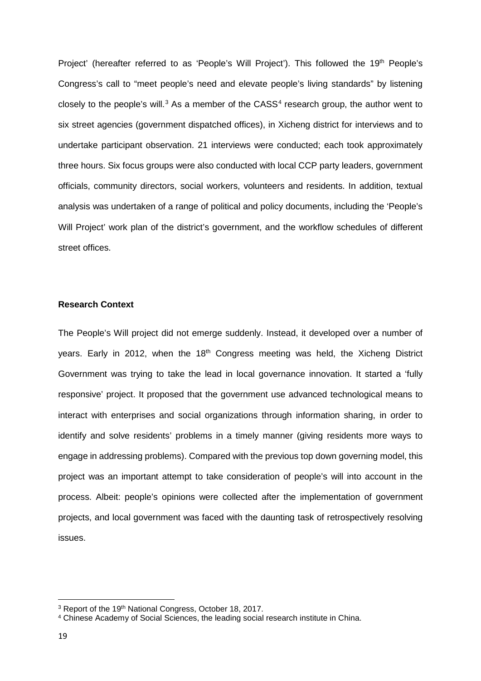Project' (hereafter referred to as 'People's Will Project'). This followed the 19<sup>th</sup> People's Congress's call to "meet people's need and elevate people's living standards" by listening closely to the people's will.<sup>[3](#page-18-0)</sup> As a member of the CASS<sup>[4](#page-18-1)</sup> research group, the author went to six street agencies (government dispatched offices), in Xicheng district for interviews and to undertake participant observation. 21 interviews were conducted; each took approximately three hours. Six focus groups were also conducted with local CCP party leaders, government officials, community directors, social workers, volunteers and residents. In addition, textual analysis was undertaken of a range of political and policy documents, including the 'People's Will Project' work plan of the district's government, and the workflow schedules of different street offices.

## **Research Context**

The People's Will project did not emerge suddenly. Instead, it developed over a number of years. Early in 2012, when the 18<sup>th</sup> Congress meeting was held, the Xicheng District Government was trying to take the lead in local governance innovation. It started a 'fully responsive' project. It proposed that the government use advanced technological means to interact with enterprises and social organizations through information sharing, in order to identify and solve residents' problems in a timely manner (giving residents more ways to engage in addressing problems). Compared with the previous top down governing model, this project was an important attempt to take consideration of people's will into account in the process. Albeit: people's opinions were collected after the implementation of government projects, and local government was faced with the daunting task of retrospectively resolving issues.

 $\overline{a}$ 

<span id="page-18-0"></span><sup>&</sup>lt;sup>3</sup> Report of the 19<sup>th</sup> National Congress, October 18, 2017.

<span id="page-18-1"></span><sup>4</sup> Chinese Academy of Social Sciences, the leading social research institute in China.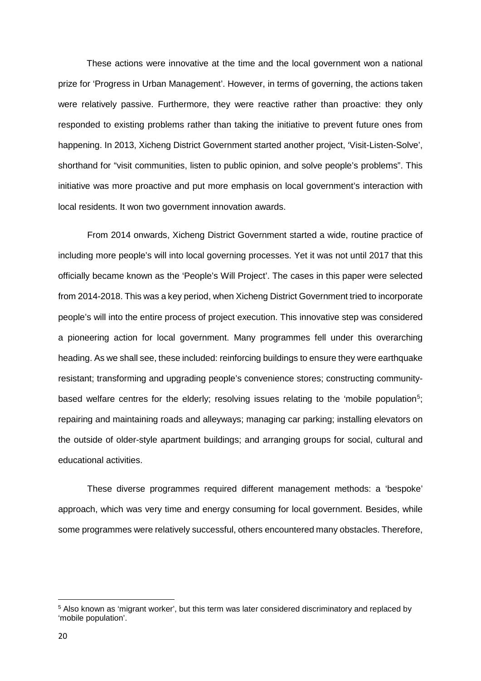These actions were innovative at the time and the local government won a national prize for 'Progress in Urban Management'. However, in terms of governing, the actions taken were relatively passive. Furthermore, they were reactive rather than proactive: they only responded to existing problems rather than taking the initiative to prevent future ones from happening. In 2013, Xicheng District Government started another project, 'Visit-Listen-Solve', shorthand for "visit communities, listen to public opinion, and solve people's problems". This initiative was more proactive and put more emphasis on local government's interaction with local residents. It won two government innovation awards.

From 2014 onwards, Xicheng District Government started a wide, routine practice of including more people's will into local governing processes. Yet it was not until 2017 that this officially became known as the 'People's Will Project'. The cases in this paper were selected from 2014-2018. This was a key period, when Xicheng District Government tried to incorporate people's will into the entire process of project execution. This innovative step was considered a pioneering action for local government. Many programmes fell under this overarching heading. As we shall see, these included: reinforcing buildings to ensure they were earthquake resistant; transforming and upgrading people's convenience stores; constructing community-based welfare centres for the elderly; resolving issues relating to the 'mobile population<sup>[5](#page-19-0)</sup>; repairing and maintaining roads and alleyways; managing car parking; installing elevators on the outside of older-style apartment buildings; and arranging groups for social, cultural and educational activities.

These diverse programmes required different management methods: a 'bespoke' approach, which was very time and energy consuming for local government. Besides, while some programmes were relatively successful, others encountered many obstacles. Therefore,

 $\overline{a}$ 

<span id="page-19-0"></span><sup>5</sup> Also known as 'migrant worker', but this term was later considered discriminatory and replaced by 'mobile population'.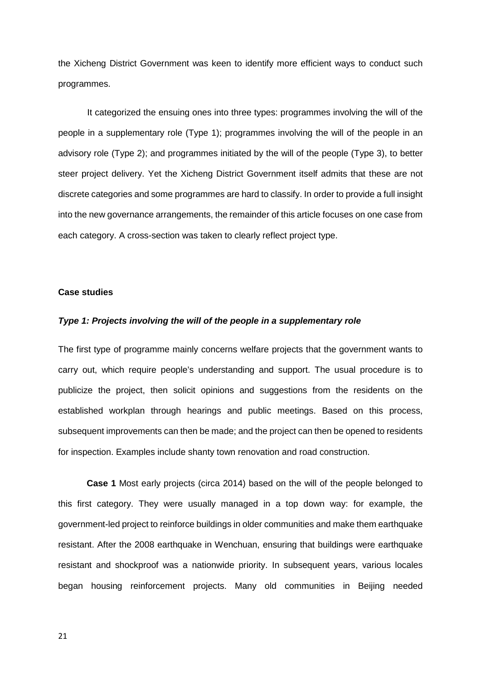the Xicheng District Government was keen to identify more efficient ways to conduct such programmes.

It categorized the ensuing ones into three types: programmes involving the will of the people in a supplementary role (Type 1); programmes involving the will of the people in an advisory role (Type 2); and programmes initiated by the will of the people (Type 3), to better steer project delivery. Yet the Xicheng District Government itself admits that these are not discrete categories and some programmes are hard to classify. In order to provide a full insight into the new governance arrangements, the remainder of this article focuses on one case from each category. A cross-section was taken to clearly reflect project type.

#### **Case studies**

#### *Type 1: Projects involving the will of the people in a supplementary role*

The first type of programme mainly concerns welfare projects that the government wants to carry out, which require people's understanding and support. The usual procedure is to publicize the project, then solicit opinions and suggestions from the residents on the established workplan through hearings and public meetings. Based on this process, subsequent improvements can then be made; and the project can then be opened to residents for inspection. Examples include shanty town renovation and road construction.

**Case 1** Most early projects (circa 2014) based on the will of the people belonged to this first category. They were usually managed in a top down way: for example, the government-led project to reinforce buildings in older communities and make them earthquake resistant. After the 2008 earthquake in Wenchuan, ensuring that buildings were earthquake resistant and shockproof was a nationwide priority. In subsequent years, various locales began housing reinforcement projects. Many old communities in Beijing needed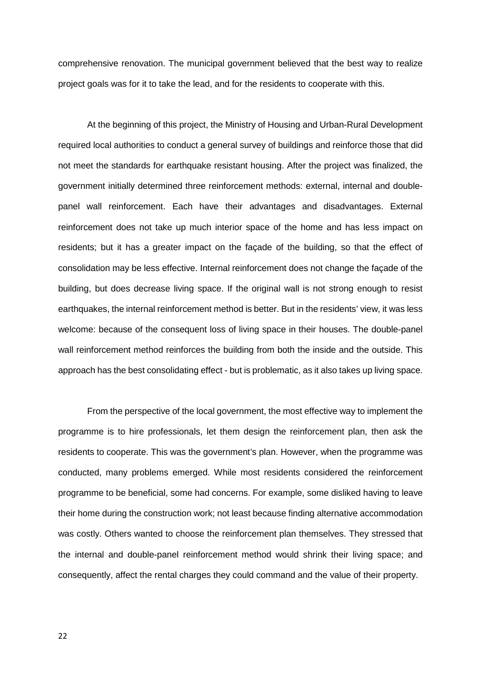comprehensive renovation. The municipal government believed that the best way to realize project goals was for it to take the lead, and for the residents to cooperate with this.

At the beginning of this project, the Ministry of Housing and Urban-Rural Development required local authorities to conduct a general survey of buildings and reinforce those that did not meet the standards for earthquake resistant housing. After the project was finalized, the government initially determined three reinforcement methods: external, internal and doublepanel wall reinforcement. Each have their advantages and disadvantages. External reinforcement does not take up much interior space of the home and has less impact on residents; but it has a greater impact on the façade of the building, so that the effect of consolidation may be less effective. Internal reinforcement does not change the façade of the building, but does decrease living space. If the original wall is not strong enough to resist earthquakes, the internal reinforcement method is better. But in the residents' view, it was less welcome: because of the consequent loss of living space in their houses. The double-panel wall reinforcement method reinforces the building from both the inside and the outside. This approach has the best consolidating effect - but is problematic, as it also takes up living space.

From the perspective of the local government, the most effective way to implement the programme is to hire professionals, let them design the reinforcement plan, then ask the residents to cooperate. This was the government's plan. However, when the programme was conducted, many problems emerged. While most residents considered the reinforcement programme to be beneficial, some had concerns. For example, some disliked having to leave their home during the construction work; not least because finding alternative accommodation was costly. Others wanted to choose the reinforcement plan themselves. They stressed that the internal and double-panel reinforcement method would shrink their living space; and consequently, affect the rental charges they could command and the value of their property.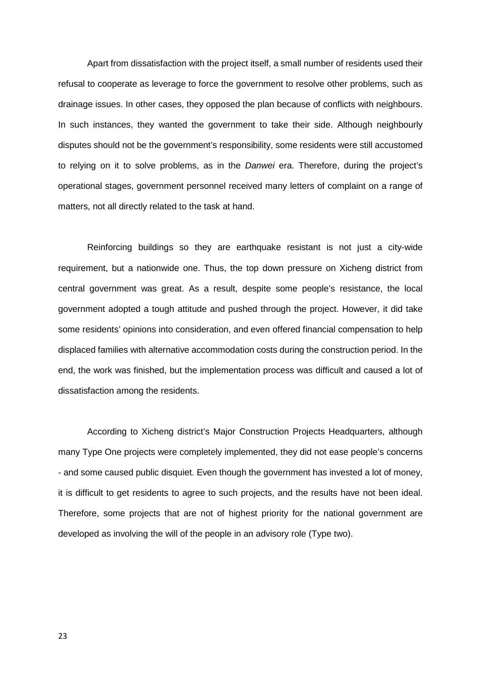Apart from dissatisfaction with the project itself, a small number of residents used their refusal to cooperate as leverage to force the government to resolve other problems, such as drainage issues. In other cases, they opposed the plan because of conflicts with neighbours. In such instances, they wanted the government to take their side. Although neighbourly disputes should not be the government's responsibility, some residents were still accustomed to relying on it to solve problems, as in the *Danwei* era. Therefore, during the project's operational stages, government personnel received many letters of complaint on a range of matters, not all directly related to the task at hand.

Reinforcing buildings so they are earthquake resistant is not just a city-wide requirement, but a nationwide one. Thus, the top down pressure on Xicheng district from central government was great. As a result, despite some people's resistance, the local government adopted a tough attitude and pushed through the project. However, it did take some residents' opinions into consideration, and even offered financial compensation to help displaced families with alternative accommodation costs during the construction period. In the end, the work was finished, but the implementation process was difficult and caused a lot of dissatisfaction among the residents.

According to Xicheng district's Major Construction Projects Headquarters, although many Type One projects were completely implemented, they did not ease people's concerns - and some caused public disquiet. Even though the government has invested a lot of money, it is difficult to get residents to agree to such projects, and the results have not been ideal. Therefore, some projects that are not of highest priority for the national government are developed as involving the will of the people in an advisory role (Type two).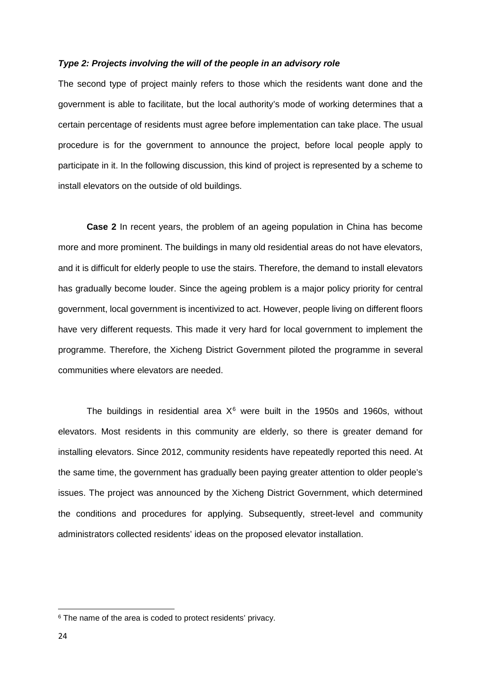#### *Type 2: Projects involving the will of the people in an advisory role*

The second type of project mainly refers to those which the residents want done and the government is able to facilitate, but the local authority's mode of working determines that a certain percentage of residents must agree before implementation can take place. The usual procedure is for the government to announce the project, before local people apply to participate in it. In the following discussion, this kind of project is represented by a scheme to install elevators on the outside of old buildings.

**Case 2** In recent years, the problem of an ageing population in China has become more and more prominent. The buildings in many old residential areas do not have elevators, and it is difficult for elderly people to use the stairs. Therefore, the demand to install elevators has gradually become louder. Since the ageing problem is a major policy priority for central government, local government is incentivized to act. However, people living on different floors have very different requests. This made it very hard for local government to implement the programme. Therefore, the Xicheng District Government piloted the programme in several communities where elevators are needed.

The buildings in residential area  $X^6$  $X^6$  were built in the 1950s and 1960s, without elevators. Most residents in this community are elderly, so there is greater demand for installing elevators. Since 2012, community residents have repeatedly reported this need. At the same time, the government has gradually been paying greater attention to older people's issues. The project was announced by the Xicheng District Government, which determined the conditions and procedures for applying. Subsequently, street-level and community administrators collected residents' ideas on the proposed elevator installation.

<span id="page-23-0"></span><sup>&</sup>lt;sup>6</sup> The name of the area is coded to protect residents' privacy.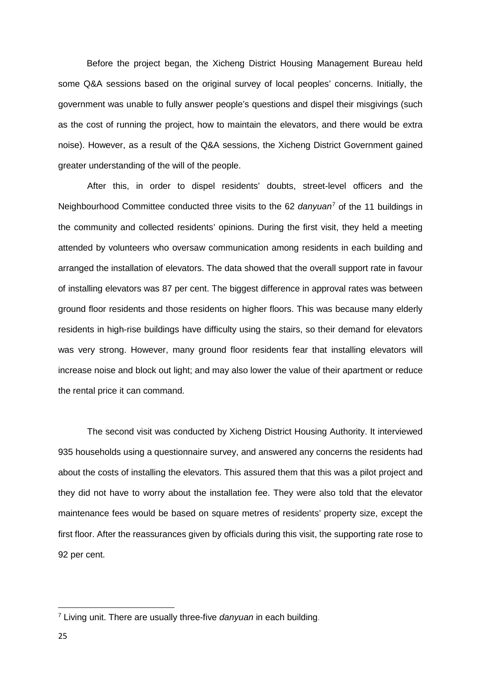Before the project began, the Xicheng District Housing Management Bureau held some Q&A sessions based on the original survey of local peoples' concerns. Initially, the government was unable to fully answer people's questions and dispel their misgivings (such as the cost of running the project, how to maintain the elevators, and there would be extra noise). However, as a result of the Q&A sessions, the Xicheng District Government gained greater understanding of the will of the people.

After this, in order to dispel residents' doubts, street-level officers and the Neighbourhood Committee conducted three visits to the 62 *danyuan*[7](#page-24-0) of the 11 buildings in the community and collected residents' opinions. During the first visit, they held a meeting attended by volunteers who oversaw communication among residents in each building and arranged the installation of elevators. The data showed that the overall support rate in favour of installing elevators was 87 per cent. The biggest difference in approval rates was between ground floor residents and those residents on higher floors. This was because many elderly residents in high-rise buildings have difficulty using the stairs, so their demand for elevators was very strong. However, many ground floor residents fear that installing elevators will increase noise and block out light; and may also lower the value of their apartment or reduce the rental price it can command.

The second visit was conducted by Xicheng District Housing Authority. It interviewed 935 households using a questionnaire survey, and answered any concerns the residents had about the costs of installing the elevators. This assured them that this was a pilot project and they did not have to worry about the installation fee. They were also told that the elevator maintenance fees would be based on square metres of residents' property size, except the first floor. After the reassurances given by officials during this visit, the supporting rate rose to 92 per cent.

 $\overline{a}$ 

<span id="page-24-0"></span><sup>7</sup> Living unit. There are usually three-five *danyuan* in each building.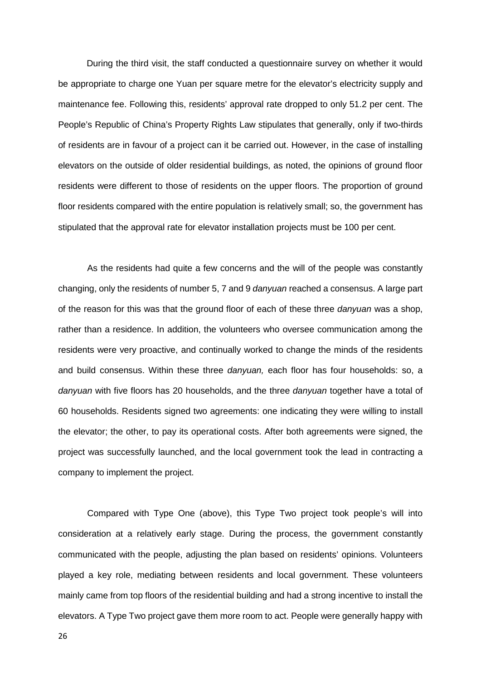During the third visit, the staff conducted a questionnaire survey on whether it would be appropriate to charge one Yuan per square metre for the elevator's electricity supply and maintenance fee. Following this, residents' approval rate dropped to only 51.2 per cent. The People's Republic of China's Property Rights Law stipulates that generally, only if two-thirds of residents are in favour of a project can it be carried out. However, in the case of installing elevators on the outside of older residential buildings, as noted, the opinions of ground floor residents were different to those of residents on the upper floors. The proportion of ground floor residents compared with the entire population is relatively small; so, the government has stipulated that the approval rate for elevator installation projects must be 100 per cent.

As the residents had quite a few concerns and the will of the people was constantly changing, only the residents of number 5, 7 and 9 *danyuan* reached a consensus. A large part of the reason for this was that the ground floor of each of these three *danyuan* was a shop, rather than a residence. In addition, the volunteers who oversee communication among the residents were very proactive, and continually worked to change the minds of the residents and build consensus. Within these three *danyuan,* each floor has four households: so, a *danyuan* with five floors has 20 households, and the three *danyuan* together have a total of 60 households. Residents signed two agreements: one indicating they were willing to install the elevator; the other, to pay its operational costs. After both agreements were signed, the project was successfully launched, and the local government took the lead in contracting a company to implement the project.

Compared with Type One (above), this Type Two project took people's will into consideration at a relatively early stage. During the process, the government constantly communicated with the people, adjusting the plan based on residents' opinions. Volunteers played a key role, mediating between residents and local government. These volunteers mainly came from top floors of the residential building and had a strong incentive to install the elevators. A Type Two project gave them more room to act. People were generally happy with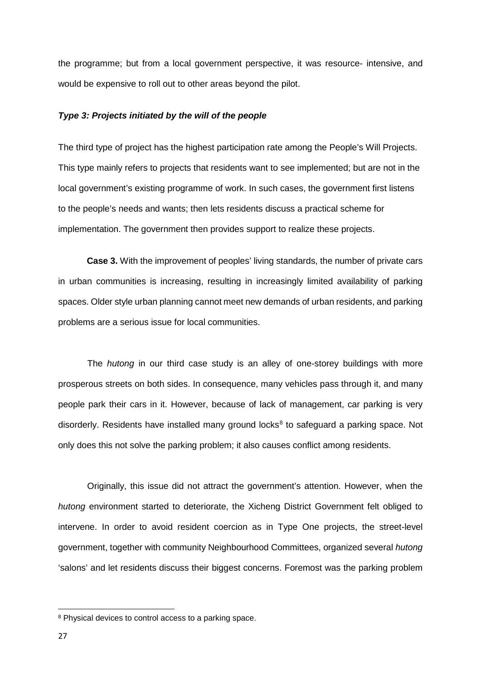the programme; but from a local government perspective, it was resource- intensive, and would be expensive to roll out to other areas beyond the pilot.

#### *Type 3: Projects initiated by the will of the people*

The third type of project has the highest participation rate among the People's Will Projects. This type mainly refers to projects that residents want to see implemented; but are not in the local government's existing programme of work. In such cases, the government first listens to the people's needs and wants; then lets residents discuss a practical scheme for implementation. The government then provides support to realize these projects.

**Case 3.** With the improvement of peoples' living standards, the number of private cars in urban communities is increasing, resulting in increasingly limited availability of parking spaces. Older style urban planning cannot meet new demands of urban residents, and parking problems are a serious issue for local communities.

The *hutong* in our third case study is an alley of one-storey buildings with more prosperous streets on both sides. In consequence, many vehicles pass through it, and many people park their cars in it. However, because of lack of management, car parking is very disorderly. Residents have installed many ground locks $8$  to safeguard a parking space. Not only does this not solve the parking problem; it also causes conflict among residents.

Originally, this issue did not attract the government's attention. However, when the *hutong* environment started to deteriorate, the Xicheng District Government felt obliged to intervene. In order to avoid resident coercion as in Type One projects, the street-level government, together with community Neighbourhood Committees, organized several *hutong* 'salons' and let residents discuss their biggest concerns. Foremost was the parking problem

<span id="page-26-0"></span><sup>&</sup>lt;sup>8</sup> Physical devices to control access to a parking space.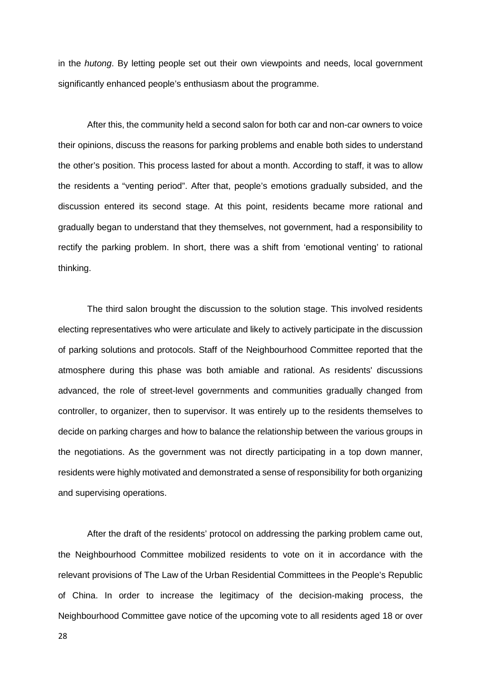in the *hutong*. By letting people set out their own viewpoints and needs, local government significantly enhanced people's enthusiasm about the programme.

After this, the community held a second salon for both car and non-car owners to voice their opinions, discuss the reasons for parking problems and enable both sides to understand the other's position. This process lasted for about a month. According to staff, it was to allow the residents a "venting period". After that, people's emotions gradually subsided, and the discussion entered its second stage. At this point, residents became more rational and gradually began to understand that they themselves, not government, had a responsibility to rectify the parking problem. In short, there was a shift from 'emotional venting' to rational thinking.

The third salon brought the discussion to the solution stage. This involved residents electing representatives who were articulate and likely to actively participate in the discussion of parking solutions and protocols. Staff of the Neighbourhood Committee reported that the atmosphere during this phase was both amiable and rational. As residents' discussions advanced, the role of street-level governments and communities gradually changed from controller, to organizer, then to supervisor. It was entirely up to the residents themselves to decide on parking charges and how to balance the relationship between the various groups in the negotiations. As the government was not directly participating in a top down manner, residents were highly motivated and demonstrated a sense of responsibility for both organizing and supervising operations.

After the draft of the residents' protocol on addressing the parking problem came out, the Neighbourhood Committee mobilized residents to vote on it in accordance with the relevant provisions of The Law of the Urban Residential Committees in the People's Republic of China. In order to increase the legitimacy of the decision-making process, the Neighbourhood Committee gave notice of the upcoming vote to all residents aged 18 or over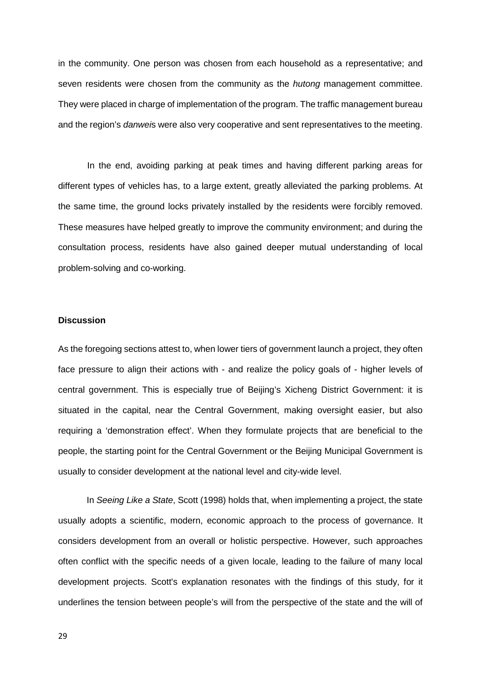in the community. One person was chosen from each household as a representative; and seven residents were chosen from the community as the *hutong* management committee. They were placed in charge of implementation of the program. The traffic management bureau and the region's *danwei*s were also very cooperative and sent representatives to the meeting.

In the end, avoiding parking at peak times and having different parking areas for different types of vehicles has, to a large extent, greatly alleviated the parking problems. At the same time, the ground locks privately installed by the residents were forcibly removed. These measures have helped greatly to improve the community environment; and during the consultation process, residents have also gained deeper mutual understanding of local problem-solving and co-working.

#### **Discussion**

As the foregoing sections attest to, when lower tiers of government launch a project, they often face pressure to align their actions with - and realize the policy goals of - higher levels of central government. This is especially true of Beijing's Xicheng District Government: it is situated in the capital, near the Central Government, making oversight easier, but also requiring a 'demonstration effect'. When they formulate projects that are beneficial to the people, the starting point for the Central Government or the Beijing Municipal Government is usually to consider development at the national level and city-wide level.

In *Seeing Like a State*, Scott (1998) holds that, when implementing a project, the state usually adopts a scientific, modern, economic approach to the process of governance. It considers development from an overall or holistic perspective. However, such approaches often conflict with the specific needs of a given locale, leading to the failure of many local development projects. Scott's explanation resonates with the findings of this study, for it underlines the tension between people's will from the perspective of the state and the will of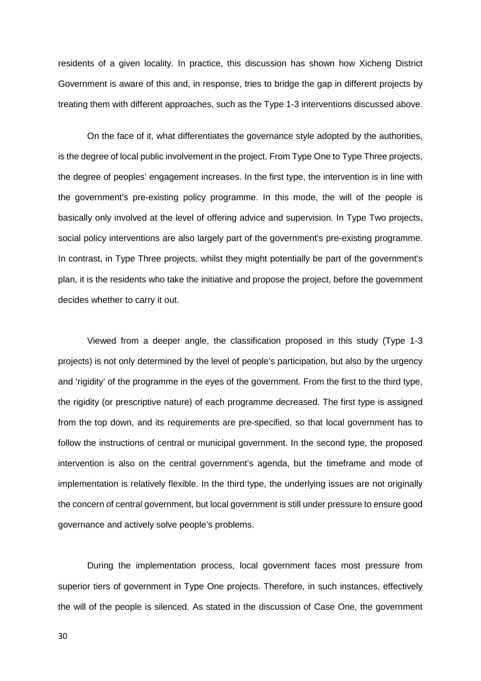residents of a given locality. In practice, this discussion has shown how Xicheng District Government is aware of this and, in response, tries to bridge the gap in different projects by treating them with different approaches, such as the Type 1-3 interventions discussed above.

On the face of it, what differentiates the governance style adopted by the authorities, is the degree of local public involvement in the project. From Type One to Type Three projects, the degree of peoples' engagement increases. In the first type, the intervention is in line with the government's pre-existing policy programme. In this mode, the will of the people is basically only involved at the level of offering advice and supervision. In Type Two projects, social policy interventions are also largely part of the government's pre-existing programme. In contrast, in Type Three projects, whilst they might potentially be part of the government's plan, it is the residents who take the initiative and propose the project, before the government decides whether to carry it out.

Viewed from a deeper angle, the classification proposed in this study (Type 1-3 projects) is not only determined by the level of people's participation, but also by the urgency and 'rigidity' of the programme in the eyes of the government. From the first to the third type, the rigidity (or prescriptive nature) of each programme decreased. The first type is assigned from the top down, and its requirements are pre-specified, so that local government has to follow the instructions of central or municipal government. In the second type, the proposed intervention is also on the central government's agenda, but the timeframe and mode of implementation is relatively flexible. In the third type, the underlying issues are not originally the concern of central government, but local government is still under pressure to ensure good governance and actively solve people's problems.

During the implementation process, local government faces most pressure from superior tiers of government in Type One projects. Therefore, in such instances, effectively the will of the people is silenced. As stated in the discussion of Case One, the government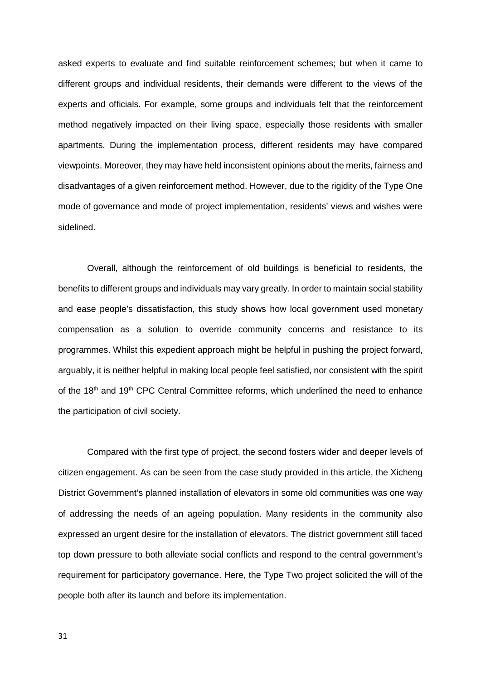asked experts to evaluate and find suitable reinforcement schemes; but when it came to different groups and individual residents, their demands were different to the views of the experts and officials. For example, some groups and individuals felt that the reinforcement method negatively impacted on their living space, especially those residents with smaller apartments. During the implementation process, different residents may have compared viewpoints. Moreover, they may have held inconsistent opinions about the merits, fairness and disadvantages of a given reinforcement method. However, due to the rigidity of the Type One mode of governance and mode of project implementation, residents' views and wishes were sidelined.

Overall, although the reinforcement of old buildings is beneficial to residents, the benefits to different groups and individuals may vary greatly. In order to maintain social stability and ease people's dissatisfaction, this study shows how local government used monetary compensation as a solution to override community concerns and resistance to its programmes. Whilst this expedient approach might be helpful in pushing the project forward, arguably, it is neither helpful in making local people feel satisfied, nor consistent with the spirit of the 18<sup>th</sup> and 19<sup>th</sup> CPC Central Committee reforms, which underlined the need to enhance the participation of civil society.

Compared with the first type of project, the second fosters wider and deeper levels of citizen engagement. As can be seen from the case study provided in this article, the Xicheng District Government's planned installation of elevators in some old communities was one way of addressing the needs of an ageing population. Many residents in the community also expressed an urgent desire for the installation of elevators. The district government still faced top down pressure to both alleviate social conflicts and respond to the central government's requirement for participatory governance. Here, the Type Two project solicited the will of the people both after its launch and before its implementation.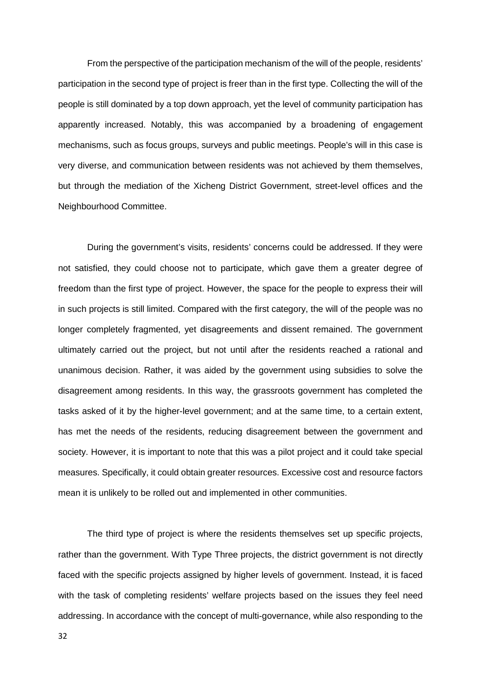From the perspective of the participation mechanism of the will of the people, residents' participation in the second type of project is freer than in the first type. Collecting the will of the people is still dominated by a top down approach, yet the level of community participation has apparently increased. Notably, this was accompanied by a broadening of engagement mechanisms, such as focus groups, surveys and public meetings. People's will in this case is very diverse, and communication between residents was not achieved by them themselves, but through the mediation of the Xicheng District Government, street-level offices and the Neighbourhood Committee.

During the government's visits, residents' concerns could be addressed. If they were not satisfied, they could choose not to participate, which gave them a greater degree of freedom than the first type of project. However, the space for the people to express their will in such projects is still limited. Compared with the first category, the will of the people was no longer completely fragmented, yet disagreements and dissent remained. The government ultimately carried out the project, but not until after the residents reached a rational and unanimous decision. Rather, it was aided by the government using subsidies to solve the disagreement among residents. In this way, the grassroots government has completed the tasks asked of it by the higher-level government; and at the same time, to a certain extent, has met the needs of the residents, reducing disagreement between the government and society. However, it is important to note that this was a pilot project and it could take special measures. Specifically, it could obtain greater resources. Excessive cost and resource factors mean it is unlikely to be rolled out and implemented in other communities.

The third type of project is where the residents themselves set up specific projects, rather than the government. With Type Three projects, the district government is not directly faced with the specific projects assigned by higher levels of government. Instead, it is faced with the task of completing residents' welfare projects based on the issues they feel need addressing. In accordance with the concept of multi-governance, while also responding to the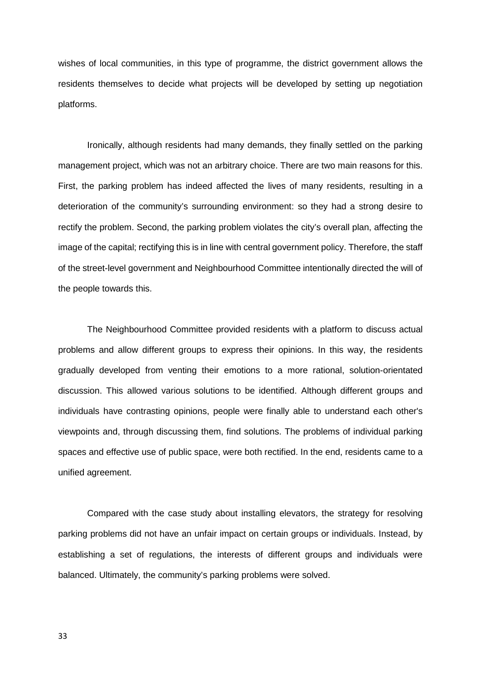wishes of local communities, in this type of programme, the district government allows the residents themselves to decide what projects will be developed by setting up negotiation platforms.

Ironically, although residents had many demands, they finally settled on the parking management project, which was not an arbitrary choice. There are two main reasons for this. First, the parking problem has indeed affected the lives of many residents, resulting in a deterioration of the community's surrounding environment: so they had a strong desire to rectify the problem. Second, the parking problem violates the city's overall plan, affecting the image of the capital; rectifying this is in line with central government policy. Therefore, the staff of the street-level government and Neighbourhood Committee intentionally directed the will of the people towards this.

The Neighbourhood Committee provided residents with a platform to discuss actual problems and allow different groups to express their opinions. In this way, the residents gradually developed from venting their emotions to a more rational, solution-orientated discussion. This allowed various solutions to be identified. Although different groups and individuals have contrasting opinions, people were finally able to understand each other's viewpoints and, through discussing them, find solutions. The problems of individual parking spaces and effective use of public space, were both rectified. In the end, residents came to a unified agreement.

Compared with the case study about installing elevators, the strategy for resolving parking problems did not have an unfair impact on certain groups or individuals. Instead, by establishing a set of regulations, the interests of different groups and individuals were balanced. Ultimately, the community's parking problems were solved.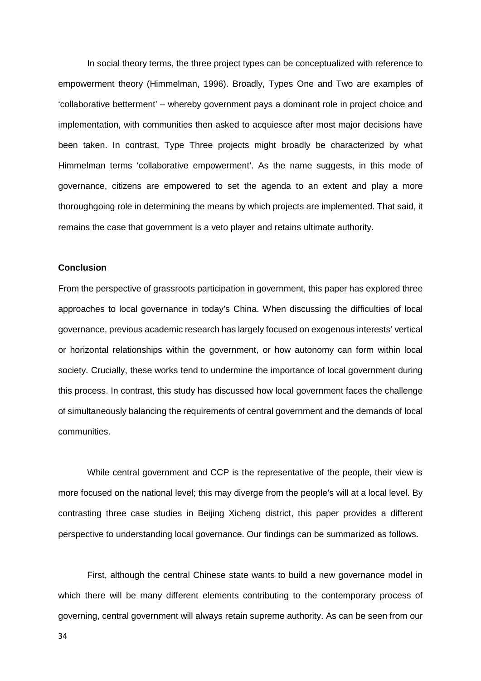In social theory terms, the three project types can be conceptualized with reference to empowerment theory (Himmelman, 1996). Broadly, Types One and Two are examples of 'collaborative betterment' – whereby government pays a dominant role in project choice and implementation, with communities then asked to acquiesce after most major decisions have been taken. In contrast, Type Three projects might broadly be characterized by what Himmelman terms 'collaborative empowerment'. As the name suggests, in this mode of governance, citizens are empowered to set the agenda to an extent and play a more thoroughgoing role in determining the means by which projects are implemented. That said, it remains the case that government is a veto player and retains ultimate authority.

#### **Conclusion**

From the perspective of grassroots participation in government, this paper has explored three approaches to local governance in today's China. When discussing the difficulties of local governance, previous academic research has largely focused on exogenous interests' vertical or horizontal relationships within the government, or how autonomy can form within local society. Crucially, these works tend to undermine the importance of local government during this process. In contrast, this study has discussed how local government faces the challenge of simultaneously balancing the requirements of central government and the demands of local communities.

While central government and CCP is the representative of the people, their view is more focused on the national level; this may diverge from the people's will at a local level. By contrasting three case studies in Beijing Xicheng district, this paper provides a different perspective to understanding local governance. Our findings can be summarized as follows.

First, although the central Chinese state wants to build a new governance model in which there will be many different elements contributing to the contemporary process of governing, central government will always retain supreme authority. As can be seen from our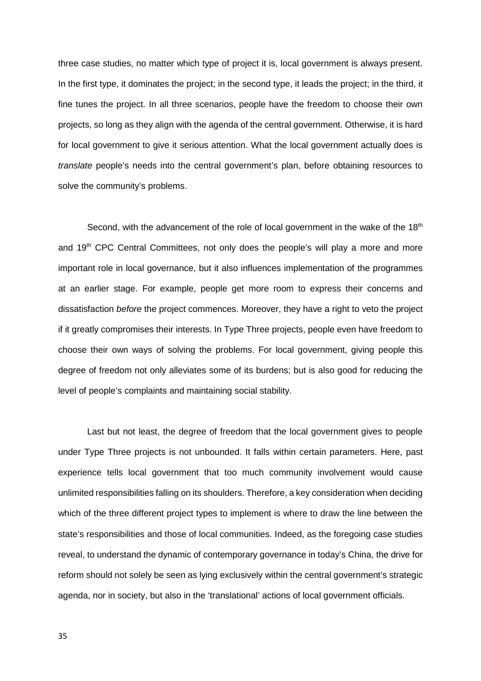three case studies, no matter which type of project it is, local government is always present. In the first type, it dominates the project; in the second type, it leads the project; in the third, it fine tunes the project. In all three scenarios, people have the freedom to choose their own projects, so long as they align with the agenda of the central government. Otherwise, it is hard for local government to give it serious attention. What the local government actually does is *translate* people's needs into the central government's plan, before obtaining resources to solve the community's problems.

Second, with the advancement of the role of local government in the wake of the 18<sup>th</sup> and 19<sup>th</sup> CPC Central Committees, not only does the people's will play a more and more important role in local governance, but it also influences implementation of the programmes at an earlier stage. For example, people get more room to express their concerns and dissatisfaction *before* the project commences. Moreover, they have a right to veto the project if it greatly compromises their interests. In Type Three projects, people even have freedom to choose their own ways of solving the problems. For local government, giving people this degree of freedom not only alleviates some of its burdens; but is also good for reducing the level of people's complaints and maintaining social stability.

Last but not least, the degree of freedom that the local government gives to people under Type Three projects is not unbounded. It falls within certain parameters. Here, past experience tells local government that too much community involvement would cause unlimited responsibilities falling on its shoulders. Therefore, a key consideration when deciding which of the three different project types to implement is where to draw the line between the state's responsibilities and those of local communities. Indeed, as the foregoing case studies reveal, to understand the dynamic of contemporary governance in today's China, the drive for reform should not solely be seen as lying exclusively within the central government's strategic agenda, nor in society, but also in the 'translational' actions of local government officials.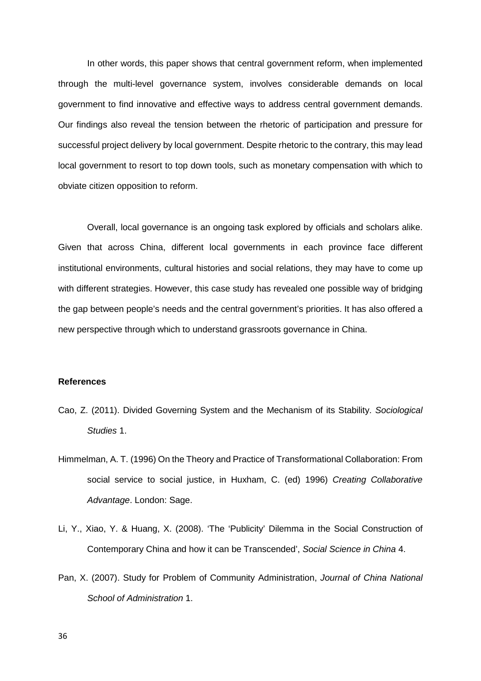In other words, this paper shows that central government reform, when implemented through the multi-level governance system, involves considerable demands on local government to find innovative and effective ways to address central government demands. Our findings also reveal the tension between the rhetoric of participation and pressure for successful project delivery by local government. Despite rhetoric to the contrary, this may lead local government to resort to top down tools, such as monetary compensation with which to obviate citizen opposition to reform.

Overall, local governance is an ongoing task explored by officials and scholars alike. Given that across China, different local governments in each province face different institutional environments, cultural histories and social relations, they may have to come up with different strategies. However, this case study has revealed one possible way of bridging the gap between people's needs and the central government's priorities. It has also offered a new perspective through which to understand grassroots governance in China.

#### **References**

- Cao, Z. (2011). Divided Governing System and the Mechanism of its Stability. *Sociological Studies* 1.
- Himmelman, A. T. (1996) On the Theory and Practice of Transformational Collaboration: From social service to social justice, in Huxham, C. (ed) 1996) *Creating Collaborative Advantage*. London: Sage.
- Li, Y., Xiao, Y. & Huang, X. (2008). 'The 'Publicity' Dilemma in the Social Construction of Contemporary China and how it can be Transcended', *Social Science in China* 4.
- Pan, X. (2007). Study for Problem of Community Administration, *Journal of China National School of Administration* 1.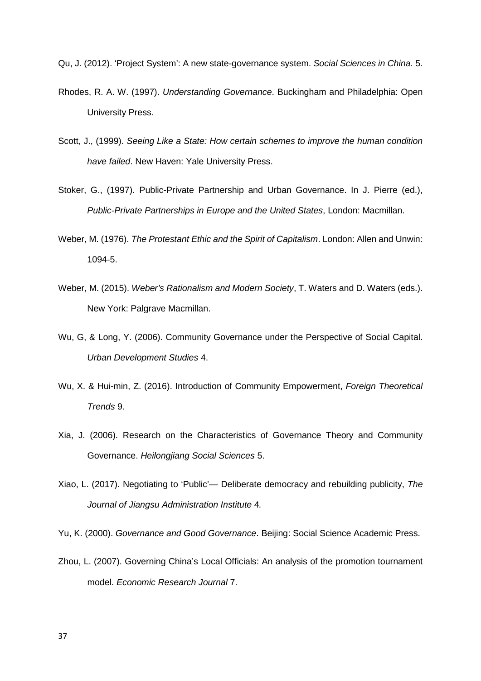Qu, J. (2012). 'Project System': A new state-governance system. *Social Sciences in China.* 5.

- Rhodes, R. A. W. (1997). *Understanding Governance*. Buckingham and Philadelphia: Open University Press.
- Scott, J., (1999). *Seeing Like a State: How certain schemes to improve the human condition have failed*. New Haven: Yale University Press.
- Stoker, G., (1997). Public-Private Partnership and Urban Governance. In J. Pierre (ed.), *Public-Private Partnerships in Europe and the United States*, London: Macmillan.
- Weber, M. (1976). *The Protestant Ethic and the Spirit of Capitalism*. London: Allen and Unwin: 1094-5.
- Weber, M. (2015). *Weber's Rationalism and Modern Society*, T. Waters and D. Waters (eds.). New York: Palgrave Macmillan.
- Wu, G, & Long, Y. (2006). Community Governance under the Perspective of Social Capital. *Urban Development Studies* 4.
- Wu, X. & Hui-min, Z. (2016). Introduction of Community Empowerment, *Foreign Theoretical Trends* 9.
- Xia, J. (2006). Research on the Characteristics of Governance Theory and Community Governance. *Heilongjiang Social Sciences* 5.
- Xiao, L. (2017). Negotiating to 'Public'— Deliberate democracy and rebuilding publicity, *The Journal of Jiangsu Administration Institute* 4*.*

Yu, K. (2000). *Governance and Good Governance*. Beijing: Social Science Academic Press.

Zhou, L. (2007). Governing China's Local Officials: An analysis of the promotion tournament model. *Economic Research Journal* 7.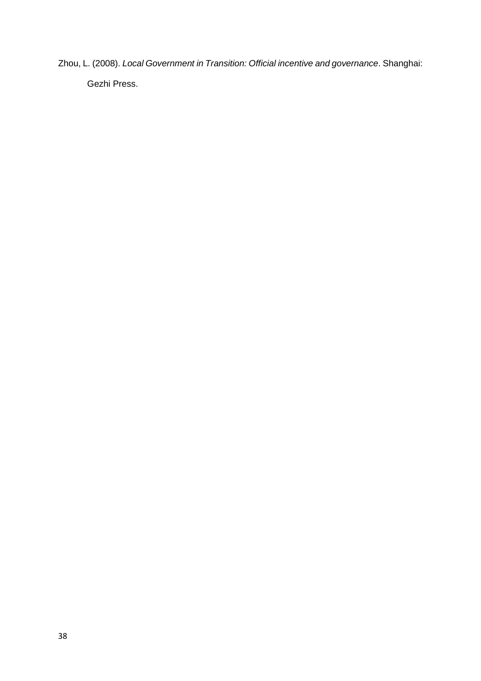Zhou, L. (2008). *Local Government in Transition: Official incentive and governance*. Shanghai: Gezhi Press.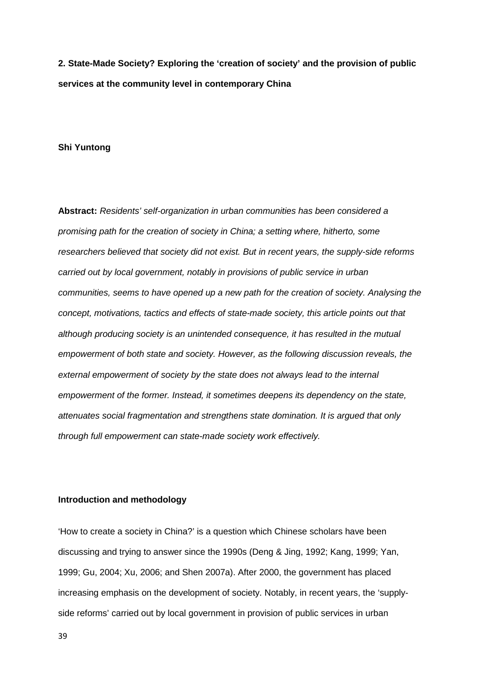**2. State-Made Society? Exploring the 'creation of society' and the provision of public services at the community level in contemporary China** 

## **Shi Yuntong**

**Abstract:** *Residents' self-organization in urban communities has been considered a promising path for the creation of society in China; a setting where, hitherto, some researchers believed that society did not exist. But in recent years, the supply-side reforms carried out by local government, notably in provisions of public service in urban communities, seems to have opened up a new path for the creation of society. Analysing the concept, motivations, tactics and effects of state-made society, this article points out that although producing society is an unintended consequence, it has resulted in the mutual empowerment of both state and society. However, as the following discussion reveals, the external empowerment of society by the state does not always lead to the internal empowerment of the former. Instead, it sometimes deepens its dependency on the state, attenuates social fragmentation and strengthens state domination. It is argued that only through full empowerment can state-made society work effectively.*

# **Introduction and methodology**

'How to create a society in China?' is a question which Chinese scholars have been discussing and trying to answer since the 1990s (Deng & Jing, 1992; Kang, 1999; Yan, 1999; Gu, 2004; Xu, 2006; and Shen 2007a). After 2000, the government has placed increasing emphasis on the development of society. Notably, in recent years, the 'supplyside reforms' carried out by local government in provision of public services in urban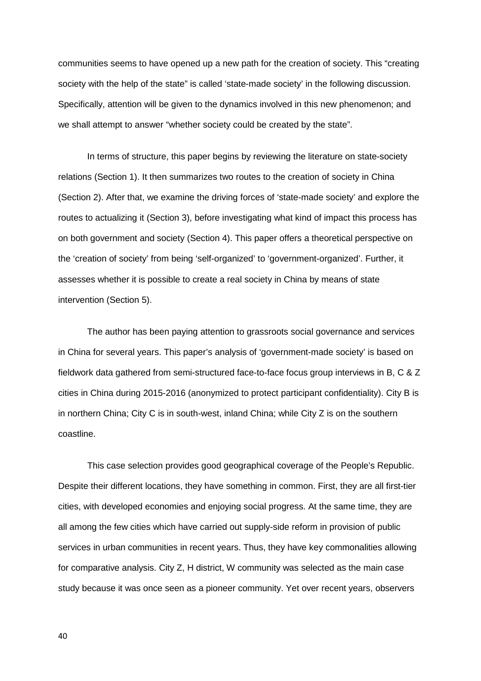communities seems to have opened up a new path for the creation of society. This "creating society with the help of the state" is called 'state-made society' in the following discussion. Specifically, attention will be given to the dynamics involved in this new phenomenon; and we shall attempt to answer "whether society could be created by the state".

In terms of structure, this paper begins by reviewing the literature on state-society relations (Section 1). It then summarizes two routes to the creation of society in China (Section 2). After that, we examine the driving forces of 'state-made society' and explore the routes to actualizing it (Section 3), before investigating what kind of impact this process has on both government and society (Section 4). This paper offers a theoretical perspective on the 'creation of society' from being 'self-organized' to 'government-organized'. Further, it assesses whether it is possible to create a real society in China by means of state intervention (Section 5).

The author has been paying attention to grassroots social governance and services in China for several years. This paper's analysis of 'government-made society' is based on fieldwork data gathered from semi-structured face-to-face focus group interviews in B, C & Z cities in China during 2015-2016 (anonymized to protect participant confidentiality). City B is in northern China; City C is in south-west, inland China; while City Z is on the southern coastline.

This case selection provides good geographical coverage of the People's Republic. Despite their different locations, they have something in common. First, they are all first-tier cities, with developed economies and enjoying social progress. At the same time, they are all among the few cities which have carried out supply-side reform in provision of public services in urban communities in recent years. Thus, they have key commonalities allowing for comparative analysis. City Z, H district, W community was selected as the main case study because it was once seen as a pioneer community. Yet over recent years, observers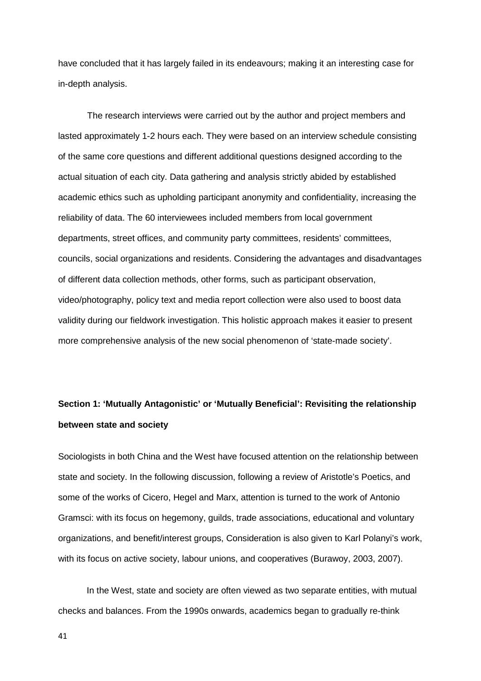have concluded that it has largely failed in its endeavours; making it an interesting case for in-depth analysis.

The research interviews were carried out by the author and project members and lasted approximately 1-2 hours each. They were based on an interview schedule consisting of the same core questions and different additional questions designed according to the actual situation of each city. Data gathering and analysis strictly abided by established academic ethics such as upholding participant anonymity and confidentiality, increasing the reliability of data. The 60 interviewees included members from local government departments, street offices, and community party committees, residents' committees, councils, social organizations and residents. Considering the advantages and disadvantages of different data collection methods, other forms, such as participant observation, video/photography, policy text and media report collection were also used to boost data validity during our fieldwork investigation. This holistic approach makes it easier to present more comprehensive analysis of the new social phenomenon of 'state-made society'.

# **Section 1: 'Mutually Antagonistic' or 'Mutually Beneficial': Revisiting the relationship between state and society**

Sociologists in both China and the West have focused attention on the relationship between state and society. In the following discussion, following a review of Aristotle's Poetics, and some of the works of Cicero, Hegel and Marx, attention is turned to the work of Antonio Gramsci: with its focus on hegemony, guilds, trade associations, educational and voluntary organizations, and benefit/interest groups, Consideration is also given to Karl Polanyi's work, with its focus on active society, labour unions, and cooperatives (Burawoy, 2003, 2007).

In the West, state and society are often viewed as two separate entities, with mutual checks and balances. From the 1990s onwards, academics began to gradually re-think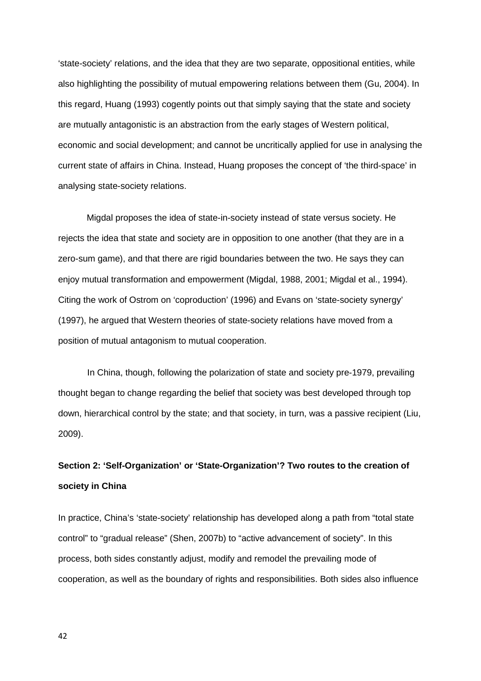'state-society' relations, and the idea that they are two separate, oppositional entities, while also highlighting the possibility of mutual empowering relations between them (Gu, 2004). In this regard, Huang (1993) cogently points out that simply saying that the state and society are mutually antagonistic is an abstraction from the early stages of Western political, economic and social development; and cannot be uncritically applied for use in analysing the current state of affairs in China. Instead, Huang proposes the concept of 'the third-space' in analysing state-society relations.

Migdal proposes the idea of state-in-society instead of state versus society. He rejects the idea that state and society are in opposition to one another (that they are in a zero-sum game), and that there are rigid boundaries between the two. He says they can enjoy mutual transformation and empowerment (Migdal, 1988, 2001; Migdal et al., 1994). Citing the work of Ostrom on 'coproduction' (1996) and Evans on 'state-society synergy' (1997), he argued that Western theories of state-society relations have moved from a position of mutual antagonism to mutual cooperation.

In China, though, following the polarization of state and society pre-1979, prevailing thought began to change regarding the belief that society was best developed through top down, hierarchical control by the state; and that society, in turn, was a passive recipient (Liu, 2009).

# **Section 2: 'Self-Organization' or 'State-Organization'? Two routes to the creation of society in China**

In practice, China's 'state-society' relationship has developed along a path from "total state control" to "gradual release" (Shen, 2007b) to "active advancement of society". In this process, both sides constantly adjust, modify and remodel the prevailing mode of cooperation, as well as the boundary of rights and responsibilities. Both sides also influence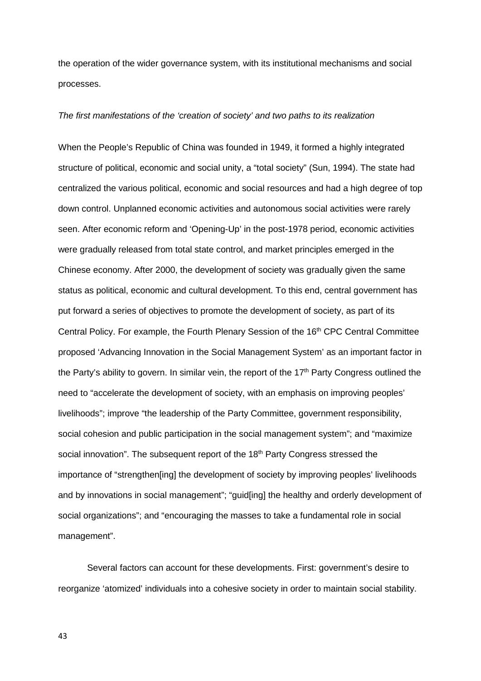the operation of the wider governance system, with its institutional mechanisms and social processes.

# *The first manifestations of the 'creation of society' and two paths to its realization*

When the People's Republic of China was founded in 1949, it formed a highly integrated structure of political, economic and social unity, a "total society" (Sun, 1994). The state had centralized the various political, economic and social resources and had a high degree of top down control. Unplanned economic activities and autonomous social activities were rarely seen. After economic reform and 'Opening-Up' in the post-1978 period, economic activities were gradually released from total state control, and market principles emerged in the Chinese economy. After 2000, the development of society was gradually given the same status as political, economic and cultural development. To this end, central government has put forward a series of objectives to promote the development of society, as part of its Central Policy. For example, the Fourth Plenary Session of the 16<sup>th</sup> CPC Central Committee proposed 'Advancing Innovation in the Social Management System' as an important factor in the Party's ability to govern. In similar vein, the report of the  $17<sup>th</sup>$  Party Congress outlined the need to "accelerate the development of society, with an emphasis on improving peoples' livelihoods"; improve "the leadership of the Party Committee, government responsibility, social cohesion and public participation in the social management system"; and "maximize social innovation". The subsequent report of the 18<sup>th</sup> Party Congress stressed the importance of "strengthen[ing] the development of society by improving peoples' livelihoods and by innovations in social management"; "guid[ing] the healthy and orderly development of social organizations"; and "encouraging the masses to take a fundamental role in social management".

Several factors can account for these developments. First: government's desire to reorganize 'atomized' individuals into a cohesive society in order to maintain social stability.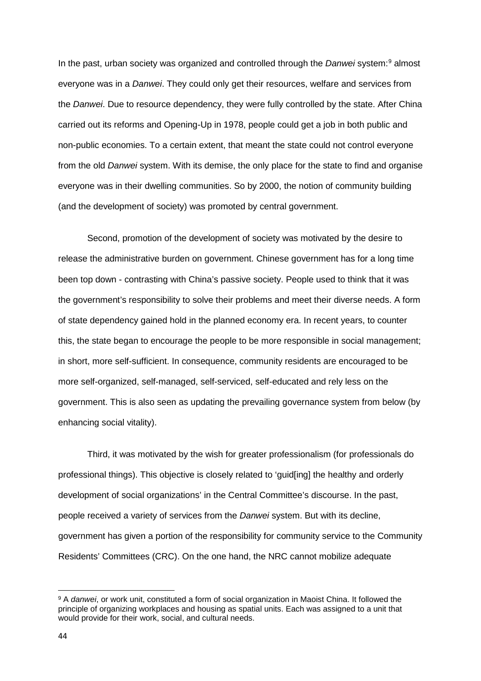In the past, urban society was organized and controlled through the *Danwei* system: [9](#page-43-0) almost everyone was in a *Danwei*. They could only get their resources, welfare and services from the *Danwei*. Due to resource dependency, they were fully controlled by the state. After China carried out its reforms and Opening-Up in 1978, people could get a job in both public and non-public economies. To a certain extent, that meant the state could not control everyone from the old *Danwei* system. With its demise, the only place for the state to find and organise everyone was in their dwelling communities. So by 2000, the notion of community building (and the development of society) was promoted by central government.

Second, promotion of the development of society was motivated by the desire to release the administrative burden on government. Chinese government has for a long time been top down - contrasting with China's passive society. People used to think that it was the government's responsibility to solve their problems and meet their diverse needs. A form of state dependency gained hold in the planned economy era. In recent years, to counter this, the state began to encourage the people to be more responsible in social management; in short, more self-sufficient. In consequence, community residents are encouraged to be more self-organized, self-managed, self-serviced, self-educated and rely less on the government. This is also seen as updating the prevailing governance system from below (by enhancing social vitality).

Third, it was motivated by the wish for greater professionalism (for professionals do professional things). This objective is closely related to 'guid[ing] the healthy and orderly development of social organizations' in the Central Committee's discourse. In the past, people received a variety of services from the *Danwei* system. But with its decline, government has given a portion of the responsibility for community service to the Community Residents' Committees (CRC). On the one hand, the NRC cannot mobilize adequate

**.** 

<span id="page-43-0"></span><sup>9</sup> A *danwei*, or work unit, constituted a form of social organization in Maoist China. It followed the principle of organizing workplaces and housing as spatial units. Each was assigned to a unit that would provide for their work, social, and cultural needs.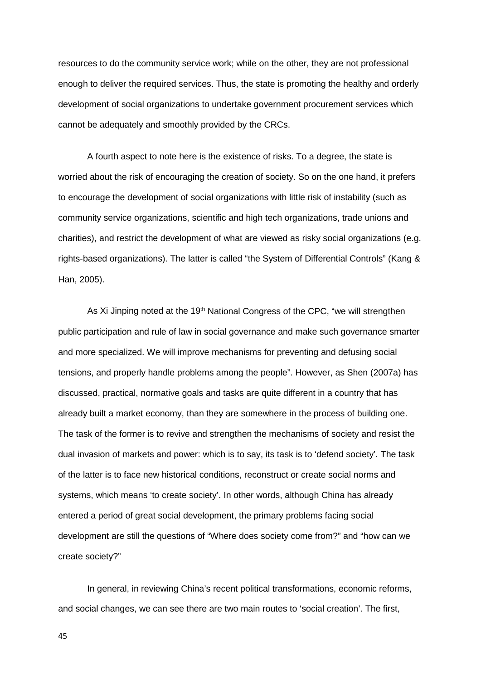resources to do the community service work; while on the other, they are not professional enough to deliver the required services. Thus, the state is promoting the healthy and orderly development of social organizations to undertake government procurement services which cannot be adequately and smoothly provided by the CRCs.

A fourth aspect to note here is the existence of risks. To a degree, the state is worried about the risk of encouraging the creation of society. So on the one hand, it prefers to encourage the development of social organizations with little risk of instability (such as community service organizations, scientific and high tech organizations, trade unions and charities), and restrict the development of what are viewed as risky social organizations (e.g. rights-based organizations). The latter is called "the System of Differential Controls" (Kang & Han, 2005).

As Xi Jinping noted at the 19<sup>th</sup> National Congress of the CPC, "we will strengthen public participation and rule of law in social governance and make such governance smarter and more specialized. We will improve mechanisms for preventing and defusing social tensions, and properly handle problems among the people". However, as Shen (2007a) has discussed, practical, normative goals and tasks are quite different in a country that has already built a market economy, than they are somewhere in the process of building one. The task of the former is to revive and strengthen the mechanisms of society and resist the dual invasion of markets and power: which is to say, its task is to 'defend society'. The task of the latter is to face new historical conditions, reconstruct or create social norms and systems, which means 'to create society'. In other words, although China has already entered a period of great social development, the primary problems facing social development are still the questions of "Where does society come from?" and "how can we create society?"

In general, in reviewing China's recent political transformations, economic reforms, and social changes, we can see there are two main routes to 'social creation'. The first,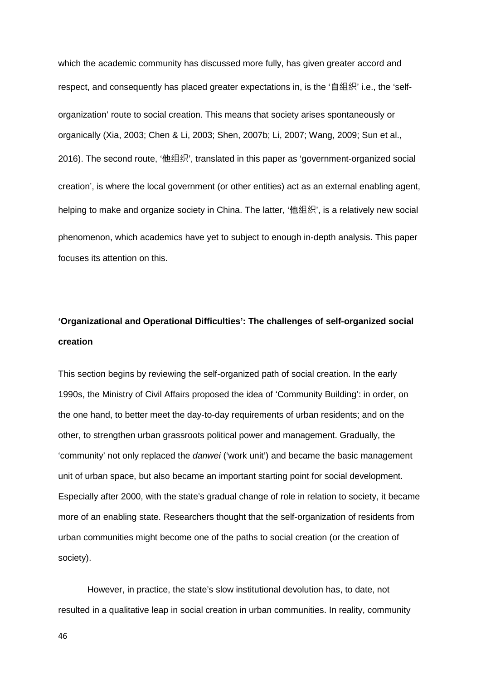which the academic community has discussed more fully, has given greater accord and respect, and consequently has placed greater expectations in, is the '自组织' i.e., the 'selforganization' route to social creation. This means that society arises spontaneously or organically (Xia, 2003; Chen & Li, 2003; Shen, 2007b; Li, 2007; Wang, 2009; Sun et al., 2016). The second route, '他组织', translated in this paper as 'government-organized social creation', is where the local government (or other entities) act as an external enabling agent, helping to make and organize society in China. The latter, '他组织', is a relatively new social phenomenon, which academics have yet to subject to enough in-depth analysis. This paper focuses its attention on this.

# **'Organizational and Operational Difficulties': The challenges of self-organized social creation**

This section begins by reviewing the self-organized path of social creation. In the early 1990s, the Ministry of Civil Affairs proposed the idea of 'Community Building': in order, on the one hand, to better meet the day-to-day requirements of urban residents; and on the other, to strengthen urban grassroots political power and management. Gradually, the 'community' not only replaced the *danwei* ('work unit') and became the basic management unit of urban space, but also became an important starting point for social development. Especially after 2000, with the state's gradual change of role in relation to society, it became more of an enabling state. Researchers thought that the self-organization of residents from urban communities might become one of the paths to social creation (or the creation of society).

However, in practice, the state's slow institutional devolution has, to date, not resulted in a qualitative leap in social creation in urban communities. In reality, community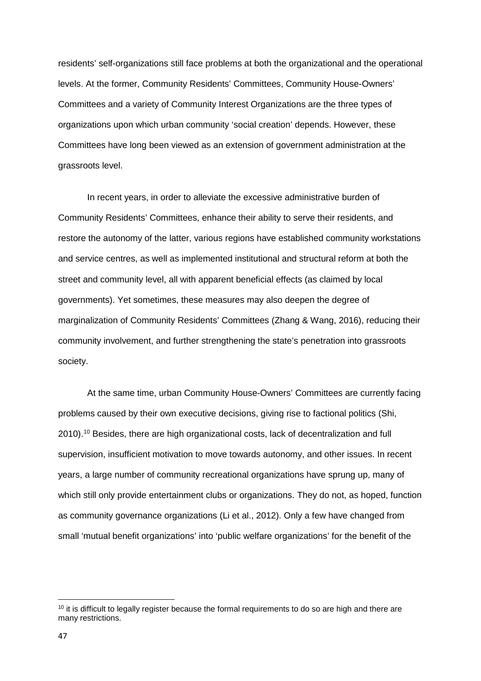residents' self-organizations still face problems at both the organizational and the operational levels. At the former, Community Residents' Committees, Community House-Owners' Committees and a variety of Community Interest Organizations are the three types of organizations upon which urban community 'social creation' depends. However, these Committees have long been viewed as an extension of government administration at the grassroots level.

In recent years, in order to alleviate the excessive administrative burden of Community Residents' Committees, enhance their ability to serve their residents, and restore the autonomy of the latter, various regions have established community workstations and service centres, as well as implemented institutional and structural reform at both the street and community level, all with apparent beneficial effects (as claimed by local governments). Yet sometimes, these measures may also deepen the degree of marginalization of Community Residents' Committees (Zhang & Wang, 2016), reducing their community involvement, and further strengthening the state's penetration into grassroots society.

At the same time, urban Community House-Owners' Committees are currently facing problems caused by their own executive decisions, giving rise to factional politics (Shi, 2010). [10](#page-46-0) Besides, there are high organizational costs, lack of decentralization and full supervision, insufficient motivation to move towards autonomy, and other issues. In recent years, a large number of community recreational organizations have sprung up, many of which still only provide entertainment clubs or organizations. They do not, as hoped, function as community governance organizations (Li et al., 2012). Only a few have changed from small 'mutual benefit organizations' into 'public welfare organizations' for the benefit of the

 $\overline{a}$ 

<span id="page-46-0"></span> $10$  it is difficult to legally register because the formal requirements to do so are high and there are many restrictions.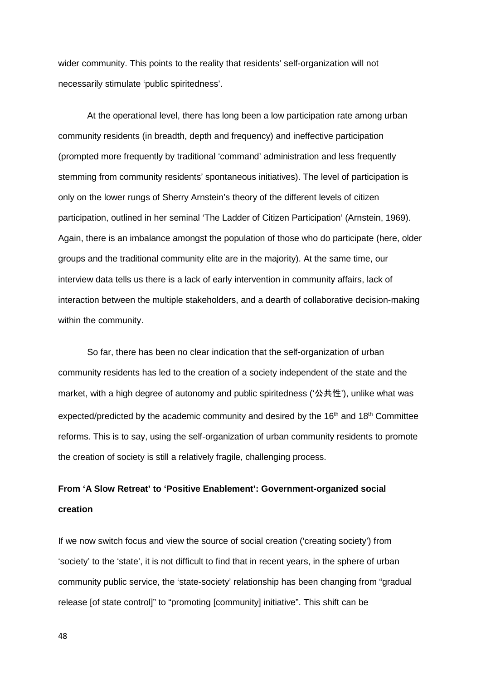wider community. This points to the reality that residents' self-organization will not necessarily stimulate 'public spiritedness'.

At the operational level, there has long been a low participation rate among urban community residents (in breadth, depth and frequency) and ineffective participation (prompted more frequently by traditional 'command' administration and less frequently stemming from community residents' spontaneous initiatives). The level of participation is only on the lower rungs of Sherry Arnstein's theory of the different levels of citizen participation, outlined in her seminal 'The Ladder of Citizen Participation' (Arnstein, 1969). Again, there is an imbalance amongst the population of those who do participate (here, older groups and the traditional community elite are in the majority). At the same time, our interview data tells us there is a lack of early intervention in community affairs, lack of interaction between the multiple stakeholders, and a dearth of collaborative decision-making within the community.

So far, there has been no clear indication that the self-organization of urban community residents has led to the creation of a society independent of the state and the market, with a high degree of autonomy and public spiritedness ('公共性'), unlike what was expected/predicted by the academic community and desired by the  $16<sup>th</sup>$  and  $18<sup>th</sup>$  Committee reforms. This is to say, using the self-organization of urban community residents to promote the creation of society is still a relatively fragile, challenging process.

# **From 'A Slow Retreat' to 'Positive Enablement': Government-organized social creation**

If we now switch focus and view the source of social creation ('creating society') from 'society' to the 'state', it is not difficult to find that in recent years, in the sphere of urban community public service, the 'state-society' relationship has been changing from "gradual release [of state control]" to "promoting [community] initiative". This shift can be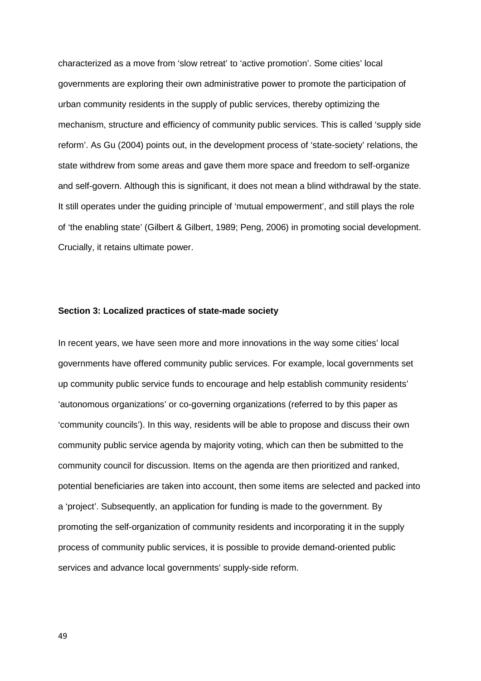characterized as a move from 'slow retreat' to 'active promotion'. Some cities' local governments are exploring their own administrative power to promote the participation of urban community residents in the supply of public services, thereby optimizing the mechanism, structure and efficiency of community public services. This is called 'supply side reform'. As Gu (2004) points out, in the development process of 'state-society' relations, the state withdrew from some areas and gave them more space and freedom to self-organize and self-govern. Although this is significant, it does not mean a blind withdrawal by the state. It still operates under the guiding principle of 'mutual empowerment', and still plays the role of 'the enabling state' (Gilbert & Gilbert, 1989; Peng, 2006) in promoting social development. Crucially, it retains ultimate power.

#### **Section 3: Localized practices of state-made society**

In recent years, we have seen more and more innovations in the way some cities' local governments have offered community public services. For example, local governments set up community public service funds to encourage and help establish community residents' 'autonomous organizations' or co-governing organizations (referred to by this paper as 'community councils'). In this way, residents will be able to propose and discuss their own community public service agenda by majority voting, which can then be submitted to the community council for discussion. Items on the agenda are then prioritized and ranked, potential beneficiaries are taken into account, then some items are selected and packed into a 'project'. Subsequently, an application for funding is made to the government. By promoting the self-organization of community residents and incorporating it in the supply process of community public services, it is possible to provide demand-oriented public services and advance local governments' supply-side reform.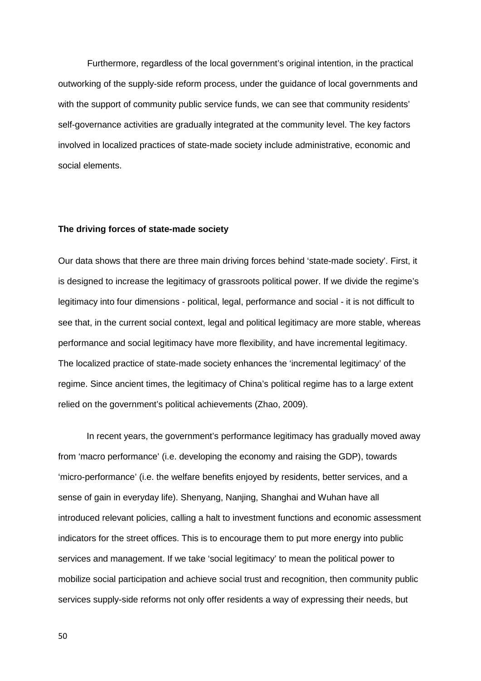Furthermore, regardless of the local government's original intention, in the practical outworking of the supply-side reform process, under the guidance of local governments and with the support of community public service funds, we can see that community residents' self-governance activities are gradually integrated at the community level. The key factors involved in localized practices of state-made society include administrative, economic and social elements.

# **The driving forces of state-made society**

Our data shows that there are three main driving forces behind 'state-made society'. First, it is designed to increase the legitimacy of grassroots political power. If we divide the regime's legitimacy into four dimensions - political, legal, performance and social - it is not difficult to see that, in the current social context, legal and political legitimacy are more stable, whereas performance and social legitimacy have more flexibility, and have incremental legitimacy. The localized practice of state-made society enhances the 'incremental legitimacy' of the regime. Since ancient times, the legitimacy of China's political regime has to a large extent relied on the government's political achievements (Zhao, 2009).

In recent years, the government's performance legitimacy has gradually moved away from 'macro performance' (i.e. developing the economy and raising the GDP), towards 'micro-performance' (i.e. the welfare benefits enjoyed by residents, better services, and a sense of gain in everyday life). Shenyang, Nanjing, Shanghai and Wuhan have all introduced relevant policies, calling a halt to investment functions and economic assessment indicators for the street offices. This is to encourage them to put more energy into public services and management. If we take 'social legitimacy' to mean the political power to mobilize social participation and achieve social trust and recognition, then community public services supply-side reforms not only offer residents a way of expressing their needs, but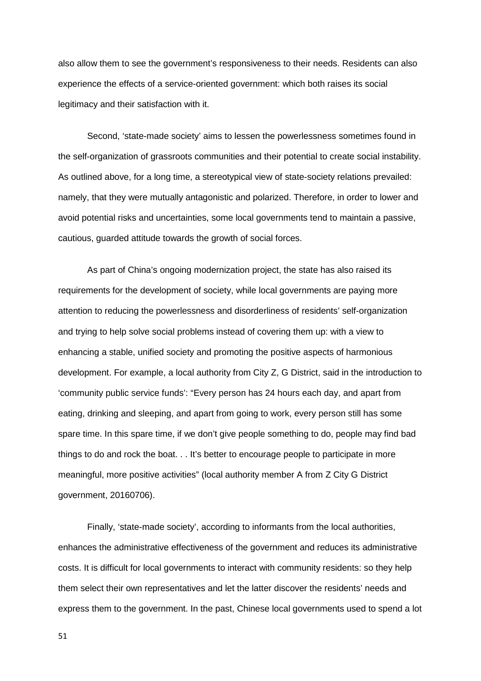also allow them to see the government's responsiveness to their needs. Residents can also experience the effects of a service-oriented government: which both raises its social legitimacy and their satisfaction with it.

Second, 'state-made society' aims to lessen the powerlessness sometimes found in the self-organization of grassroots communities and their potential to create social instability. As outlined above, for a long time, a stereotypical view of state-society relations prevailed: namely, that they were mutually antagonistic and polarized. Therefore, in order to lower and avoid potential risks and uncertainties, some local governments tend to maintain a passive, cautious, guarded attitude towards the growth of social forces.

As part of China's ongoing modernization project, the state has also raised its requirements for the development of society, while local governments are paying more attention to reducing the powerlessness and disorderliness of residents' self-organization and trying to help solve social problems instead of covering them up: with a view to enhancing a stable, unified society and promoting the positive aspects of harmonious development. For example, a local authority from City Z, G District, said in the introduction to 'community public service funds': "Every person has 24 hours each day, and apart from eating, drinking and sleeping, and apart from going to work, every person still has some spare time. In this spare time, if we don't give people something to do, people may find bad things to do and rock the boat. . . It's better to encourage people to participate in more meaningful, more positive activities" (local authority member A from Z City G District government, 20160706).

Finally, 'state-made society', according to informants from the local authorities, enhances the administrative effectiveness of the government and reduces its administrative costs. It is difficult for local governments to interact with community residents: so they help them select their own representatives and let the latter discover the residents' needs and express them to the government. In the past, Chinese local governments used to spend a lot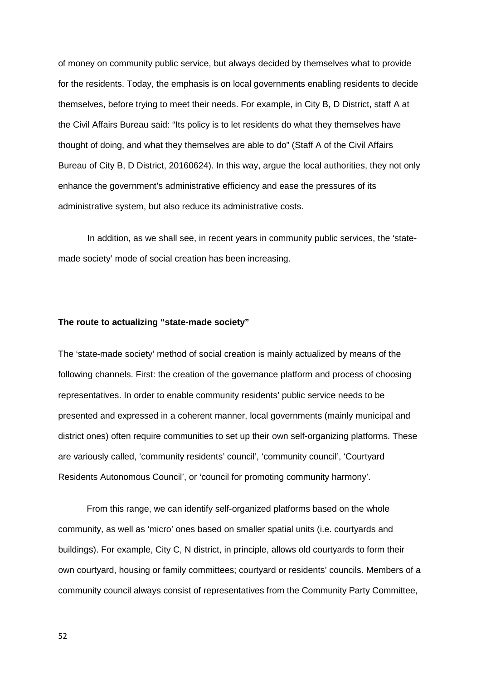of money on community public service, but always decided by themselves what to provide for the residents. Today, the emphasis is on local governments enabling residents to decide themselves, before trying to meet their needs. For example, in City B, D District, staff A at the Civil Affairs Bureau said: "Its policy is to let residents do what they themselves have thought of doing, and what they themselves are able to do" (Staff A of the Civil Affairs Bureau of City B, D District, 20160624). In this way, argue the local authorities, they not only enhance the government's administrative efficiency and ease the pressures of its administrative system, but also reduce its administrative costs.

In addition, as we shall see, in recent years in community public services, the 'statemade society' mode of social creation has been increasing.

## **The route to actualizing "state-made society"**

The 'state-made society' method of social creation is mainly actualized by means of the following channels. First: the creation of the governance platform and process of choosing representatives. In order to enable community residents' public service needs to be presented and expressed in a coherent manner, local governments (mainly municipal and district ones) often require communities to set up their own self-organizing platforms. These are variously called, 'community residents' council', 'community council', 'Courtyard Residents Autonomous Council', or 'council for promoting community harmony'.

From this range, we can identify self-organized platforms based on the whole community, as well as 'micro' ones based on smaller spatial units (i.e. courtyards and buildings). For example, City C, N district, in principle, allows old courtyards to form their own courtyard, housing or family committees; courtyard or residents' councils. Members of a community council always consist of representatives from the Community Party Committee,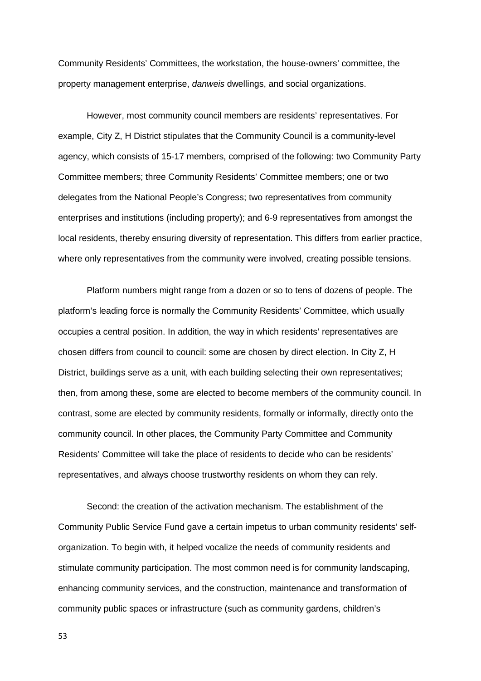Community Residents' Committees, the workstation, the house-owners' committee, the property management enterprise, *danweis* dwellings, and social organizations.

However, most community council members are residents' representatives. For example, City Z, H District stipulates that the Community Council is a community-level agency, which consists of 15-17 members, comprised of the following: two Community Party Committee members; three Community Residents' Committee members; one or two delegates from the National People's Congress; two representatives from community enterprises and institutions (including property); and 6-9 representatives from amongst the local residents, thereby ensuring diversity of representation. This differs from earlier practice, where only representatives from the community were involved, creating possible tensions.

Platform numbers might range from a dozen or so to tens of dozens of people. The platform's leading force is normally the Community Residents' Committee, which usually occupies a central position. In addition, the way in which residents' representatives are chosen differs from council to council: some are chosen by direct election. In City Z, H District, buildings serve as a unit, with each building selecting their own representatives; then, from among these, some are elected to become members of the community council. In contrast, some are elected by community residents, formally or informally, directly onto the community council. In other places, the Community Party Committee and Community Residents' Committee will take the place of residents to decide who can be residents' representatives, and always choose trustworthy residents on whom they can rely.

Second: the creation of the activation mechanism. The establishment of the Community Public Service Fund gave a certain impetus to urban community residents' selforganization. To begin with, it helped vocalize the needs of community residents and stimulate community participation. The most common need is for community landscaping, enhancing community services, and the construction, maintenance and transformation of community public spaces or infrastructure (such as community gardens, children's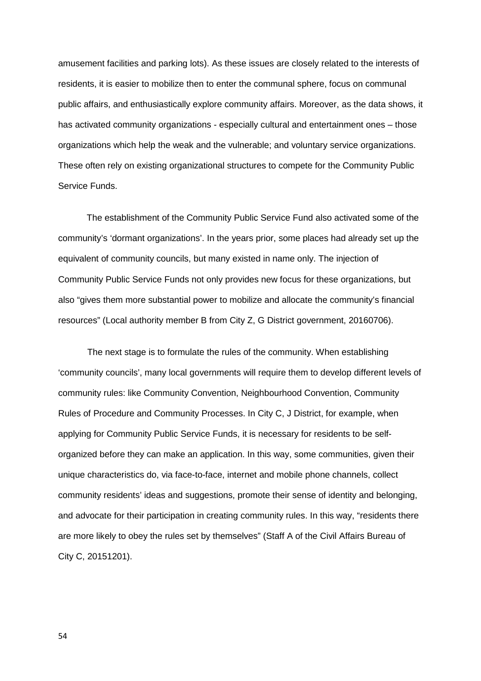amusement facilities and parking lots). As these issues are closely related to the interests of residents, it is easier to mobilize then to enter the communal sphere, focus on communal public affairs, and enthusiastically explore community affairs. Moreover, as the data shows, it has activated community organizations - especially cultural and entertainment ones – those organizations which help the weak and the vulnerable; and voluntary service organizations. These often rely on existing organizational structures to compete for the Community Public Service Funds.

The establishment of the Community Public Service Fund also activated some of the community's 'dormant organizations'. In the years prior, some places had already set up the equivalent of community councils, but many existed in name only. The injection of Community Public Service Funds not only provides new focus for these organizations, but also "gives them more substantial power to mobilize and allocate the community's financial resources" (Local authority member B from City Z, G District government, 20160706).

The next stage is to formulate the rules of the community. When establishing 'community councils', many local governments will require them to develop different levels of community rules: like Community Convention, Neighbourhood Convention, Community Rules of Procedure and Community Processes. In City C, J District, for example, when applying for Community Public Service Funds, it is necessary for residents to be selforganized before they can make an application. In this way, some communities, given their unique characteristics do, via face-to-face, internet and mobile phone channels, collect community residents' ideas and suggestions, promote their sense of identity and belonging, and advocate for their participation in creating community rules. In this way, "residents there are more likely to obey the rules set by themselves" (Staff A of the Civil Affairs Bureau of City C, 20151201).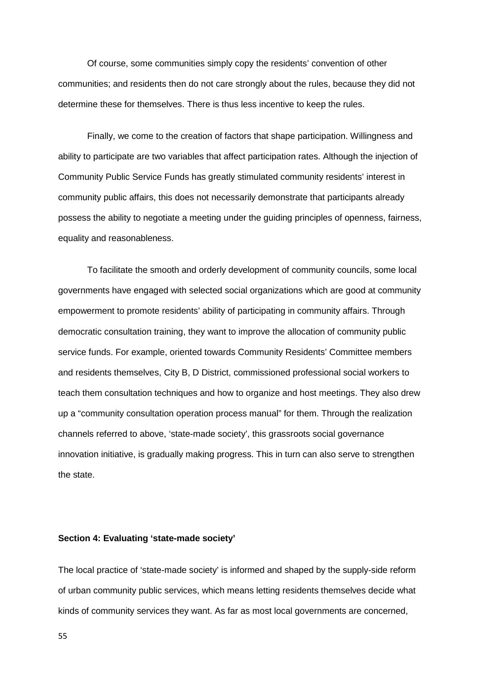Of course, some communities simply copy the residents' convention of other communities; and residents then do not care strongly about the rules, because they did not determine these for themselves. There is thus less incentive to keep the rules.

Finally, we come to the creation of factors that shape participation. Willingness and ability to participate are two variables that affect participation rates. Although the injection of Community Public Service Funds has greatly stimulated community residents' interest in community public affairs, this does not necessarily demonstrate that participants already possess the ability to negotiate a meeting under the guiding principles of openness, fairness, equality and reasonableness.

To facilitate the smooth and orderly development of community councils, some local governments have engaged with selected social organizations which are good at community empowerment to promote residents' ability of participating in community affairs. Through democratic consultation training, they want to improve the allocation of community public service funds. For example, oriented towards Community Residents' Committee members and residents themselves, City B, D District, commissioned professional social workers to teach them consultation techniques and how to organize and host meetings. They also drew up a "community consultation operation process manual" for them. Through the realization channels referred to above, 'state-made society', this grassroots social governance innovation initiative, is gradually making progress. This in turn can also serve to strengthen the state.

## **Section 4: Evaluating 'state-made society'**

The local practice of 'state-made society' is informed and shaped by the supply-side reform of urban community public services, which means letting residents themselves decide what kinds of community services they want. As far as most local governments are concerned,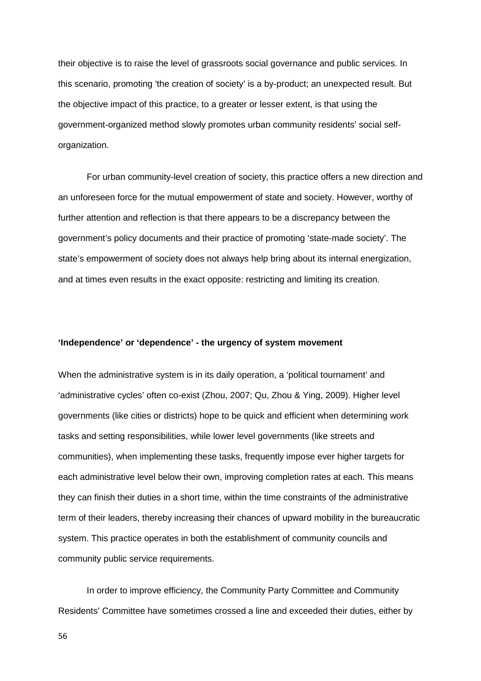their objective is to raise the level of grassroots social governance and public services. In this scenario, promoting 'the creation of society' is a by-product; an unexpected result. But the objective impact of this practice, to a greater or lesser extent, is that using the government-organized method slowly promotes urban community residents' social selforganization.

For urban community-level creation of society, this practice offers a new direction and an unforeseen force for the mutual empowerment of state and society. However, worthy of further attention and reflection is that there appears to be a discrepancy between the government's policy documents and their practice of promoting 'state-made society'. The state's empowerment of society does not always help bring about its internal energization, and at times even results in the exact opposite: restricting and limiting its creation.

# **'Independence' or 'dependence' - the urgency of system movement**

When the administrative system is in its daily operation, a 'political tournament' and 'administrative cycles' often co-exist (Zhou, 2007; Qu, Zhou & Ying, 2009). Higher level governments (like cities or districts) hope to be quick and efficient when determining work tasks and setting responsibilities, while lower level governments (like streets and communities), when implementing these tasks, frequently impose ever higher targets for each administrative level below their own, improving completion rates at each. This means they can finish their duties in a short time, within the time constraints of the administrative term of their leaders, thereby increasing their chances of upward mobility in the bureaucratic system. This practice operates in both the establishment of community councils and community public service requirements.

In order to improve efficiency, the Community Party Committee and Community Residents' Committee have sometimes crossed a line and exceeded their duties, either by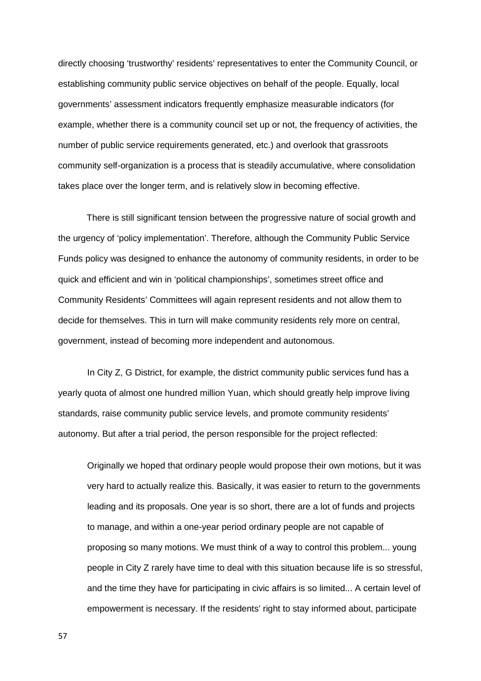directly choosing 'trustworthy' residents' representatives to enter the Community Council, or establishing community public service objectives on behalf of the people. Equally, local governments' assessment indicators frequently emphasize measurable indicators (for example, whether there is a community council set up or not, the frequency of activities, the number of public service requirements generated, etc.) and overlook that grassroots community self-organization is a process that is steadily accumulative, where consolidation takes place over the longer term, and is relatively slow in becoming effective.

There is still significant tension between the progressive nature of social growth and the urgency of 'policy implementation'. Therefore, although the Community Public Service Funds policy was designed to enhance the autonomy of community residents, in order to be quick and efficient and win in 'political championships', sometimes street office and Community Residents' Committees will again represent residents and not allow them to decide for themselves. This in turn will make community residents rely more on central, government, instead of becoming more independent and autonomous.

In City Z, G District, for example, the district community public services fund has a yearly quota of almost one hundred million Yuan, which should greatly help improve living standards, raise community public service levels, and promote community residents' autonomy. But after a trial period, the person responsible for the project reflected:

Originally we hoped that ordinary people would propose their own motions, but it was very hard to actually realize this. Basically, it was easier to return to the governments leading and its proposals. One year is so short, there are a lot of funds and projects to manage, and within a one-year period ordinary people are not capable of proposing so many motions. We must think of a way to control this problem... young people in City Z rarely have time to deal with this situation because life is so stressful, and the time they have for participating in civic affairs is so limited... A certain level of empowerment is necessary. If the residents' right to stay informed about, participate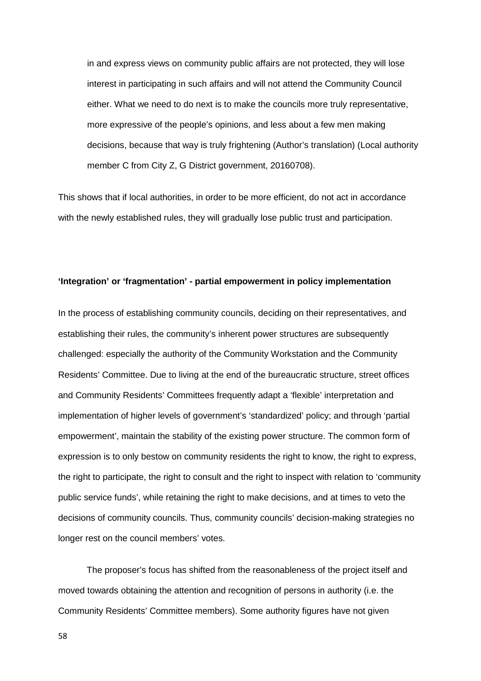in and express views on community public affairs are not protected, they will lose interest in participating in such affairs and will not attend the Community Council either. What we need to do next is to make the councils more truly representative, more expressive of the people's opinions, and less about a few men making decisions, because that way is truly frightening (Author's translation) (Local authority member C from City Z, G District government, 20160708).

This shows that if local authorities, in order to be more efficient, do not act in accordance with the newly established rules, they will gradually lose public trust and participation.

## **'Integration' or 'fragmentation' - partial empowerment in policy implementation**

In the process of establishing community councils, deciding on their representatives, and establishing their rules, the community's inherent power structures are subsequently challenged: especially the authority of the Community Workstation and the Community Residents' Committee. Due to living at the end of the bureaucratic structure, street offices and Community Residents' Committees frequently adapt a 'flexible' interpretation and implementation of higher levels of government's 'standardized' policy; and through 'partial empowerment', maintain the stability of the existing power structure. The common form of expression is to only bestow on community residents the right to know, the right to express, the right to participate, the right to consult and the right to inspect with relation to 'community public service funds', while retaining the right to make decisions, and at times to veto the decisions of community councils. Thus, community councils' decision-making strategies no longer rest on the council members' votes.

The proposer's focus has shifted from the reasonableness of the project itself and moved towards obtaining the attention and recognition of persons in authority (i.e. the Community Residents' Committee members). Some authority figures have not given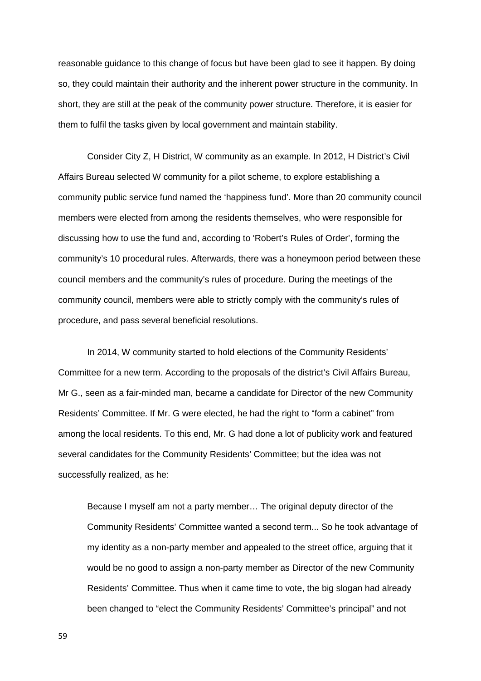reasonable guidance to this change of focus but have been glad to see it happen. By doing so, they could maintain their authority and the inherent power structure in the community. In short, they are still at the peak of the community power structure. Therefore, it is easier for them to fulfil the tasks given by local government and maintain stability.

Consider City Z, H District, W community as an example. In 2012, H District's Civil Affairs Bureau selected W community for a pilot scheme, to explore establishing a community public service fund named the 'happiness fund'. More than 20 community council members were elected from among the residents themselves, who were responsible for discussing how to use the fund and, according to 'Robert's Rules of Order', forming the community's 10 procedural rules. Afterwards, there was a honeymoon period between these council members and the community's rules of procedure. During the meetings of the community council, members were able to strictly comply with the community's rules of procedure, and pass several beneficial resolutions.

In 2014, W community started to hold elections of the Community Residents' Committee for a new term. According to the proposals of the district's Civil Affairs Bureau, Mr G., seen as a fair-minded man, became a candidate for Director of the new Community Residents' Committee. If Mr. G were elected, he had the right to "form a cabinet" from among the local residents. To this end, Mr. G had done a lot of publicity work and featured several candidates for the Community Residents' Committee; but the idea was not successfully realized, as he:

Because I myself am not a party member… The original deputy director of the Community Residents' Committee wanted a second term... So he took advantage of my identity as a non-party member and appealed to the street office, arguing that it would be no good to assign a non-party member as Director of the new Community Residents' Committee. Thus when it came time to vote, the big slogan had already been changed to "elect the Community Residents' Committee's principal" and not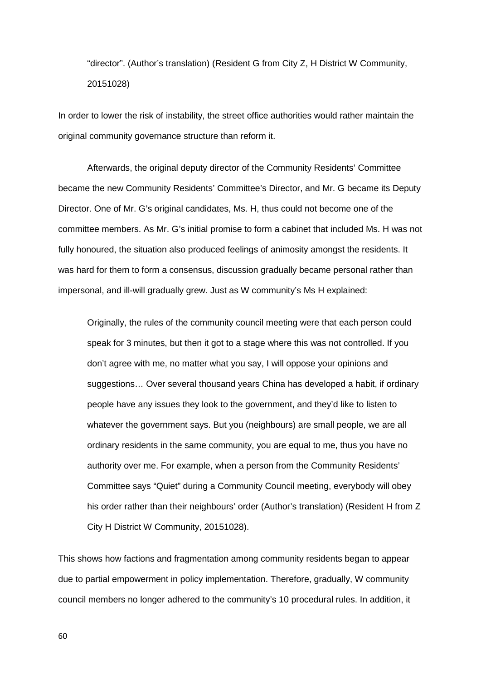"director". (Author's translation) (Resident G from City Z, H District W Community, 20151028)

In order to lower the risk of instability, the street office authorities would rather maintain the original community governance structure than reform it.

Afterwards, the original deputy director of the Community Residents' Committee became the new Community Residents' Committee's Director, and Mr. G became its Deputy Director. One of Mr. G's original candidates, Ms. H, thus could not become one of the committee members. As Mr. G's initial promise to form a cabinet that included Ms. H was not fully honoured, the situation also produced feelings of animosity amongst the residents. It was hard for them to form a consensus, discussion gradually became personal rather than impersonal, and ill-will gradually grew. Just as W community's Ms H explained:

Originally, the rules of the community council meeting were that each person could speak for 3 minutes, but then it got to a stage where this was not controlled. If you don't agree with me, no matter what you say, I will oppose your opinions and suggestions… Over several thousand years China has developed a habit, if ordinary people have any issues they look to the government, and they'd like to listen to whatever the government says. But you (neighbours) are small people, we are all ordinary residents in the same community, you are equal to me, thus you have no authority over me. For example, when a person from the Community Residents' Committee says "Quiet" during a Community Council meeting, everybody will obey his order rather than their neighbours' order (Author's translation) (Resident H from Z City H District W Community, 20151028).

This shows how factions and fragmentation among community residents began to appear due to partial empowerment in policy implementation. Therefore, gradually, W community council members no longer adhered to the community's 10 procedural rules. In addition, it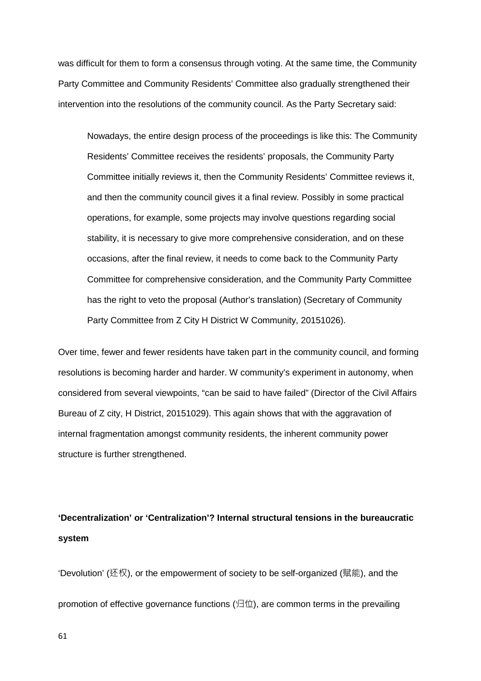was difficult for them to form a consensus through voting. At the same time, the Community Party Committee and Community Residents' Committee also gradually strengthened their intervention into the resolutions of the community council. As the Party Secretary said:

Nowadays, the entire design process of the proceedings is like this: The Community Residents' Committee receives the residents' proposals, the Community Party Committee initially reviews it, then the Community Residents' Committee reviews it, and then the community council gives it a final review. Possibly in some practical operations, for example, some projects may involve questions regarding social stability, it is necessary to give more comprehensive consideration, and on these occasions, after the final review, it needs to come back to the Community Party Committee for comprehensive consideration, and the Community Party Committee has the right to veto the proposal (Author's translation) (Secretary of Community Party Committee from Z City H District W Community, 20151026).

Over time, fewer and fewer residents have taken part in the community council, and forming resolutions is becoming harder and harder. W community's experiment in autonomy, when considered from several viewpoints, "can be said to have failed" (Director of the Civil Affairs Bureau of Z city, H District, 20151029). This again shows that with the aggravation of internal fragmentation amongst community residents, the inherent community power structure is further strengthened.

**'Decentralization' or 'Centralization'? Internal structural tensions in the bureaucratic system**

'Devolution' (还权), or the empowerment of society to be self-organized (赋能), and the promotion of effective governance functions (归位), are common terms in the prevailing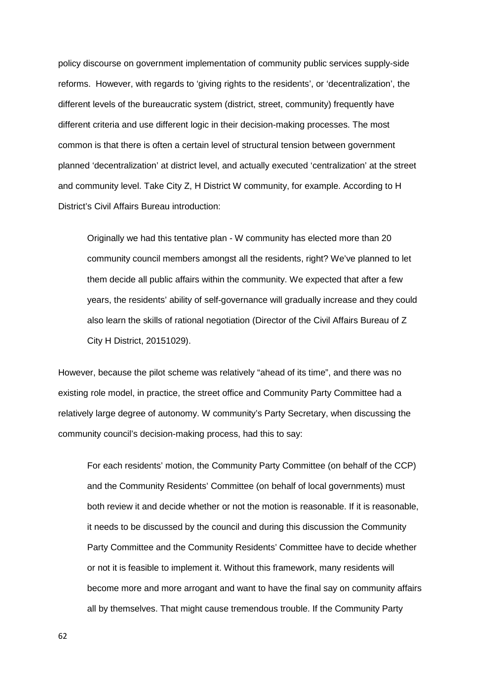policy discourse on government implementation of community public services supply-side reforms. However, with regards to 'giving rights to the residents', or 'decentralization', the different levels of the bureaucratic system (district, street, community) frequently have different criteria and use different logic in their decision-making processes. The most common is that there is often a certain level of structural tension between government planned 'decentralization' at district level, and actually executed 'centralization' at the street and community level. Take City Z, H District W community, for example. According to H District's Civil Affairs Bureau introduction:

Originally we had this tentative plan - W community has elected more than 20 community council members amongst all the residents, right? We've planned to let them decide all public affairs within the community. We expected that after a few years, the residents' ability of self-governance will gradually increase and they could also learn the skills of rational negotiation (Director of the Civil Affairs Bureau of Z City H District, 20151029).

However, because the pilot scheme was relatively "ahead of its time", and there was no existing role model, in practice, the street office and Community Party Committee had a relatively large degree of autonomy. W community's Party Secretary, when discussing the community council's decision-making process, had this to say:

For each residents' motion, the Community Party Committee (on behalf of the CCP) and the Community Residents' Committee (on behalf of local governments) must both review it and decide whether or not the motion is reasonable. If it is reasonable, it needs to be discussed by the council and during this discussion the Community Party Committee and the Community Residents' Committee have to decide whether or not it is feasible to implement it. Without this framework, many residents will become more and more arrogant and want to have the final say on community affairs all by themselves. That might cause tremendous trouble. If the Community Party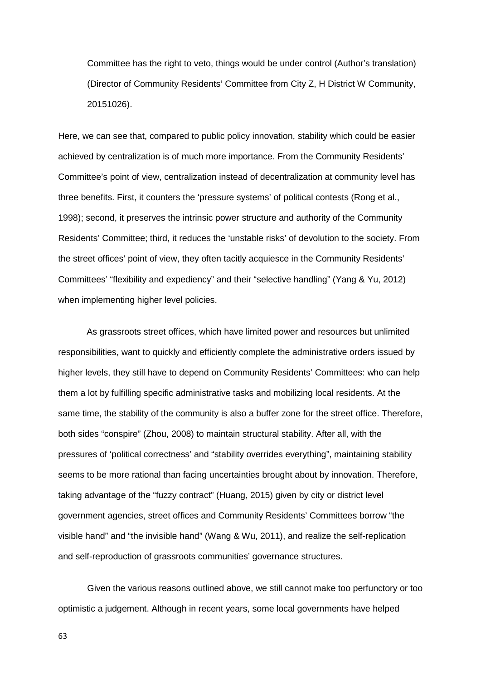Committee has the right to veto, things would be under control (Author's translation) (Director of Community Residents' Committee from City Z, H District W Community, 20151026).

Here, we can see that, compared to public policy innovation, stability which could be easier achieved by centralization is of much more importance. From the Community Residents' Committee's point of view, centralization instead of decentralization at community level has three benefits. First, it counters the 'pressure systems' of political contests (Rong et al., 1998); second, it preserves the intrinsic power structure and authority of the Community Residents' Committee; third, it reduces the 'unstable risks' of devolution to the society. From the street offices' point of view, they often tacitly acquiesce in the Community Residents' Committees' "flexibility and expediency" and their "selective handling" (Yang & Yu, 2012) when implementing higher level policies.

As grassroots street offices, which have limited power and resources but unlimited responsibilities, want to quickly and efficiently complete the administrative orders issued by higher levels, they still have to depend on Community Residents' Committees: who can help them a lot by fulfilling specific administrative tasks and mobilizing local residents. At the same time, the stability of the community is also a buffer zone for the street office. Therefore, both sides "conspire" (Zhou, 2008) to maintain structural stability. After all, with the pressures of 'political correctness' and "stability overrides everything", maintaining stability seems to be more rational than facing uncertainties brought about by innovation. Therefore, taking advantage of the "fuzzy contract" (Huang, 2015) given by city or district level government agencies, street offices and Community Residents' Committees borrow "the visible hand" and "the invisible hand" (Wang & Wu, 2011), and realize the self-replication and self-reproduction of grassroots communities' governance structures.

Given the various reasons outlined above, we still cannot make too perfunctory or too optimistic a judgement. Although in recent years, some local governments have helped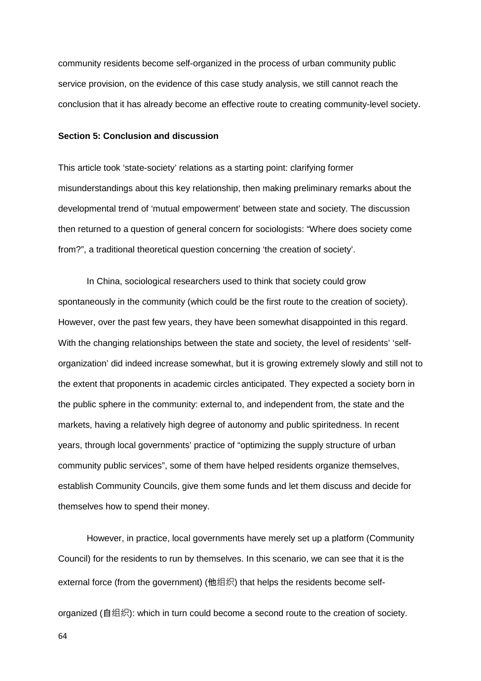community residents become self-organized in the process of urban community public service provision, on the evidence of this case study analysis, we still cannot reach the conclusion that it has already become an effective route to creating community-level society.

#### **Section 5: Conclusion and discussion**

This article took 'state-society' relations as a starting point: clarifying former misunderstandings about this key relationship, then making preliminary remarks about the developmental trend of 'mutual empowerment' between state and society. The discussion then returned to a question of general concern for sociologists: "Where does society come from?", a traditional theoretical question concerning 'the creation of society'.

In China, sociological researchers used to think that society could grow spontaneously in the community (which could be the first route to the creation of society). However, over the past few years, they have been somewhat disappointed in this regard. With the changing relationships between the state and society, the level of residents' 'selforganization' did indeed increase somewhat, but it is growing extremely slowly and still not to the extent that proponents in academic circles anticipated. They expected a society born in the public sphere in the community: external to, and independent from, the state and the markets, having a relatively high degree of autonomy and public spiritedness. In recent years, through local governments' practice of "optimizing the supply structure of urban community public services", some of them have helped residents organize themselves, establish Community Councils, give them some funds and let them discuss and decide for themselves how to spend their money.

However, in practice, local governments have merely set up a platform (Community Council) for the residents to run by themselves. In this scenario, we can see that it is the external force (from the government) (他组织) that helps the residents become self-

organized (自组织): which in turn could become a second route to the creation of society.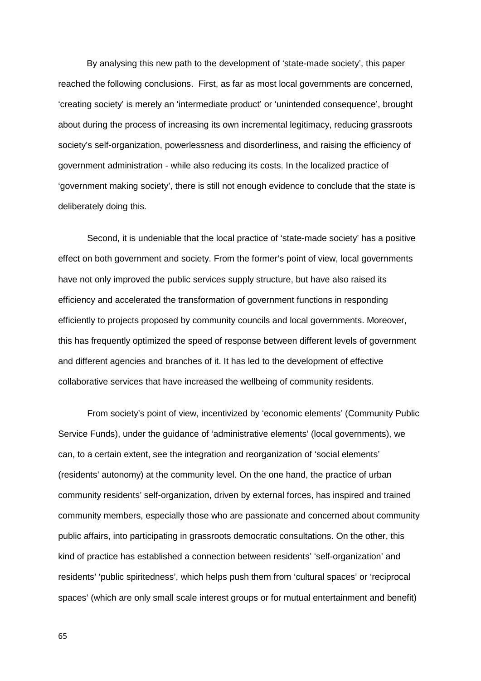By analysing this new path to the development of 'state-made society', this paper reached the following conclusions. First, as far as most local governments are concerned, 'creating society' is merely an 'intermediate product' or 'unintended consequence', brought about during the process of increasing its own incremental legitimacy, reducing grassroots society's self-organization, powerlessness and disorderliness, and raising the efficiency of government administration - while also reducing its costs. In the localized practice of 'government making society', there is still not enough evidence to conclude that the state is deliberately doing this.

Second, it is undeniable that the local practice of 'state-made society' has a positive effect on both government and society. From the former's point of view, local governments have not only improved the public services supply structure, but have also raised its efficiency and accelerated the transformation of government functions in responding efficiently to projects proposed by community councils and local governments. Moreover, this has frequently optimized the speed of response between different levels of government and different agencies and branches of it. It has led to the development of effective collaborative services that have increased the wellbeing of community residents.

From society's point of view, incentivized by 'economic elements' (Community Public Service Funds), under the guidance of 'administrative elements' (local governments), we can, to a certain extent, see the integration and reorganization of 'social elements' (residents' autonomy) at the community level. On the one hand, the practice of urban community residents' self-organization, driven by external forces, has inspired and trained community members, especially those who are passionate and concerned about community public affairs, into participating in grassroots democratic consultations. On the other, this kind of practice has established a connection between residents' 'self-organization' and residents' 'public spiritedness', which helps push them from 'cultural spaces' or 'reciprocal spaces' (which are only small scale interest groups or for mutual entertainment and benefit)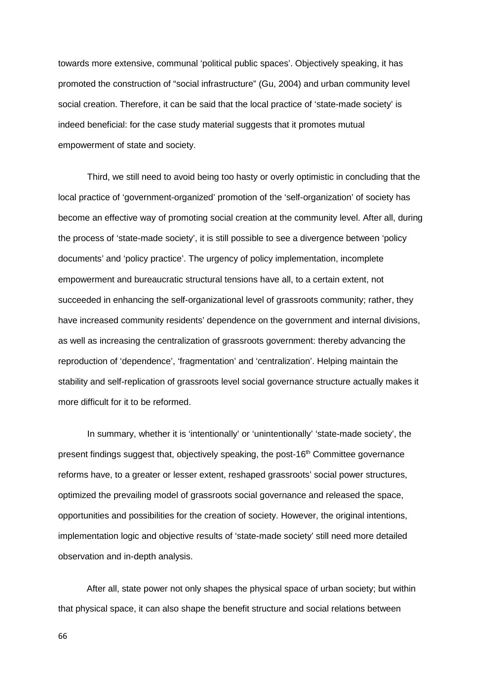towards more extensive, communal 'political public spaces'. Objectively speaking, it has promoted the construction of "social infrastructure" (Gu, 2004) and urban community level social creation. Therefore, it can be said that the local practice of 'state-made society' is indeed beneficial: for the case study material suggests that it promotes mutual empowerment of state and society.

Third, we still need to avoid being too hasty or overly optimistic in concluding that the local practice of 'government-organized' promotion of the 'self-organization' of society has become an effective way of promoting social creation at the community level. After all, during the process of 'state-made society', it is still possible to see a divergence between 'policy documents' and 'policy practice'. The urgency of policy implementation, incomplete empowerment and bureaucratic structural tensions have all, to a certain extent, not succeeded in enhancing the self-organizational level of grassroots community; rather, they have increased community residents' dependence on the government and internal divisions, as well as increasing the centralization of grassroots government: thereby advancing the reproduction of 'dependence', 'fragmentation' and 'centralization'. Helping maintain the stability and self-replication of grassroots level social governance structure actually makes it more difficult for it to be reformed.

In summary, whether it is 'intentionally' or 'unintentionally' 'state-made society', the present findings suggest that, objectively speaking, the post-16th Committee governance reforms have, to a greater or lesser extent, reshaped grassroots' social power structures, optimized the prevailing model of grassroots social governance and released the space, opportunities and possibilities for the creation of society. However, the original intentions, implementation logic and objective results of 'state-made society' still need more detailed observation and in-depth analysis.

After all, state power not only shapes the physical space of urban society; but within that physical space, it can also shape the benefit structure and social relations between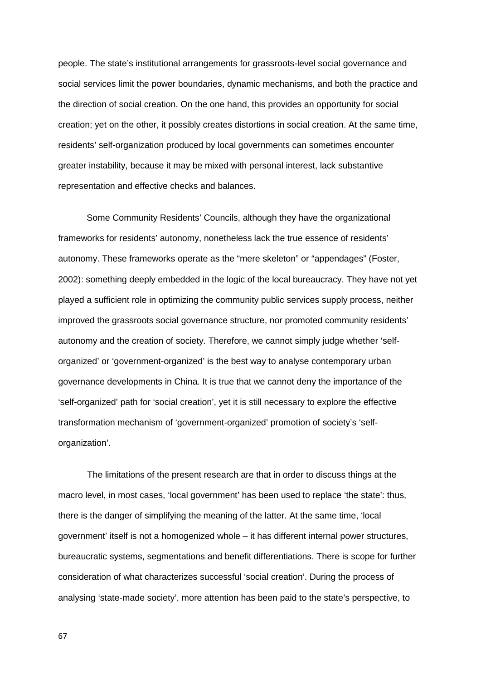people. The state's institutional arrangements for grassroots-level social governance and social services limit the power boundaries, dynamic mechanisms, and both the practice and the direction of social creation. On the one hand, this provides an opportunity for social creation; yet on the other, it possibly creates distortions in social creation. At the same time, residents' self-organization produced by local governments can sometimes encounter greater instability, because it may be mixed with personal interest, lack substantive representation and effective checks and balances.

Some Community Residents' Councils, although they have the organizational frameworks for residents' autonomy, nonetheless lack the true essence of residents' autonomy. These frameworks operate as the "mere skeleton" or "appendages" (Foster, 2002): something deeply embedded in the logic of the local bureaucracy. They have not yet played a sufficient role in optimizing the community public services supply process, neither improved the grassroots social governance structure, nor promoted community residents' autonomy and the creation of society. Therefore, we cannot simply judge whether 'selforganized' or 'government-organized' is the best way to analyse contemporary urban governance developments in China. It is true that we cannot deny the importance of the 'self-organized' path for 'social creation', yet it is still necessary to explore the effective transformation mechanism of 'government-organized' promotion of society's 'selforganization'.

The limitations of the present research are that in order to discuss things at the macro level, in most cases, 'local government' has been used to replace 'the state': thus, there is the danger of simplifying the meaning of the latter. At the same time, 'local government' itself is not a homogenized whole – it has different internal power structures, bureaucratic systems, segmentations and benefit differentiations. There is scope for further consideration of what characterizes successful 'social creation'. During the process of analysing 'state-made society', more attention has been paid to the state's perspective, to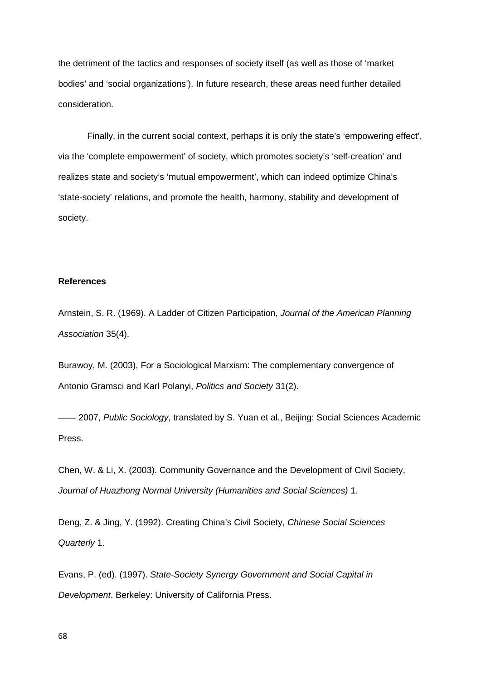the detriment of the tactics and responses of society itself (as well as those of 'market bodies' and 'social organizations'). In future research, these areas need further detailed consideration.

Finally, in the current social context, perhaps it is only the state's 'empowering effect', via the 'complete empowerment' of society, which promotes society's 'self-creation' and realizes state and society's 'mutual empowerment', which can indeed optimize China's 'state-society' relations, and promote the health, harmony, stability and development of society.

## **References**

Arnstein, S. R. (1969). A Ladder of Citizen Participation, *Journal of the American Planning Association* 35(4).

Burawoy, M. (2003), For a Sociological Marxism: The complementary convergence of Antonio Gramsci and Karl Polanyi, *Politics and Society* 31(2).

—— 2007, *Public Sociology*, translated by S. Yuan et al., Beijing: Social Sciences Academic Press.

Chen, W. & Li, X. (2003). Community Governance and the Development of Civil Society, *Journal of Huazhong Normal University (Humanities and Social Sciences)* 1.

Deng, Z. & Jing, Y. (1992). Creating China's Civil Society, *Chinese Social Sciences Quarterly* 1.

Evans, P. (ed). (1997). *State-Society Synergy Government and Social Capital in Development*. Berkeley: University of California Press.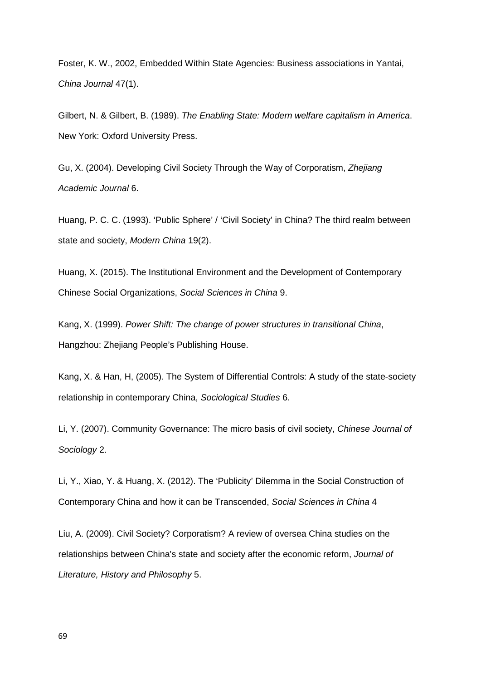Foster, K. W., 2002, Embedded Within State Agencies: Business associations in Yantai, *China Journal* 47(1).

Gilbert, N. & Gilbert, B. (1989). *The Enabling State: Modern welfare capitalism in America*. New York: Oxford University Press.

Gu, X. (2004). Developing Civil Society Through the Way of Corporatism, *Zhejiang Academic Journal* 6.

Huang, P. C. C. (1993). 'Public Sphere' / 'Civil Society' in China? The third realm between state and society, *Modern China* 19(2).

Huang, X. (2015). The Institutional Environment and the Development of Contemporary Chinese Social Organizations, *Social Sciences in China* 9.

Kang, X. (1999). *Power Shift: The change of power structures in transitional China*, Hangzhou: Zhejiang People's Publishing House.

Kang, X. & Han, H, (2005). The System of Differential Controls: A study of the state-society relationship in contemporary China, *Sociological Studies* 6.

Li, Y. (2007). Community Governance: The micro basis of civil society, *Chinese Journal of Sociology* 2.

Li, Y., Xiao, Y. & Huang, X. (2012). The 'Publicity' Dilemma in the Social Construction of Contemporary China and how it can be Transcended, *Social Sciences in China* 4

Liu, A. (2009). Civil Society? Corporatism? A review of oversea China studies on the relationships between China's state and society after the economic reform, *Journal of Literature, History and Philosophy* 5.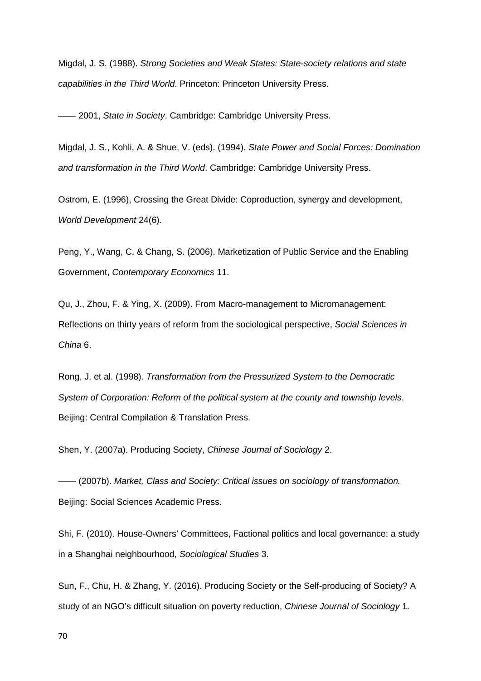Migdal, J. S. (1988). *Strong Societies and Weak States: State-society relations and state capabilities in the Third World*. Princeton: Princeton University Press.

—— 2001, *State in Society*. Cambridge: Cambridge University Press.

Migdal, J. S., Kohli, A. & Shue, V. (eds). (1994). *State Power and Social Forces: Domination and transformation in the Third World*. Cambridge: Cambridge University Press.

Ostrom, E. (1996), Crossing the Great Divide: Coproduction, synergy and development, *World Development* 24(6).

Peng, Y., Wang, C. & Chang, S. (2006). Marketization of Public Service and the Enabling Government, *Contemporary Economics* 11.

Qu, J., Zhou, F. & Ying, X. (2009). From Macro-management to Micromanagement: Reflections on thirty years of reform from the sociological perspective, *Social Sciences in China* 6.

Rong, J. et al. (1998). *Transformation from the Pressurized System to the Democratic System of Corporation: Reform of the political system at the county and township levels*. Beijing: Central Compilation & Translation Press.

Shen, Y. (2007a). Producing Society, *Chinese Journal of Sociology* 2.

—— (2007b). *Market, Class and Society: Critical issues on sociology of transformation.* Beijing: Social Sciences Academic Press.

Shi, F. (2010). House-Owners' Committees, Factional politics and local governance: a study in a Shanghai neighbourhood, *Sociological Studies* 3.

Sun, F., Chu, H. & Zhang, Y. (2016). Producing Society or the Self-producing of Society? A study of an NGO's difficult situation on poverty reduction, *Chinese Journal of Sociology* 1.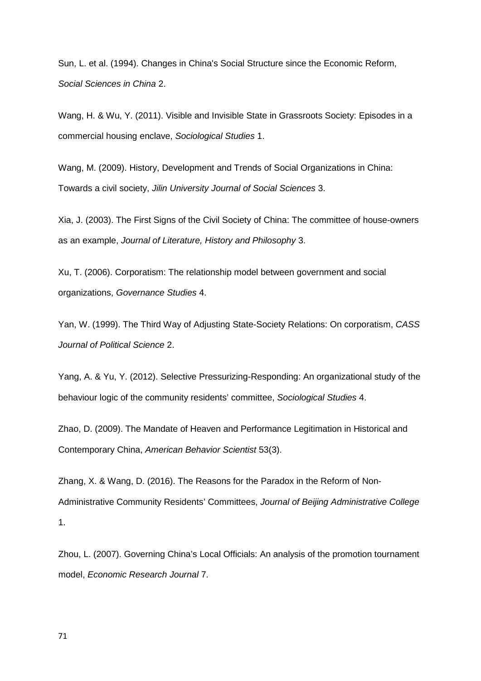Sun, L. et al. (1994). Changes in China's Social Structure since the Economic Reform, *Social Sciences in China* 2.

Wang, H. & Wu, Y. (2011). Visible and Invisible State in Grassroots Society: Episodes in a commercial housing enclave, *Sociological Studies* 1.

Wang, M. (2009). History, Development and Trends of Social Organizations in China: Towards a civil society, *Jilin University Journal of Social Sciences* 3.

Xia, J. (2003). The First Signs of the Civil Society of China: The committee of house-owners as an example, *Journal of Literature, History and Philosophy* 3.

Xu, T. (2006). Corporatism: The relationship model between government and social organizations, *Governance Studies* 4.

Yan, W. (1999). The Third Way of Adjusting State-Society Relations: On corporatism, *CASS Journal of Political Science* 2.

Yang, A. & Yu, Y. (2012). Selective Pressurizing-Responding: An organizational study of the behaviour logic of the community residents' committee, *Sociological Studies* 4.

Zhao, D. (2009). The Mandate of Heaven and Performance Legitimation in Historical and Contemporary China, *American Behavior Scientist* 53(3).

Zhang, X. & Wang, D. (2016). The Reasons for the Paradox in the Reform of Non-Administrative Community Residents' Committees, *Journal of Beijing Administrative College* 1.

Zhou, L. (2007). Governing China's Local Officials: An analysis of the promotion tournament model, *Economic Research Journal* 7.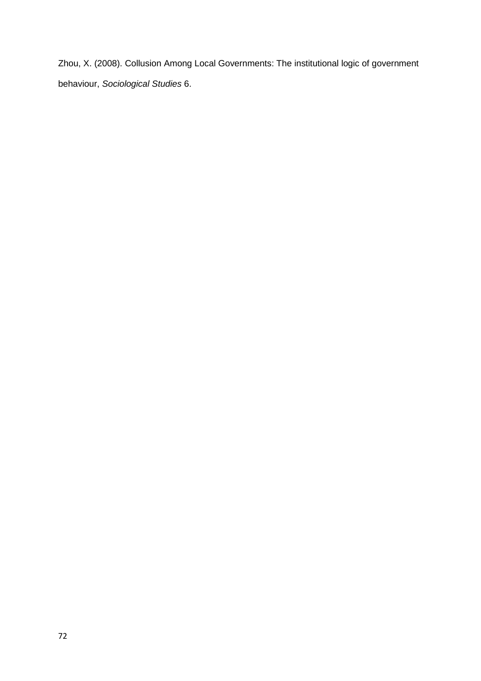Zhou, X. (2008). Collusion Among Local Governments: The institutional logic of government behaviour, *Sociological Studies* 6.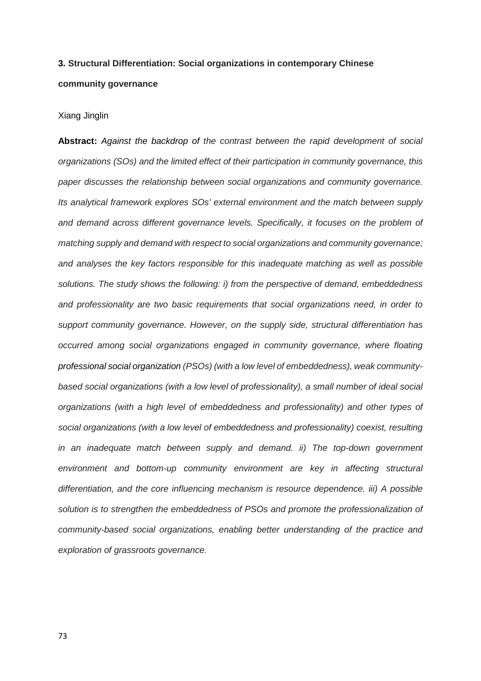# **3. Structural Differentiation: Social organizations in contemporary Chinese community governance**

#### Xiang Jinglin

**Abstract:** *Against the backdrop of the contrast between the rapid development of social organizations (SOs) and the limited effect of their participation in community governance, this paper discusses the relationship between social organizations and community governance. Its analytical framework explores SOs' external environment and the match between supply and demand across different governance levels. Specifically, it focuses on the problem of matching supply and demand with respect to social organizations and community governance; and analyses the key factors responsible for this inadequate matching as well as possible solutions. The study shows the following: i) from the perspective of demand, embeddedness and professionality are two basic requirements that social organizations need, in order to support community governance. However, on the supply side, structural differentiation has occurred among social organizations engaged in community governance, where floating professional social organization (PSOs) (with a low level of embeddedness), weak communitybased social organizations (with a low level of professionality), a small number of ideal social organizations (with a high level of embeddedness and professionality) and other types of social organizations (with a low level of embeddedness and professionality) coexist, resulting in an inadequate match between supply and demand. ii) The top-down government environment and bottom-up community environment are key in affecting structural differentiation, and the core influencing mechanism is resource dependence. iii) A possible solution is to strengthen the embeddedness of PSOs and promote the professionalization of community-based social organizations, enabling better understanding of the practice and exploration of grassroots governance.*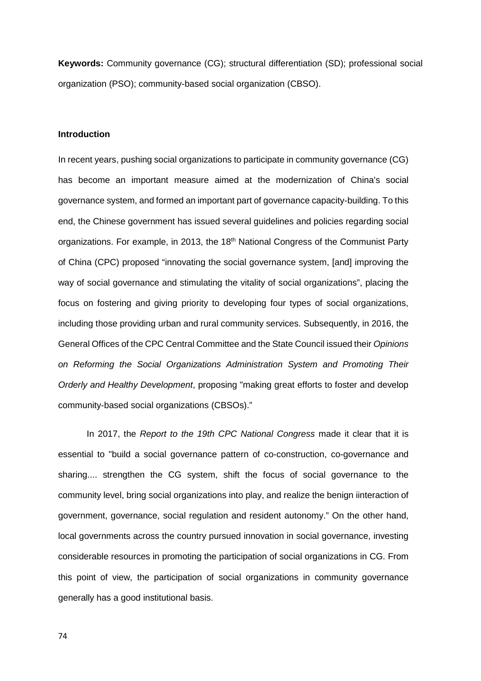**Keywords:** Community governance (CG); structural differentiation (SD); professional social organization (PSO); community-based social organization (CBSO).

# **Introduction**

In recent years, pushing social organizations to participate in community governance (CG) has become an important measure aimed at the modernization of China's social governance system, and formed an important part of governance capacity-building. To this end, the Chinese government has issued several guidelines and policies regarding social organizations. For example, in 2013, the 18<sup>th</sup> National Congress of the Communist Party of China (CPC) proposed "innovating the social governance system, [and] improving the way of social governance and stimulating the vitality of social organizations", placing the focus on fostering and giving priority to developing four types of social organizations, including those providing urban and rural community services. Subsequently, in 2016, the General Offices of the CPC Central Committee and the State Council issued their *Opinions on Reforming the Social Organizations Administration System and Promoting Their Orderly and Healthy Development*, proposing "making great efforts to foster and develop community-based social organizations (CBSOs)."

In 2017, the *Report to the 19th CPC National Congress* made it clear that it is essential to "build a social governance pattern of co-construction, co-governance and sharing.... strengthen the CG system, shift the focus of social governance to the community level, bring social organizations into play, and realize the benign iinteraction of government, governance, social regulation and resident autonomy." On the other hand, local governments across the country pursued innovation in social governance, investing considerable resources in promoting the participation of social organizations in CG. From this point of view, the participation of social organizations in community governance generally has a good institutional basis.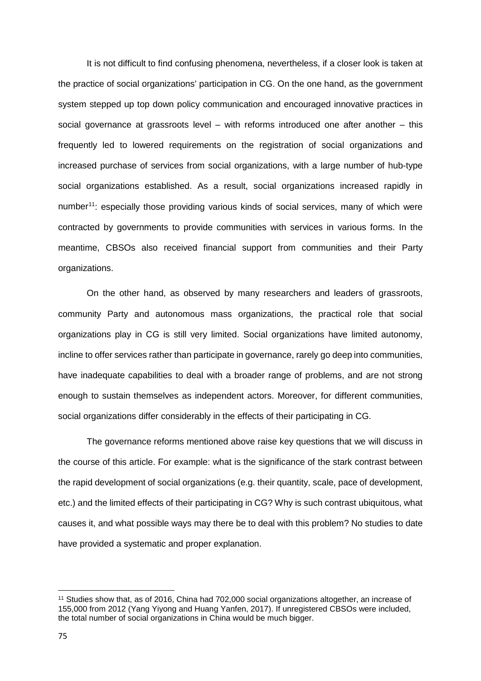It is not difficult to find confusing phenomena, nevertheless, if a closer look is taken at the practice of social organizations' participation in CG. On the one hand, as the government system stepped up top down policy communication and encouraged innovative practices in social governance at grassroots level – with reforms introduced one after another – this frequently led to lowered requirements on the registration of social organizations and increased purchase of services from social organizations, with a large number of hub-type social organizations established. As a result, social organizations increased rapidly in number[11](#page-74-0): especially those providing various kinds of social services, many of which were contracted by governments to provide communities with services in various forms. In the meantime, CBSOs also received financial support from communities and their Party organizations.

On the other hand, as observed by many researchers and leaders of grassroots, community Party and autonomous mass organizations, the practical role that social organizations play in CG is still very limited. Social organizations have limited autonomy, incline to offer services rather than participate in governance, rarely go deep into communities, have inadequate capabilities to deal with a broader range of problems, and are not strong enough to sustain themselves as independent actors. Moreover, for different communities, social organizations differ considerably in the effects of their participating in CG.

The governance reforms mentioned above raise key questions that we will discuss in the course of this article. For example: what is the significance of the stark contrast between the rapid development of social organizations (e.g. their quantity, scale, pace of development, etc.) and the limited effects of their participating in CG? Why is such contrast ubiquitous, what causes it, and what possible ways may there be to deal with this problem? No studies to date have provided a systematic and proper explanation.

**.** 

<span id="page-74-0"></span><sup>11</sup> Studies show that, as of 2016, China had 702,000 social organizations altogether, an increase of 155,000 from 2012 (Yang Yiyong and Huang Yanfen, 2017). If unregistered CBSOs were included, the total number of social organizations in China would be much bigger.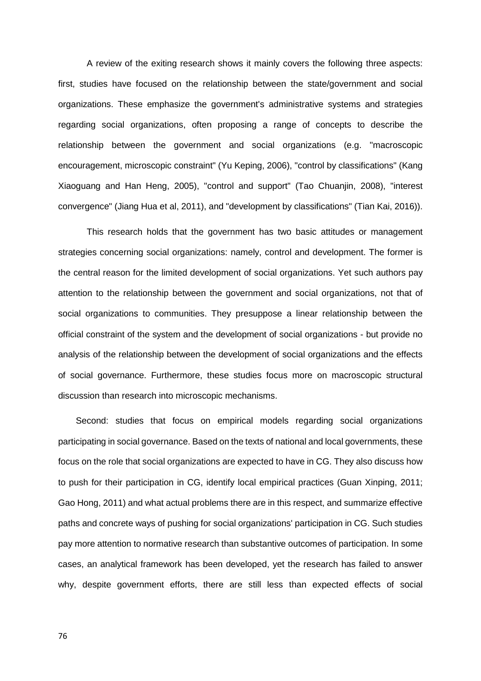A review of the exiting research shows it mainly covers the following three aspects: first, studies have focused on the relationship between the state/government and social organizations. These emphasize the government's administrative systems and strategies regarding social organizations, often proposing a range of concepts to describe the relationship between the government and social organizations (e.g. "macroscopic encouragement, microscopic constraint" (Yu Keping, 2006), "control by classifications" (Kang Xiaoguang and Han Heng, 2005), "control and support" (Tao Chuanjin, 2008), "interest convergence" (Jiang Hua et al, 2011), and "development by classifications" (Tian Kai, 2016)).

This research holds that the government has two basic attitudes or management strategies concerning social organizations: namely, control and development. The former is the central reason for the limited development of social organizations. Yet such authors pay attention to the relationship between the government and social organizations, not that of social organizations to communities. They presuppose a linear relationship between the official constraint of the system and the development of social organizations - but provide no analysis of the relationship between the development of social organizations and the effects of social governance. Furthermore, these studies focus more on macroscopic structural discussion than research into microscopic mechanisms.

Second: studies that focus on empirical models regarding social organizations participating in social governance. Based on the texts of national and local governments, these focus on the role that social organizations are expected to have in CG. They also discuss how to push for their participation in CG, identify local empirical practices (Guan Xinping, 2011; Gao Hong, 2011) and what actual problems there are in this respect, and summarize effective paths and concrete ways of pushing for social organizations' participation in CG. Such studies pay more attention to normative research than substantive outcomes of participation. In some cases, an analytical framework has been developed, yet the research has failed to answer why, despite government efforts, there are still less than expected effects of social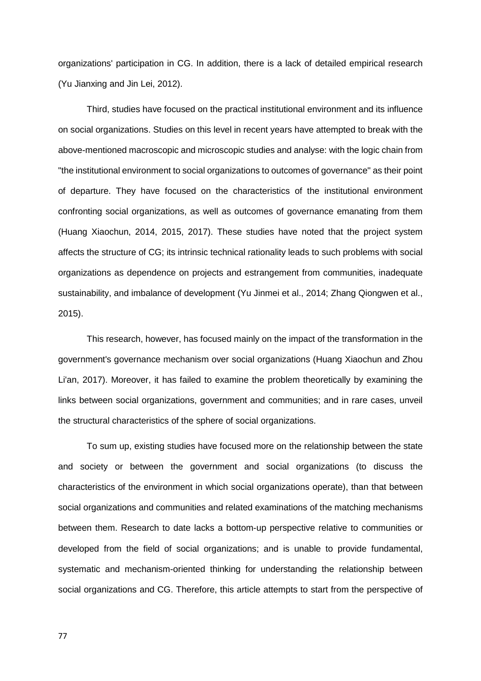organizations' participation in CG. In addition, there is a lack of detailed empirical research (Yu Jianxing and Jin Lei, 2012).

Third, studies have focused on the practical institutional environment and its influence on social organizations. Studies on this level in recent years have attempted to break with the above-mentioned macroscopic and microscopic studies and analyse: with the logic chain from "the institutional environment to social organizations to outcomes of governance" as their point of departure. They have focused on the characteristics of the institutional environment confronting social organizations, as well as outcomes of governance emanating from them (Huang Xiaochun, 2014, 2015, 2017). These studies have noted that the project system affects the structure of CG; its intrinsic technical rationality leads to such problems with social organizations as dependence on projects and estrangement from communities, inadequate sustainability, and imbalance of development (Yu Jinmei et al., 2014; Zhang Qiongwen et al., 2015).

This research, however, has focused mainly on the impact of the transformation in the government's governance mechanism over social organizations (Huang Xiaochun and Zhou Li'an, 2017). Moreover, it has failed to examine the problem theoretically by examining the links between social organizations, government and communities; and in rare cases, unveil the structural characteristics of the sphere of social organizations.

To sum up, existing studies have focused more on the relationship between the state and society or between the government and social organizations (to discuss the characteristics of the environment in which social organizations operate), than that between social organizations and communities and related examinations of the matching mechanisms between them. Research to date lacks a bottom-up perspective relative to communities or developed from the field of social organizations; and is unable to provide fundamental, systematic and mechanism-oriented thinking for understanding the relationship between social organizations and CG. Therefore, this article attempts to start from the perspective of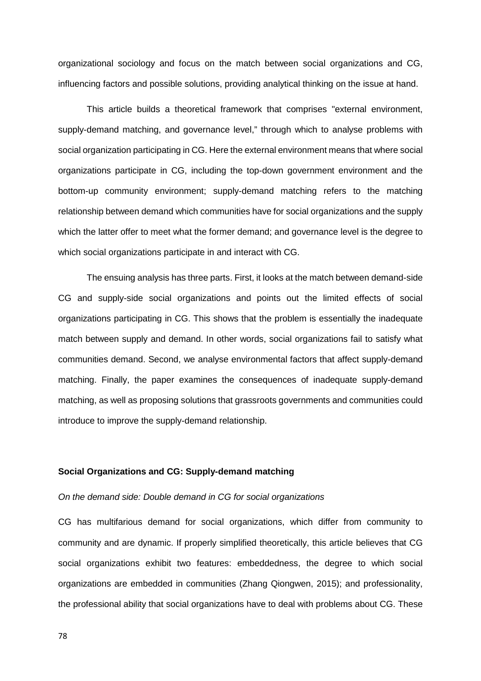organizational sociology and focus on the match between social organizations and CG, influencing factors and possible solutions, providing analytical thinking on the issue at hand.

This article builds a theoretical framework that comprises "external environment, supply-demand matching, and governance level," through which to analyse problems with social organization participating in CG. Here the external environment means that where social organizations participate in CG, including the top-down government environment and the bottom-up community environment; supply-demand matching refers to the matching relationship between demand which communities have for social organizations and the supply which the latter offer to meet what the former demand; and governance level is the degree to which social organizations participate in and interact with CG.

The ensuing analysis has three parts. First, it looks at the match between demand-side CG and supply-side social organizations and points out the limited effects of social organizations participating in CG. This shows that the problem is essentially the inadequate match between supply and demand. In other words, social organizations fail to satisfy what communities demand. Second, we analyse environmental factors that affect supply-demand matching. Finally, the paper examines the consequences of inadequate supply-demand matching, as well as proposing solutions that grassroots governments and communities could introduce to improve the supply-demand relationship.

# **Social Organizations and CG: Supply-demand matching**

# *On the demand side: Double demand in CG for social organizations*

CG has multifarious demand for social organizations, which differ from community to community and are dynamic. If properly simplified theoretically, this article believes that CG social organizations exhibit two features: embeddedness, the degree to which social organizations are embedded in communities (Zhang Qiongwen, 2015); and professionality, the professional ability that social organizations have to deal with problems about CG. These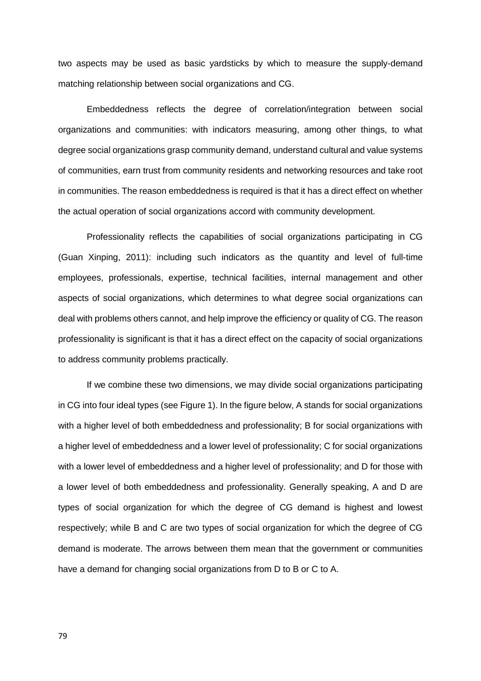two aspects may be used as basic yardsticks by which to measure the supply-demand matching relationship between social organizations and CG.

Embeddedness reflects the degree of correlation/integration between social organizations and communities: with indicators measuring, among other things, to what degree social organizations grasp community demand, understand cultural and value systems of communities, earn trust from community residents and networking resources and take root in communities. The reason embeddedness is required is that it has a direct effect on whether the actual operation of social organizations accord with community development.

Professionality reflects the capabilities of social organizations participating in CG (Guan Xinping, 2011): including such indicators as the quantity and level of full-time employees, professionals, expertise, technical facilities, internal management and other aspects of social organizations, which determines to what degree social organizations can deal with problems others cannot, and help improve the efficiency or quality of CG. The reason professionality is significant is that it has a direct effect on the capacity of social organizations to address community problems practically.

If we combine these two dimensions, we may divide social organizations participating in CG into four ideal types (see Figure 1). In the figure below, A stands for social organizations with a higher level of both embeddedness and professionality; B for social organizations with a higher level of embeddedness and a lower level of professionality; C for social organizations with a lower level of embeddedness and a higher level of professionality; and D for those with a lower level of both embeddedness and professionality. Generally speaking, A and D are types of social organization for which the degree of CG demand is highest and lowest respectively; while B and C are two types of social organization for which the degree of CG demand is moderate. The arrows between them mean that the government or communities have a demand for changing social organizations from D to B or C to A.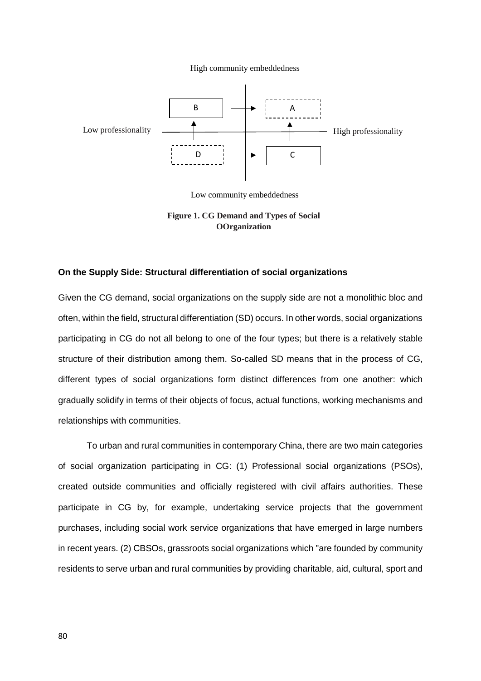High community embeddedness



Low community embeddedness

**Figure 1. CG Demand and Types of Social OOrganization**

# **On the Supply Side: Structural differentiation of social organizations**

Given the CG demand, social organizations on the supply side are not a monolithic bloc and often, within the field, structural differentiation (SD) occurs. In other words, social organizations participating in CG do not all belong to one of the four types; but there is a relatively stable structure of their distribution among them. So-called SD means that in the process of CG, different types of social organizations form distinct differences from one another: which gradually solidify in terms of their objects of focus, actual functions, working mechanisms and relationships with communities.

To urban and rural communities in contemporary China, there are two main categories of social organization participating in CG: (1) Professional social organizations (PSOs), created outside communities and officially registered with civil affairs authorities. These participate in CG by, for example, undertaking service projects that the government purchases, including social work service organizations that have emerged in large numbers in recent years. (2) CBSOs, grassroots social organizations which "are founded by community residents to serve urban and rural communities by providing charitable, aid, cultural, sport and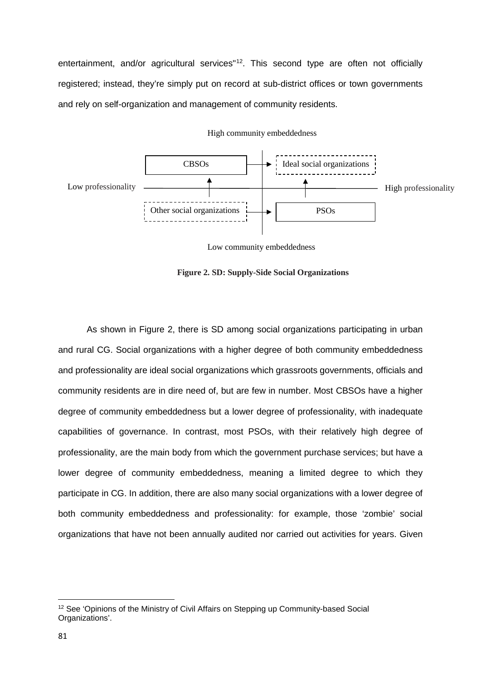entertainment, and/or agricultural services"<sup>[12](#page-80-0)</sup>. This second type are often not officially registered; instead, they're simply put on record at sub-district offices or town governments and rely on self-organization and management of community residents.



#### High community embeddedness

Low community embeddedness

**Figure 2. SD: Supply-Side Social Organizations**

As shown in Figure 2, there is SD among social organizations participating in urban and rural CG. Social organizations with a higher degree of both community embeddedness and professionality are ideal social organizations which grassroots governments, officials and community residents are in dire need of, but are few in number. Most CBSOs have a higher degree of community embeddedness but a lower degree of professionality, with inadequate capabilities of governance. In contrast, most PSOs, with their relatively high degree of professionality, are the main body from which the government purchase services; but have a lower degree of community embeddedness, meaning a limited degree to which they participate in CG. In addition, there are also many social organizations with a lower degree of both community embeddedness and professionality: for example, those 'zombie' social organizations that have not been annually audited nor carried out activities for years. Given

 $\overline{a}$ 

<span id="page-80-0"></span><sup>&</sup>lt;sup>12</sup> See 'Opinions of the Ministry of Civil Affairs on Stepping up Community-based Social Organizations'.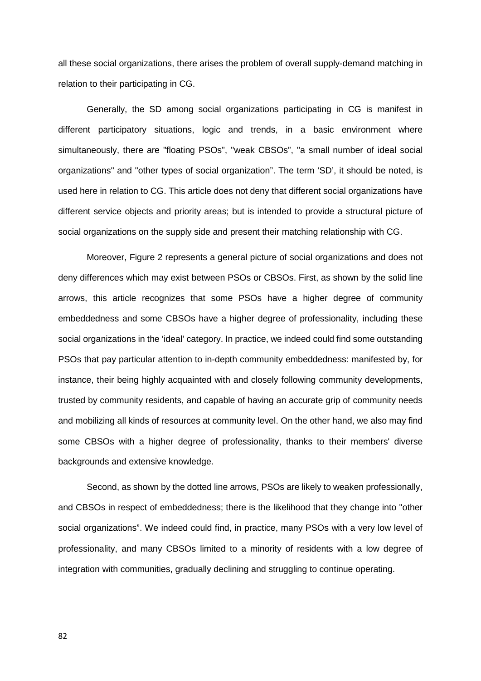all these social organizations, there arises the problem of overall supply-demand matching in relation to their participating in CG.

Generally, the SD among social organizations participating in CG is manifest in different participatory situations, logic and trends, in a basic environment where simultaneously, there are "floating PSOs", "weak CBSOs", "a small number of ideal social organizations" and "other types of social organization". The term 'SD', it should be noted, is used here in relation to CG. This article does not deny that different social organizations have different service objects and priority areas; but is intended to provide a structural picture of social organizations on the supply side and present their matching relationship with CG.

Moreover, Figure 2 represents a general picture of social organizations and does not deny differences which may exist between PSOs or CBSOs. First, as shown by the solid line arrows, this article recognizes that some PSOs have a higher degree of community embeddedness and some CBSOs have a higher degree of professionality, including these social organizations in the 'ideal' category. In practice, we indeed could find some outstanding PSOs that pay particular attention to in-depth community embeddedness: manifested by, for instance, their being highly acquainted with and closely following community developments, trusted by community residents, and capable of having an accurate grip of community needs and mobilizing all kinds of resources at community level. On the other hand, we also may find some CBSOs with a higher degree of professionality, thanks to their members' diverse backgrounds and extensive knowledge.

Second, as shown by the dotted line arrows, PSOs are likely to weaken professionally, and CBSOs in respect of embeddedness; there is the likelihood that they change into "other social organizations". We indeed could find, in practice, many PSOs with a very low level of professionality, and many CBSOs limited to a minority of residents with a low degree of integration with communities, gradually declining and struggling to continue operating.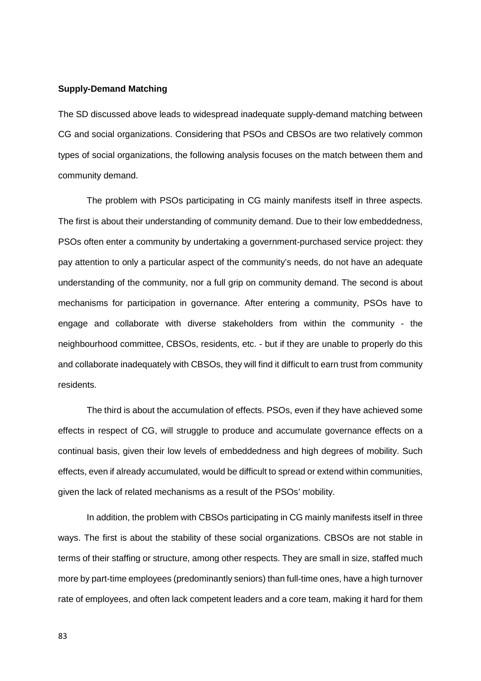#### **Supply-Demand Matching**

The SD discussed above leads to widespread inadequate supply-demand matching between CG and social organizations. Considering that PSOs and CBSOs are two relatively common types of social organizations, the following analysis focuses on the match between them and community demand.

The problem with PSOs participating in CG mainly manifests itself in three aspects. The first is about their understanding of community demand. Due to their low embeddedness, PSOs often enter a community by undertaking a government-purchased service project: they pay attention to only a particular aspect of the community's needs, do not have an adequate understanding of the community, nor a full grip on community demand. The second is about mechanisms for participation in governance. After entering a community, PSOs have to engage and collaborate with diverse stakeholders from within the community - the neighbourhood committee, CBSOs, residents, etc. - but if they are unable to properly do this and collaborate inadequately with CBSOs, they will find it difficult to earn trust from community residents.

The third is about the accumulation of effects. PSOs, even if they have achieved some effects in respect of CG, will struggle to produce and accumulate governance effects on a continual basis, given their low levels of embeddedness and high degrees of mobility. Such effects, even if already accumulated, would be difficult to spread or extend within communities, given the lack of related mechanisms as a result of the PSOs' mobility.

In addition, the problem with CBSOs participating in CG mainly manifests itself in three ways. The first is about the stability of these social organizations. CBSOs are not stable in terms of their staffing or structure, among other respects. They are small in size, staffed much more by part-time employees (predominantly seniors) than full-time ones, have a high turnover rate of employees, and often lack competent leaders and a core team, making it hard for them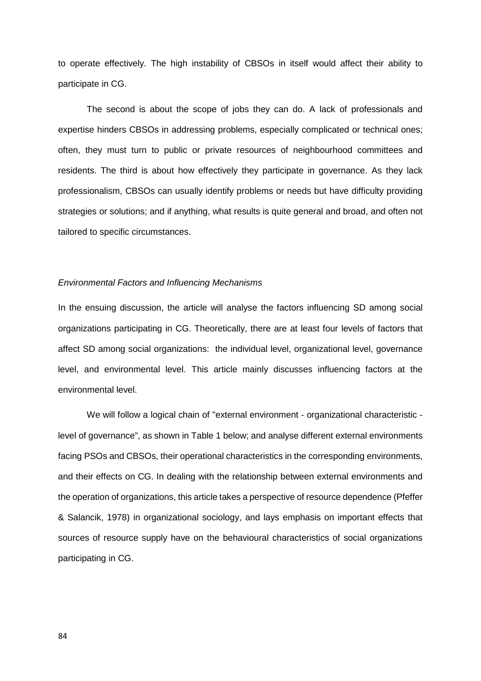to operate effectively. The high instability of CBSOs in itself would affect their ability to participate in CG.

The second is about the scope of jobs they can do. A lack of professionals and expertise hinders CBSOs in addressing problems, especially complicated or technical ones; often, they must turn to public or private resources of neighbourhood committees and residents. The third is about how effectively they participate in governance. As they lack professionalism, CBSOs can usually identify problems or needs but have difficulty providing strategies or solutions; and if anything, what results is quite general and broad, and often not tailored to specific circumstances.

# *Environmental Factors and Influencing Mechanisms*

In the ensuing discussion, the article will analyse the factors influencing SD among social organizations participating in CG. Theoretically, there are at least four levels of factors that affect SD among social organizations: the individual level, organizational level, governance level, and environmental level. This article mainly discusses influencing factors at the environmental level.

We will follow a logical chain of "external environment - organizational characteristic level of governance", as shown in Table 1 below; and analyse different external environments facing PSOs and CBSOs, their operational characteristics in the corresponding environments, and their effects on CG. In dealing with the relationship between external environments and the operation of organizations, this article takes a perspective of resource dependence (Pfeffer & Salancik, 1978) in organizational sociology, and lays emphasis on important effects that sources of resource supply have on the behavioural characteristics of social organizations participating in CG.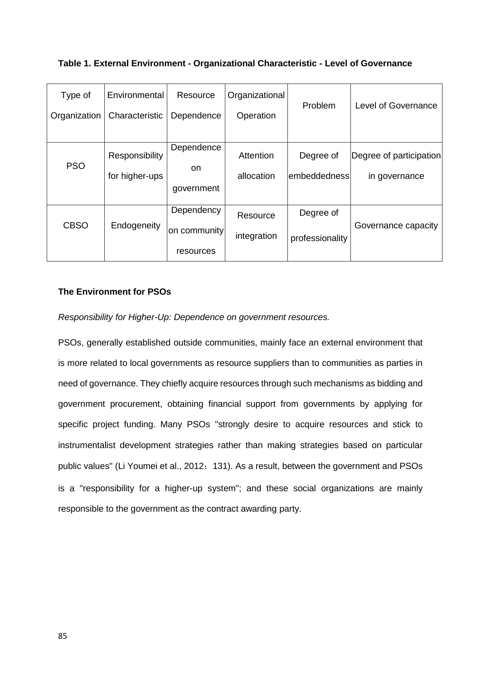# **Table 1. External Environment - Organizational Characteristic - Level of Governance**

| Type of      | Environmental  | Resource     | Organizational | Problem         | Level of Governance     |
|--------------|----------------|--------------|----------------|-----------------|-------------------------|
| Organization | Characteristic | Dependence   | Operation      |                 |                         |
|              |                |              |                |                 |                         |
| <b>PSO</b>   | Responsibility | Dependence   | Attention      | Degree of       | Degree of participation |
|              | for higher-ups | on           | allocation     | embeddedness    | in governance           |
|              |                | government   |                |                 |                         |
| <b>CBSO</b>  | Endogeneity    | Dependency   | Resource       | Degree of       |                         |
|              |                | on community | integration    | professionality | Governance capacity     |
|              |                | resources    |                |                 |                         |

# **The Environment for PSOs**

*Responsibility for Higher-Up: Dependence on government resources.* 

PSOs, generally established outside communities, mainly face an external environment that is more related to local governments as resource suppliers than to communities as parties in need of governance. They chiefly acquire resources through such mechanisms as bidding and government procurement, obtaining financial support from governments by applying for specific project funding. Many PSOs "strongly desire to acquire resources and stick to instrumentalist development strategies rather than making strategies based on particular public values" (Li Youmei et al., 2012: 131). As a result, between the government and PSOs is a "responsibility for a higher-up system"; and these social organizations are mainly responsible to the government as the contract awarding party.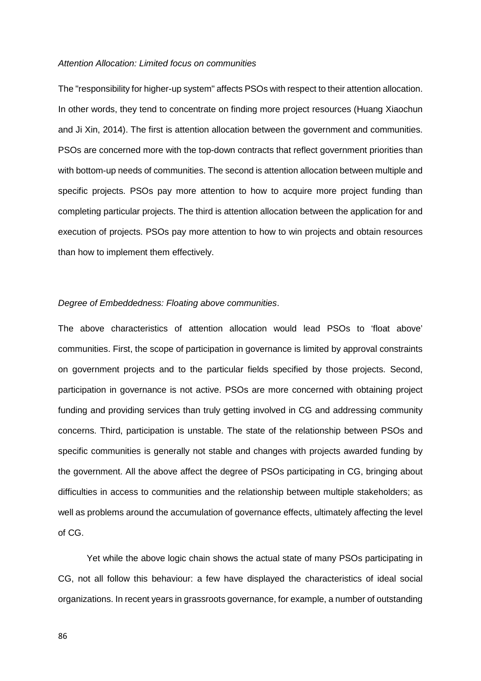#### *Attention Allocation: Limited focus on communities*

The "responsibility for higher-up system" affects PSOs with respect to their attention allocation. In other words, they tend to concentrate on finding more project resources (Huang Xiaochun and Ji Xin, 2014). The first is attention allocation between the government and communities. PSOs are concerned more with the top-down contracts that reflect government priorities than with bottom-up needs of communities. The second is attention allocation between multiple and specific projects. PSOs pay more attention to how to acquire more project funding than completing particular projects. The third is attention allocation between the application for and execution of projects. PSOs pay more attention to how to win projects and obtain resources than how to implement them effectively.

# *Degree of Embeddedness: Floating above communities*.

The above characteristics of attention allocation would lead PSOs to 'float above' communities. First, the scope of participation in governance is limited by approval constraints on government projects and to the particular fields specified by those projects. Second, participation in governance is not active. PSOs are more concerned with obtaining project funding and providing services than truly getting involved in CG and addressing community concerns. Third, participation is unstable. The state of the relationship between PSOs and specific communities is generally not stable and changes with projects awarded funding by the government. All the above affect the degree of PSOs participating in CG, bringing about difficulties in access to communities and the relationship between multiple stakeholders; as well as problems around the accumulation of governance effects, ultimately affecting the level of CG.

Yet while the above logic chain shows the actual state of many PSOs participating in CG, not all follow this behaviour: a few have displayed the characteristics of ideal social organizations. In recent years in grassroots governance, for example, a number of outstanding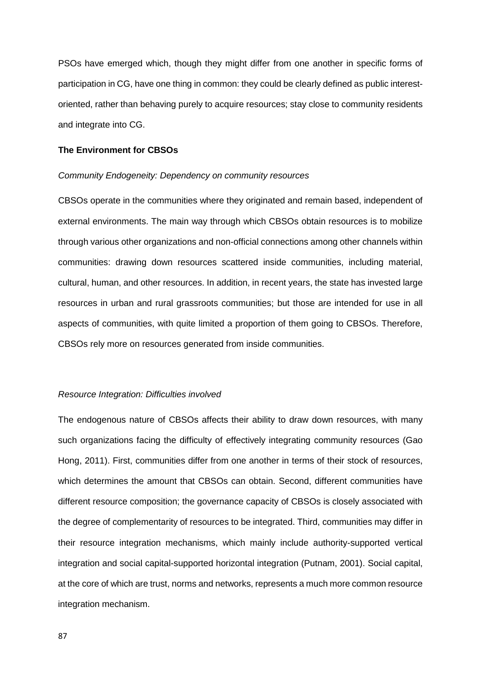PSOs have emerged which, though they might differ from one another in specific forms of participation in CG, have one thing in common: they could be clearly defined as public interestoriented, rather than behaving purely to acquire resources; stay close to community residents and integrate into CG.

# **The Environment for CBSOs**

# *Community Endogeneity: Dependency on community resources*

CBSOs operate in the communities where they originated and remain based, independent of external environments. The main way through which CBSOs obtain resources is to mobilize through various other organizations and non-official connections among other channels within communities: drawing down resources scattered inside communities, including material, cultural, human, and other resources. In addition, in recent years, the state has invested large resources in urban and rural grassroots communities; but those are intended for use in all aspects of communities, with quite limited a proportion of them going to CBSOs. Therefore, CBSOs rely more on resources generated from inside communities.

# *Resource Integration: Difficulties involved*

The endogenous nature of CBSOs affects their ability to draw down resources, with many such organizations facing the difficulty of effectively integrating community resources (Gao Hong, 2011). First, communities differ from one another in terms of their stock of resources, which determines the amount that CBSOs can obtain. Second, different communities have different resource composition; the governance capacity of CBSOs is closely associated with the degree of complementarity of resources to be integrated. Third, communities may differ in their resource integration mechanisms, which mainly include authority-supported vertical integration and social capital-supported horizontal integration (Putnam, 2001). Social capital, at the core of which are trust, norms and networks, represents a much more common resource integration mechanism.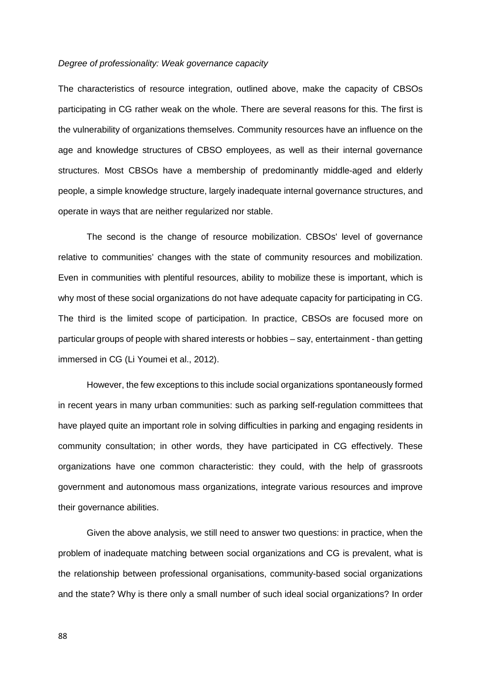#### *Degree of professionality: Weak governance capacity*

The characteristics of resource integration, outlined above, make the capacity of CBSOs participating in CG rather weak on the whole. There are several reasons for this. The first is the vulnerability of organizations themselves. Community resources have an influence on the age and knowledge structures of CBSO employees, as well as their internal governance structures. Most CBSOs have a membership of predominantly middle-aged and elderly people, a simple knowledge structure, largely inadequate internal governance structures, and operate in ways that are neither regularized nor stable.

The second is the change of resource mobilization. CBSOs' level of governance relative to communities' changes with the state of community resources and mobilization. Even in communities with plentiful resources, ability to mobilize these is important, which is why most of these social organizations do not have adequate capacity for participating in CG. The third is the limited scope of participation. In practice, CBSOs are focused more on particular groups of people with shared interests or hobbies – say, entertainment - than getting immersed in CG (Li Youmei et al., 2012).

However, the few exceptions to this include social organizations spontaneously formed in recent years in many urban communities: such as parking self-regulation committees that have played quite an important role in solving difficulties in parking and engaging residents in community consultation; in other words, they have participated in CG effectively. These organizations have one common characteristic: they could, with the help of grassroots government and autonomous mass organizations, integrate various resources and improve their governance abilities.

Given the above analysis, we still need to answer two questions: in practice, when the problem of inadequate matching between social organizations and CG is prevalent, what is the relationship between professional organisations, community-based social organizations and the state? Why is there only a small number of such ideal social organizations? In order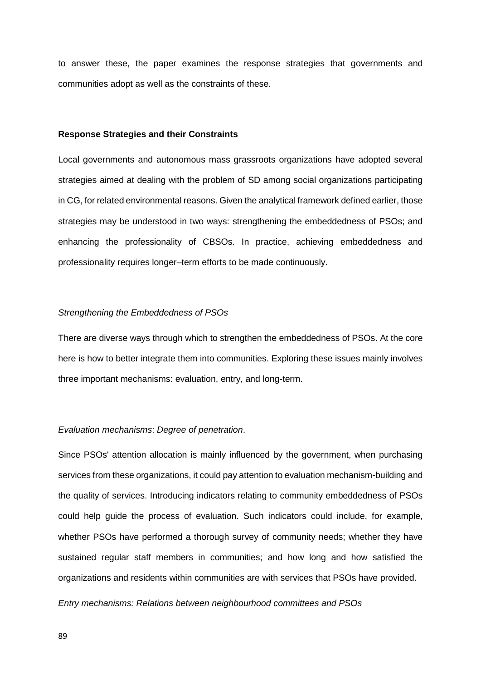to answer these, the paper examines the response strategies that governments and communities adopt as well as the constraints of these.

# **Response Strategies and their Constraints**

Local governments and autonomous mass grassroots organizations have adopted several strategies aimed at dealing with the problem of SD among social organizations participating in CG, for related environmental reasons. Given the analytical framework defined earlier, those strategies may be understood in two ways: strengthening the embeddedness of PSOs; and enhancing the professionality of CBSOs. In practice, achieving embeddedness and professionality requires longer–term efforts to be made continuously.

#### *Strengthening the Embeddedness of PSOs*

There are diverse ways through which to strengthen the embeddedness of PSOs. At the core here is how to better integrate them into communities. Exploring these issues mainly involves three important mechanisms: evaluation, entry, and long-term.

# *Evaluation mechanisms*: *Degree of penetration*.

Since PSOs' attention allocation is mainly influenced by the government, when purchasing services from these organizations, it could pay attention to evaluation mechanism-building and the quality of services. Introducing indicators relating to community embeddedness of PSOs could help guide the process of evaluation. Such indicators could include, for example, whether PSOs have performed a thorough survey of community needs; whether they have sustained regular staff members in communities; and how long and how satisfied the organizations and residents within communities are with services that PSOs have provided.

*Entry mechanisms: Relations between neighbourhood committees and PSOs*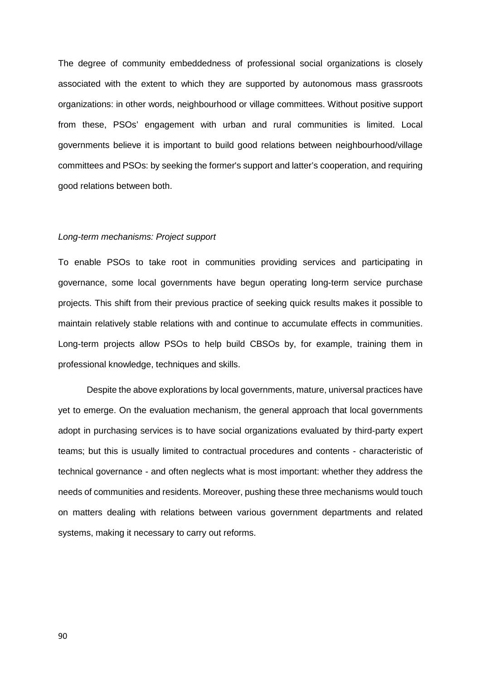The degree of community embeddedness of professional social organizations is closely associated with the extent to which they are supported by autonomous mass grassroots organizations: in other words, neighbourhood or village committees. Without positive support from these, PSOs' engagement with urban and rural communities is limited. Local governments believe it is important to build good relations between neighbourhood/village committees and PSOs: by seeking the former's support and latter's cooperation, and requiring good relations between both.

# *Long-term mechanisms: Project support*

To enable PSOs to take root in communities providing services and participating in governance, some local governments have begun operating long-term service purchase projects. This shift from their previous practice of seeking quick results makes it possible to maintain relatively stable relations with and continue to accumulate effects in communities. Long-term projects allow PSOs to help build CBSOs by, for example, training them in professional knowledge, techniques and skills.

Despite the above explorations by local governments, mature, universal practices have yet to emerge. On the evaluation mechanism, the general approach that local governments adopt in purchasing services is to have social organizations evaluated by third-party expert teams; but this is usually limited to contractual procedures and contents - characteristic of technical governance - and often neglects what is most important: whether they address the needs of communities and residents. Moreover, pushing these three mechanisms would touch on matters dealing with relations between various government departments and related systems, making it necessary to carry out reforms.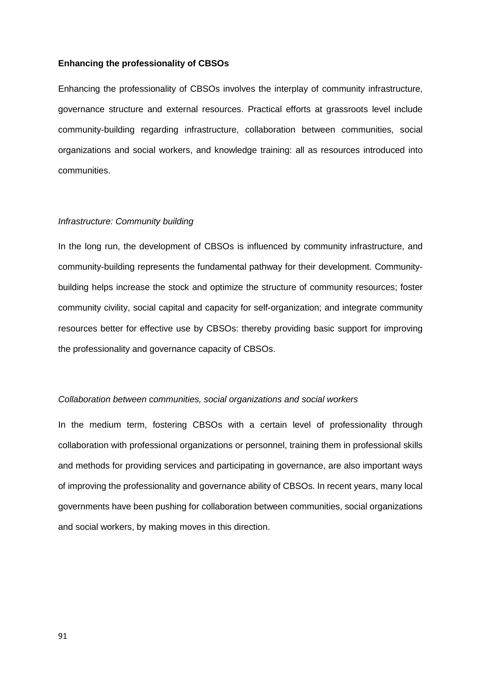# **Enhancing the professionality of CBSOs**

Enhancing the professionality of CBSOs involves the interplay of community infrastructure, governance structure and external resources. Practical efforts at grassroots level include community-building regarding infrastructure, collaboration between communities, social organizations and social workers, and knowledge training: all as resources introduced into communities.

# *Infrastructure: Community building*

In the long run, the development of CBSOs is influenced by community infrastructure, and community-building represents the fundamental pathway for their development. Communitybuilding helps increase the stock and optimize the structure of community resources; foster community civility, social capital and capacity for self-organization; and integrate community resources better for effective use by CBSOs: thereby providing basic support for improving the professionality and governance capacity of CBSOs.

# *Collaboration between communities, social organizations and social workers*

In the medium term, fostering CBSOs with a certain level of professionality through collaboration with professional organizations or personnel, training them in professional skills and methods for providing services and participating in governance, are also important ways of improving the professionality and governance ability of CBSOs. In recent years, many local governments have been pushing for collaboration between communities, social organizations and social workers, by making moves in this direction.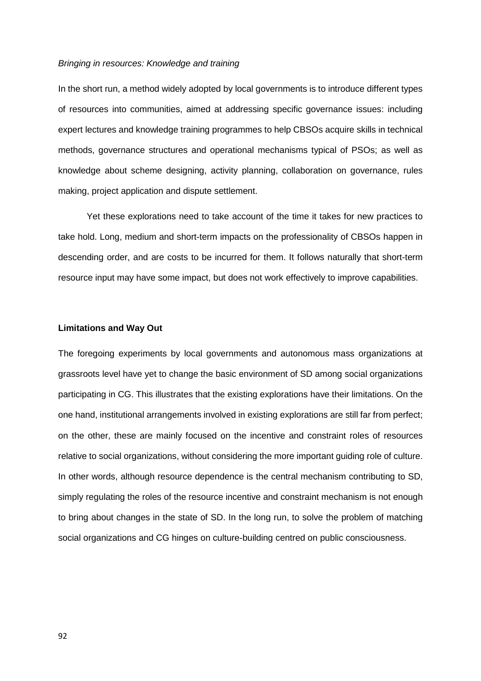#### *Bringing in resources: Knowledge and training*

In the short run, a method widely adopted by local governments is to introduce different types of resources into communities, aimed at addressing specific governance issues: including expert lectures and knowledge training programmes to help CBSOs acquire skills in technical methods, governance structures and operational mechanisms typical of PSOs; as well as knowledge about scheme designing, activity planning, collaboration on governance, rules making, project application and dispute settlement.

Yet these explorations need to take account of the time it takes for new practices to take hold. Long, medium and short-term impacts on the professionality of CBSOs happen in descending order, and are costs to be incurred for them. It follows naturally that short-term resource input may have some impact, but does not work effectively to improve capabilities.

# **Limitations and Way Out**

The foregoing experiments by local governments and autonomous mass organizations at grassroots level have yet to change the basic environment of SD among social organizations participating in CG. This illustrates that the existing explorations have their limitations. On the one hand, institutional arrangements involved in existing explorations are still far from perfect; on the other, these are mainly focused on the incentive and constraint roles of resources relative to social organizations, without considering the more important guiding role of culture. In other words, although resource dependence is the central mechanism contributing to SD, simply regulating the roles of the resource incentive and constraint mechanism is not enough to bring about changes in the state of SD. In the long run, to solve the problem of matching social organizations and CG hinges on culture-building centred on public consciousness.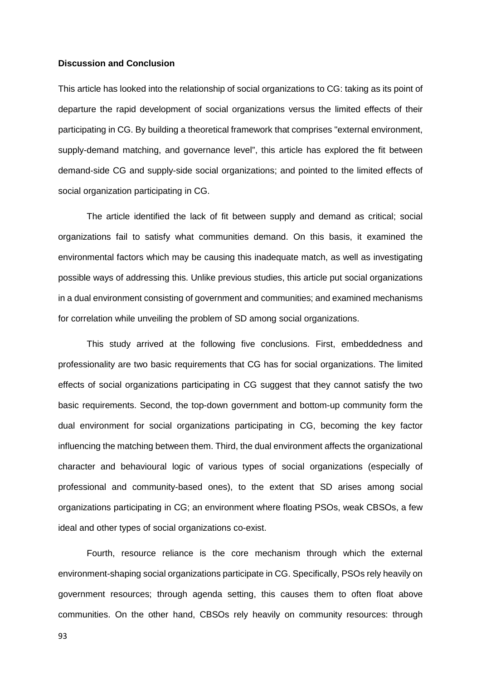# **Discussion and Conclusion**

This article has looked into the relationship of social organizations to CG: taking as its point of departure the rapid development of social organizations versus the limited effects of their participating in CG. By building a theoretical framework that comprises "external environment, supply-demand matching, and governance level", this article has explored the fit between demand-side CG and supply-side social organizations; and pointed to the limited effects of social organization participating in CG.

The article identified the lack of fit between supply and demand as critical; social organizations fail to satisfy what communities demand. On this basis, it examined the environmental factors which may be causing this inadequate match, as well as investigating possible ways of addressing this. Unlike previous studies, this article put social organizations in a dual environment consisting of government and communities; and examined mechanisms for correlation while unveiling the problem of SD among social organizations.

This study arrived at the following five conclusions. First, embeddedness and professionality are two basic requirements that CG has for social organizations. The limited effects of social organizations participating in CG suggest that they cannot satisfy the two basic requirements. Second, the top-down government and bottom-up community form the dual environment for social organizations participating in CG, becoming the key factor influencing the matching between them. Third, the dual environment affects the organizational character and behavioural logic of various types of social organizations (especially of professional and community-based ones), to the extent that SD arises among social organizations participating in CG; an environment where floating PSOs, weak CBSOs, a few ideal and other types of social organizations co-exist.

Fourth, resource reliance is the core mechanism through which the external environment-shaping social organizations participate in CG. Specifically, PSOs rely heavily on government resources; through agenda setting, this causes them to often float above communities. On the other hand, CBSOs rely heavily on community resources: through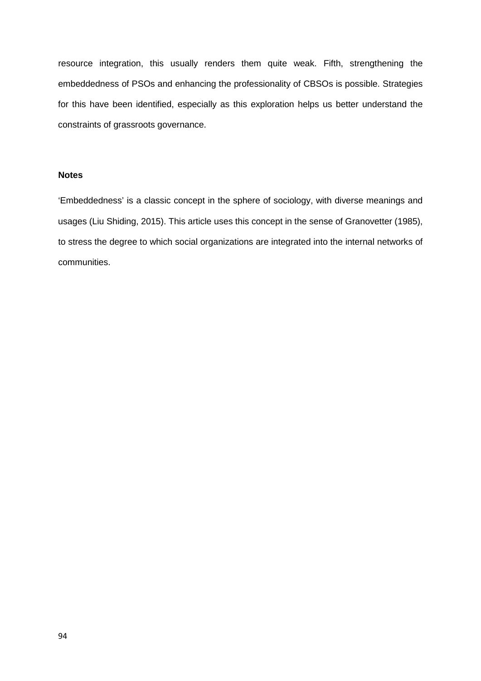resource integration, this usually renders them quite weak. Fifth, strengthening the embeddedness of PSOs and enhancing the professionality of CBSOs is possible. Strategies for this have been identified, especially as this exploration helps us better understand the constraints of grassroots governance.

# **Notes**

'Embeddedness' is a classic concept in the sphere of sociology, with diverse meanings and usages (Liu Shiding, 2015). This article uses this concept in the sense of Granovetter (1985), to stress the degree to which social organizations are integrated into the internal networks of communities.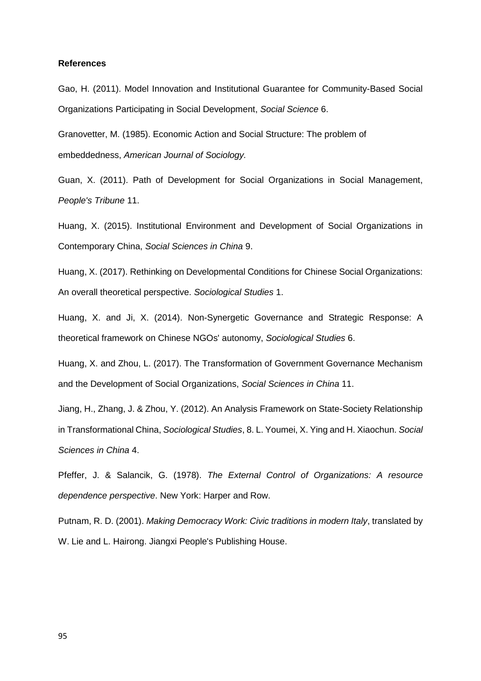#### **References**

Gao, H. (2011). Model Innovation and Institutional Guarantee for Community-Based Social Organizations Participating in Social Development, *Social Science* 6.

Granovetter, M. (1985). Economic Action and Social Structure: The problem of embeddedness, *American Journal of Sociology.*

Guan, X. (2011). Path of Development for Social Organizations in Social Management, *People's Tribune* 11.

Huang, X. (2015). Institutional Environment and Development of Social Organizations in Contemporary China, *Social Sciences in China* 9.

Huang, X. (2017). Rethinking on Developmental Conditions for Chinese Social Organizations: An overall theoretical perspective. *Sociological Studies* 1.

Huang, X. and Ji, X. (2014). Non-Synergetic Governance and Strategic Response: A theoretical framework on Chinese NGOs' autonomy, *Sociological Studies* 6.

Huang, X. and Zhou, L. (2017). The Transformation of Government Governance Mechanism and the Development of Social Organizations, *Social Sciences in China* 11.

Jiang, H., Zhang, J. & Zhou, Y. (2012). An Analysis Framework on State-Society Relationship in Transformational China, *Sociological Studies*, 8. L. Youmei, X. Ying and H. Xiaochun. *Social Sciences in China* 4.

Pfeffer, J. & Salancik, G. (1978). *The External Control of Organizations: A resource dependence perspective*. New York: Harper and Row.

Putnam, R. D. (2001). *Making Democracy Work: Civic traditions in modern Italy*, translated by W. Lie and L. Hairong. Jiangxi People's Publishing House.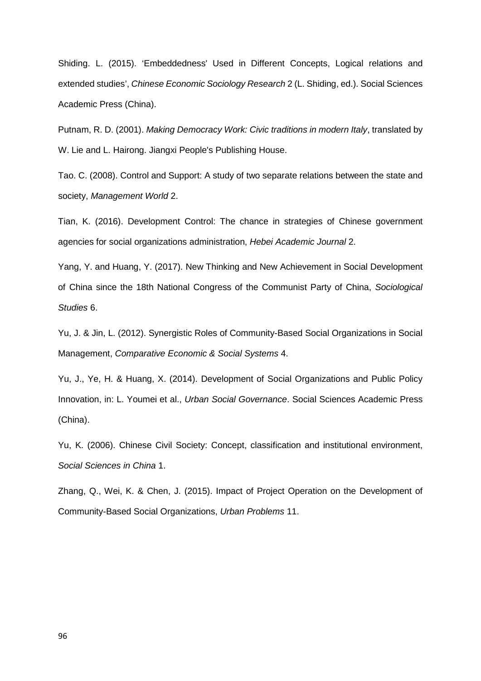Shiding. L. (2015). 'Embeddedness' Used in Different Concepts, Logical relations and extended studies', *Chinese Economic Sociology Research* 2 (L. Shiding, ed.). Social Sciences Academic Press (China).

Putnam, R. D. (2001). *Making Democracy Work: Civic traditions in modern Italy*, translated by W. Lie and L. Hairong. Jiangxi People's Publishing House.

Tao. C. (2008). Control and Support: A study of two separate relations between the state and society, *Management World* 2.

Tian, K. (2016). Development Control: The chance in strategies of Chinese government agencies for social organizations administration, *Hebei Academic Journal* 2.

Yang, Y. and Huang, Y. (2017). New Thinking and New Achievement in Social Development of China since the 18th National Congress of the Communist Party of China, *Sociological Studies* 6.

Yu, J. & Jin, L. (2012). Synergistic Roles of Community-Based Social Organizations in Social Management, *Comparative Economic & Social Systems* 4.

Yu, J., Ye, H. & Huang, X. (2014). Development of Social Organizations and Public Policy Innovation, in: L. Youmei et al., *Urban Social Governance*. Social Sciences Academic Press (China).

Yu, K. (2006). Chinese Civil Society: Concept, classification and institutional environment, *Social Sciences in China* 1.

Zhang, Q., Wei, K. & Chen, J. (2015). Impact of Project Operation on the Development of Community-Based Social Organizations, *Urban Problems* 11.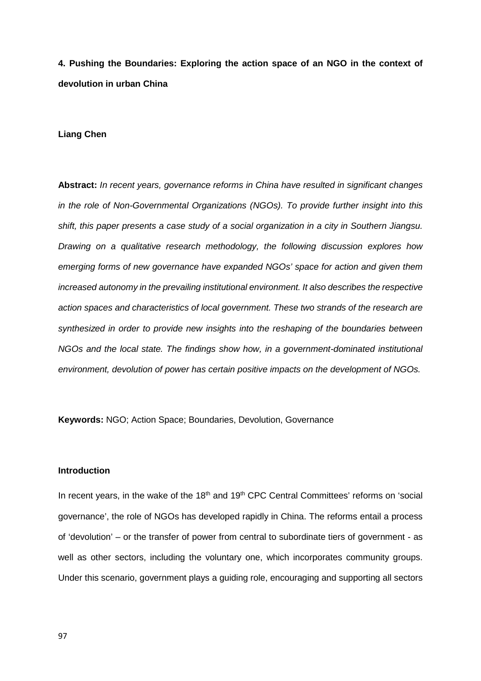**4. Pushing the Boundaries: Exploring the action space of an NGO in the context of devolution in urban China**

# **Liang Chen**

**Abstract:** *In recent years, governance reforms in China have resulted in significant changes in the role of Non-Governmental Organizations (NGOs). To provide further insight into this shift, this paper presents a case study of a social organization in a city in Southern Jiangsu. Drawing on a qualitative research methodology, the following discussion explores how emerging forms of new governance have expanded NGOs' space for action and given them increased autonomy in the prevailing institutional environment. It also describes the respective action spaces and characteristics of local government. These two strands of the research are synthesized in order to provide new insights into the reshaping of the boundaries between NGOs and the local state. The findings show how, in a government-dominated institutional environment, devolution of power has certain positive impacts on the development of NGOs.*

**Keywords:** NGO; Action Space; Boundaries, Devolution, Governance

# **Introduction**

In recent years, in the wake of the 18<sup>th</sup> and 19<sup>th</sup> CPC Central Committees' reforms on 'social governance', the role of NGOs has developed rapidly in China. The reforms entail a process of 'devolution' – or the transfer of power from central to subordinate tiers of government - as well as other sectors, including the voluntary one, which incorporates community groups. Under this scenario, government plays a guiding role, encouraging and supporting all sectors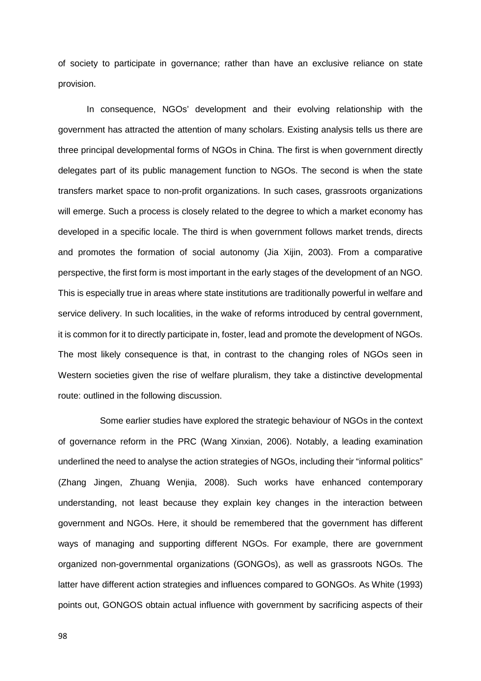of society to participate in governance; rather than have an exclusive reliance on state provision.

In consequence, NGOs' development and their evolving relationship with the government has attracted the attention of many scholars. Existing analysis tells us there are three principal developmental forms of NGOs in China. The first is when government directly delegates part of its public management function to NGOs. The second is when the state transfers market space to non-profit organizations. In such cases, grassroots organizations will emerge. Such a process is closely related to the degree to which a market economy has developed in a specific locale. The third is when government follows market trends, directs and promotes the formation of social autonomy (Jia Xijin, 2003). From a comparative perspective, the first form is most important in the early stages of the development of an NGO. This is especially true in areas where state institutions are traditionally powerful in welfare and service delivery. In such localities, in the wake of reforms introduced by central government, it is common for it to directly participate in, foster, lead and promote the development of NGOs. The most likely consequence is that, in contrast to the changing roles of NGOs seen in Western societies given the rise of welfare pluralism, they take a distinctive developmental route: outlined in the following discussion.

Some earlier studies have explored the strategic behaviour of NGOs in the context of governance reform in the PRC (Wang Xinxian, 2006). Notably, a leading examination underlined the need to analyse the action strategies of NGOs, including their "informal politics" (Zhang Jingen, Zhuang Wenjia, 2008). Such works have enhanced contemporary understanding, not least because they explain key changes in the interaction between government and NGOs. Here, it should be remembered that the government has different ways of managing and supporting different NGOs. For example, there are government organized non-governmental organizations (GONGOs), as well as grassroots NGOs. The latter have different action strategies and influences compared to GONGOs. As White (1993) points out, GONGOS obtain actual influence with government by sacrificing aspects of their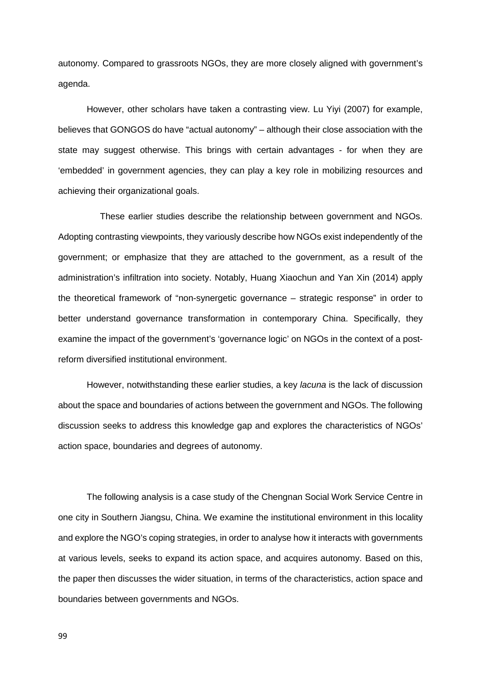autonomy. Compared to grassroots NGOs, they are more closely aligned with government's agenda.

However, other scholars have taken a contrasting view. Lu Yiyi (2007) for example, believes that GONGOS do have "actual autonomy" – although their close association with the state may suggest otherwise. This brings with certain advantages - for when they are 'embedded' in government agencies, they can play a key role in mobilizing resources and achieving their organizational goals.

These earlier studies describe the relationship between government and NGOs. Adopting contrasting viewpoints, they variously describe how NGOs exist independently of the government; or emphasize that they are attached to the government, as a result of the administration's infiltration into society. Notably, Huang Xiaochun and Yan Xin (2014) apply the theoretical framework of "non-synergetic governance – strategic response" in order to better understand governance transformation in contemporary China. Specifically, they examine the impact of the government's 'governance logic' on NGOs in the context of a postreform diversified institutional environment.

However, notwithstanding these earlier studies, a key *lacuna* is the lack of discussion about the space and boundaries of actions between the government and NGOs. The following discussion seeks to address this knowledge gap and explores the characteristics of NGOs' action space, boundaries and degrees of autonomy.

The following analysis is a case study of the Chengnan Social Work Service Centre in one city in Southern Jiangsu, China. We examine the institutional environment in this locality and explore the NGO's coping strategies, in order to analyse how it interacts with governments at various levels, seeks to expand its action space, and acquires autonomy. Based on this, the paper then discusses the wider situation, in terms of the characteristics, action space and boundaries between governments and NGOs.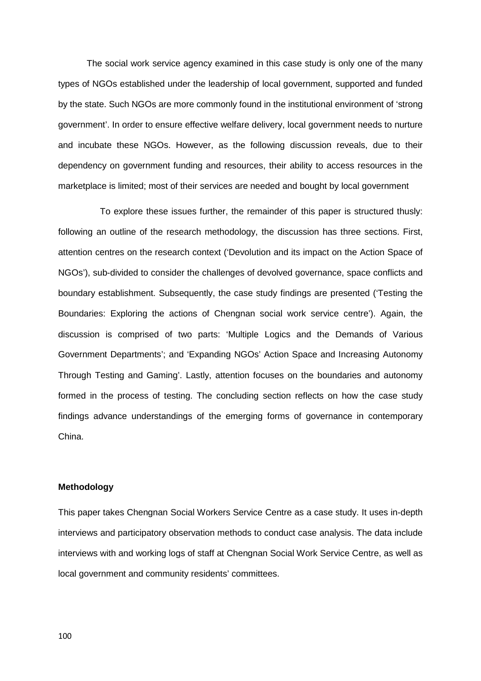The social work service agency examined in this case study is only one of the many types of NGOs established under the leadership of local government, supported and funded by the state. Such NGOs are more commonly found in the institutional environment of 'strong government'. In order to ensure effective welfare delivery, local government needs to nurture and incubate these NGOs. However, as the following discussion reveals, due to their dependency on government funding and resources, their ability to access resources in the marketplace is limited; most of their services are needed and bought by local government

To explore these issues further, the remainder of this paper is structured thusly: following an outline of the research methodology, the discussion has three sections. First, attention centres on the research context ('Devolution and its impact on the Action Space of NGOs'), sub-divided to consider the challenges of devolved governance, space conflicts and boundary establishment. Subsequently, the case study findings are presented ('Testing the Boundaries: Exploring the actions of Chengnan social work service centre'). Again, the discussion is comprised of two parts: 'Multiple Logics and the Demands of Various Government Departments'; and 'Expanding NGOs' Action Space and Increasing Autonomy Through Testing and Gaming'. Lastly, attention focuses on the boundaries and autonomy formed in the process of testing. The concluding section reflects on how the case study findings advance understandings of the emerging forms of governance in contemporary China.

# **Methodology**

This paper takes Chengnan Social Workers Service Centre as a case study. It uses in-depth interviews and participatory observation methods to conduct case analysis. The data include interviews with and working logs of staff at Chengnan Social Work Service Centre, as well as local government and community residents' committees.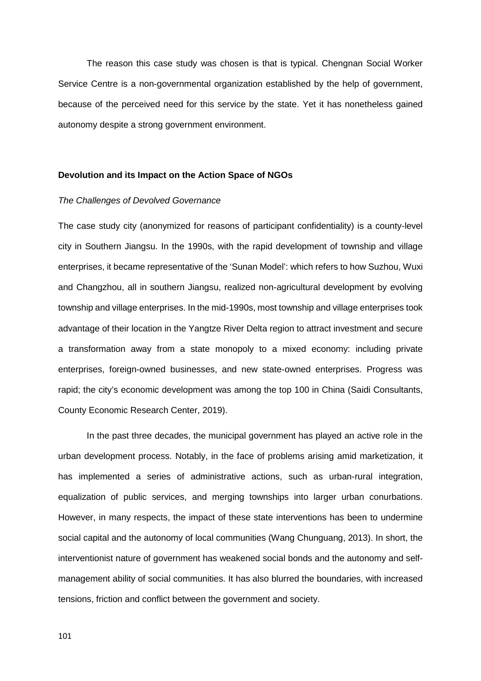The reason this case study was chosen is that is typical. Chengnan Social Worker Service Centre is a non-governmental organization established by the help of government, because of the perceived need for this service by the state. Yet it has nonetheless gained autonomy despite a strong government environment.

# **Devolution and its Impact on the Action Space of NGOs**

# *The Challenges of Devolved Governance*

The case study city (anonymized for reasons of participant confidentiality) is a county-level city in Southern Jiangsu. In the 1990s, with the rapid development of township and village enterprises, it became representative of the 'Sunan Model': which refers to how Suzhou, Wuxi and Changzhou, all in southern Jiangsu, realized non-agricultural development by evolving township and village enterprises. In the mid-1990s, most township and village enterprises took advantage of their location in the Yangtze River Delta region to attract investment and secure a transformation away from a state monopoly to a mixed economy: including private enterprises, foreign-owned businesses, and new state-owned enterprises. Progress was rapid; the city's economic development was among the top 100 in China (Saidi Consultants, County Economic Research Center, 2019).

In the past three decades, the municipal government has played an active role in the urban development process. Notably, in the face of problems arising amid marketization, it has implemented a series of administrative actions, such as urban-rural integration, equalization of public services, and merging townships into larger urban conurbations. However, in many respects, the impact of these state interventions has been to undermine social capital and the autonomy of local communities (Wang Chunguang, 2013). In short, the interventionist nature of government has weakened social bonds and the autonomy and selfmanagement ability of social communities. It has also blurred the boundaries, with increased tensions, friction and conflict between the government and society.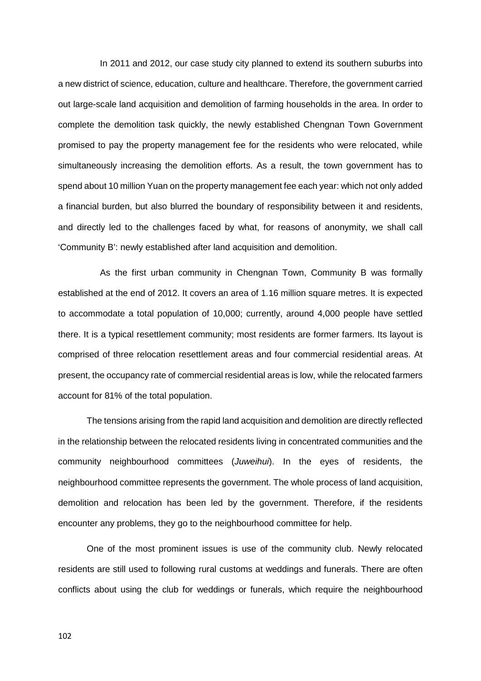In 2011 and 2012, our case study city planned to extend its southern suburbs into a new district of science, education, culture and healthcare. Therefore, the government carried out large-scale land acquisition and demolition of farming households in the area. In order to complete the demolition task quickly, the newly established Chengnan Town Government promised to pay the property management fee for the residents who were relocated, while simultaneously increasing the demolition efforts. As a result, the town government has to spend about 10 million Yuan on the property management fee each year: which not only added a financial burden, but also blurred the boundary of responsibility between it and residents, and directly led to the challenges faced by what, for reasons of anonymity, we shall call 'Community B': newly established after land acquisition and demolition.

As the first urban community in Chengnan Town, Community B was formally established at the end of 2012. It covers an area of 1.16 million square metres. It is expected to accommodate a total population of 10,000; currently, around 4,000 people have settled there. It is a typical resettlement community; most residents are former farmers. Its layout is comprised of three relocation resettlement areas and four commercial residential areas. At present, the occupancy rate of commercial residential areas is low, while the relocated farmers account for 81% of the total population.

The tensions arising from the rapid land acquisition and demolition are directly reflected in the relationship between the relocated residents living in concentrated communities and the community neighbourhood committees (*Juweihui*). In the eyes of residents, the neighbourhood committee represents the government. The whole process of land acquisition, demolition and relocation has been led by the government. Therefore, if the residents encounter any problems, they go to the neighbourhood committee for help.

One of the most prominent issues is use of the community club. Newly relocated residents are still used to following rural customs at weddings and funerals. There are often conflicts about using the club for weddings or funerals, which require the neighbourhood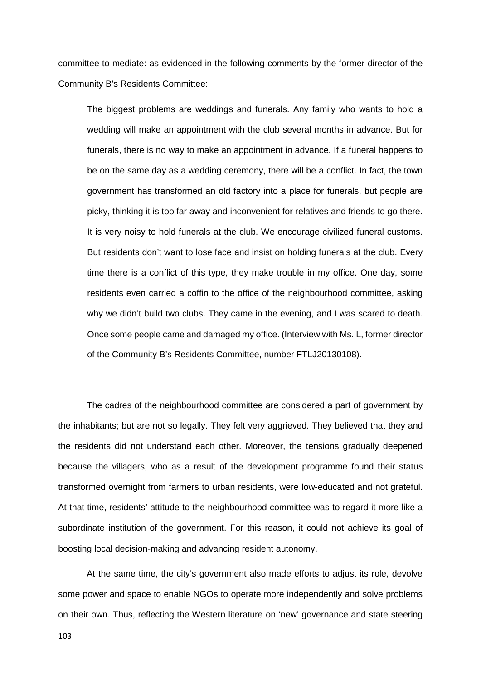committee to mediate: as evidenced in the following comments by the former director of the Community B's Residents Committee:

The biggest problems are weddings and funerals. Any family who wants to hold a wedding will make an appointment with the club several months in advance. But for funerals, there is no way to make an appointment in advance. If a funeral happens to be on the same day as a wedding ceremony, there will be a conflict. In fact, the town government has transformed an old factory into a place for funerals, but people are picky, thinking it is too far away and inconvenient for relatives and friends to go there. It is very noisy to hold funerals at the club. We encourage civilized funeral customs. But residents don't want to lose face and insist on holding funerals at the club. Every time there is a conflict of this type, they make trouble in my office. One day, some residents even carried a coffin to the office of the neighbourhood committee, asking why we didn't build two clubs. They came in the evening, and I was scared to death. Once some people came and damaged my office. (Interview with Ms. L, former director of the Community B's Residents Committee, number FTLJ20130108).

The cadres of the neighbourhood committee are considered a part of government by the inhabitants; but are not so legally. They felt very aggrieved. They believed that they and the residents did not understand each other. Moreover, the tensions gradually deepened because the villagers, who as a result of the development programme found their status transformed overnight from farmers to urban residents, were low-educated and not grateful. At that time, residents' attitude to the neighbourhood committee was to regard it more like a subordinate institution of the government. For this reason, it could not achieve its goal of boosting local decision-making and advancing resident autonomy.

At the same time, the city's government also made efforts to adjust its role, devolve some power and space to enable NGOs to operate more independently and solve problems on their own. Thus, reflecting the Western literature on 'new' governance and state steering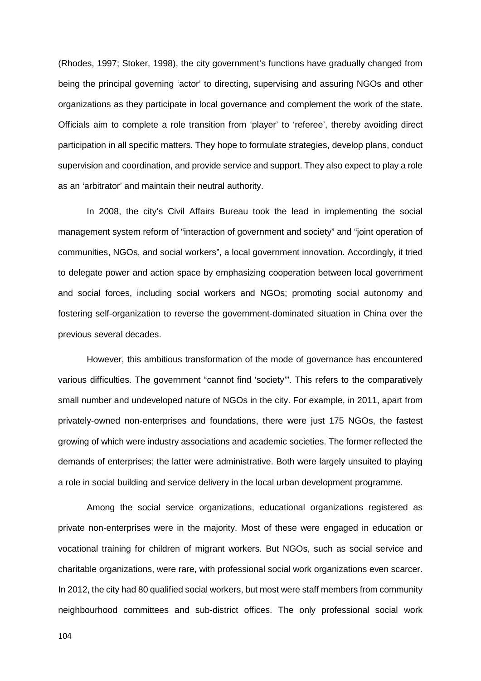(Rhodes, 1997; Stoker, 1998), the city government's functions have gradually changed from being the principal governing 'actor' to directing, supervising and assuring NGOs and other organizations as they participate in local governance and complement the work of the state. Officials aim to complete a role transition from 'player' to 'referee', thereby avoiding direct participation in all specific matters. They hope to formulate strategies, develop plans, conduct supervision and coordination, and provide service and support. They also expect to play a role as an 'arbitrator' and maintain their neutral authority.

In 2008, the city's Civil Affairs Bureau took the lead in implementing the social management system reform of "interaction of government and society" and "joint operation of communities, NGOs, and social workers", a local government innovation. Accordingly, it tried to delegate power and action space by emphasizing cooperation between local government and social forces, including social workers and NGOs; promoting social autonomy and fostering self-organization to reverse the government-dominated situation in China over the previous several decades.

However, this ambitious transformation of the mode of governance has encountered various difficulties. The government "cannot find 'society'". This refers to the comparatively small number and undeveloped nature of NGOs in the city. For example, in 2011, apart from privately-owned non-enterprises and foundations, there were just 175 NGOs, the fastest growing of which were industry associations and academic societies. The former reflected the demands of enterprises; the latter were administrative. Both were largely unsuited to playing a role in social building and service delivery in the local urban development programme.

Among the social service organizations, educational organizations registered as private non-enterprises were in the majority. Most of these were engaged in education or vocational training for children of migrant workers. But NGOs, such as social service and charitable organizations, were rare, with professional social work organizations even scarcer. In 2012, the city had 80 qualified social workers, but most were staff members from community neighbourhood committees and sub-district offices. The only professional social work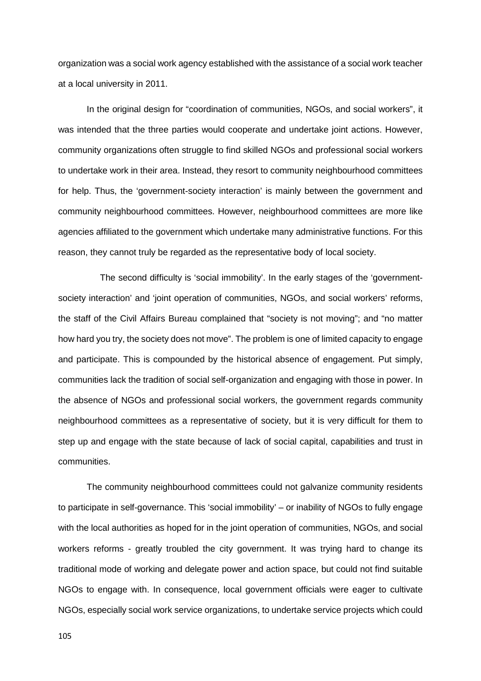organization was a social work agency established with the assistance of a social work teacher at a local university in 2011.

In the original design for "coordination of communities, NGOs, and social workers", it was intended that the three parties would cooperate and undertake joint actions. However, community organizations often struggle to find skilled NGOs and professional social workers to undertake work in their area. Instead, they resort to community neighbourhood committees for help. Thus, the 'government-society interaction' is mainly between the government and community neighbourhood committees. However, neighbourhood committees are more like agencies affiliated to the government which undertake many administrative functions. For this reason, they cannot truly be regarded as the representative body of local society.

The second difficulty is 'social immobility'. In the early stages of the 'governmentsociety interaction' and 'joint operation of communities, NGOs, and social workers' reforms, the staff of the Civil Affairs Bureau complained that "society is not moving"; and "no matter how hard you try, the society does not move". The problem is one of limited capacity to engage and participate. This is compounded by the historical absence of engagement. Put simply, communities lack the tradition of social self-organization and engaging with those in power. In the absence of NGOs and professional social workers, the government regards community neighbourhood committees as a representative of society, but it is very difficult for them to step up and engage with the state because of lack of social capital, capabilities and trust in communities.

The community neighbourhood committees could not galvanize community residents to participate in self-governance. This 'social immobility' – or inability of NGOs to fully engage with the local authorities as hoped for in the joint operation of communities, NGOs, and social workers reforms - greatly troubled the city government. It was trying hard to change its traditional mode of working and delegate power and action space, but could not find suitable NGOs to engage with. In consequence, local government officials were eager to cultivate NGOs, especially social work service organizations, to undertake service projects which could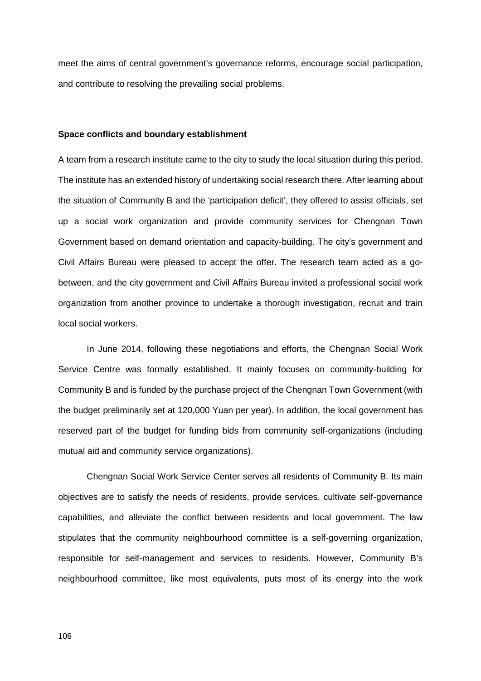meet the aims of central government's governance reforms, encourage social participation, and contribute to resolving the prevailing social problems.

#### **Space conflicts and boundary establishment**

A team from a research institute came to the city to study the local situation during this period. The institute has an extended history of undertaking social research there. After learning about the situation of Community B and the 'participation deficit', they offered to assist officials, set up a social work organization and provide community services for Chengnan Town Government based on demand orientation and capacity-building. The city's government and Civil Affairs Bureau were pleased to accept the offer. The research team acted as a gobetween, and the city government and Civil Affairs Bureau invited a professional social work organization from another province to undertake a thorough investigation, recruit and train local social workers.

In June 2014, following these negotiations and efforts, the Chengnan Social Work Service Centre was formally established. It mainly focuses on community-building for Community B and is funded by the purchase project of the Chengnan Town Government (with the budget preliminarily set at 120,000 Yuan per year). In addition, the local government has reserved part of the budget for funding bids from community self-organizations (including mutual aid and community service organizations).

Chengnan Social Work Service Center serves all residents of Community B. Its main objectives are to satisfy the needs of residents, provide services, cultivate self-governance capabilities, and alleviate the conflict between residents and local government. The law stipulates that the community neighbourhood committee is a self-governing organization, responsible for self-management and services to residents. However, Community B's neighbourhood committee, like most equivalents, puts most of its energy into the work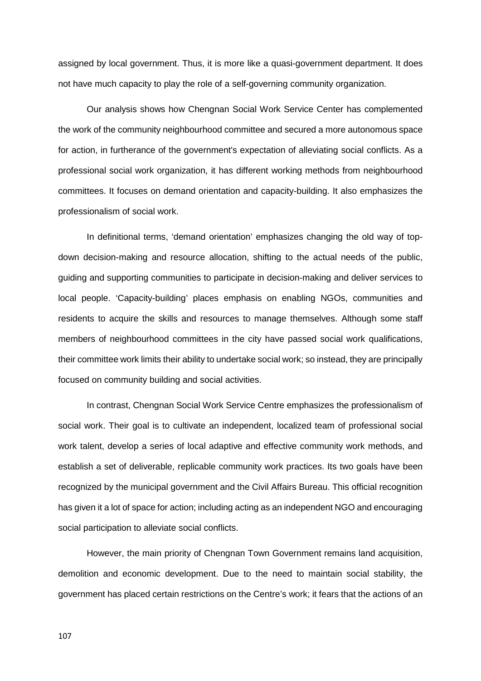assigned by local government. Thus, it is more like a quasi-government department. It does not have much capacity to play the role of a self-governing community organization.

Our analysis shows how Chengnan Social Work Service Center has complemented the work of the community neighbourhood committee and secured a more autonomous space for action, in furtherance of the government's expectation of alleviating social conflicts. As a professional social work organization, it has different working methods from neighbourhood committees. It focuses on demand orientation and capacity-building. It also emphasizes the professionalism of social work.

In definitional terms, 'demand orientation' emphasizes changing the old way of topdown decision-making and resource allocation, shifting to the actual needs of the public, guiding and supporting communities to participate in decision-making and deliver services to local people. 'Capacity-building' places emphasis on enabling NGOs, communities and residents to acquire the skills and resources to manage themselves. Although some staff members of neighbourhood committees in the city have passed social work qualifications, their committee work limits their ability to undertake social work; so instead, they are principally focused on community building and social activities.

In contrast, Chengnan Social Work Service Centre emphasizes the professionalism of social work. Their goal is to cultivate an independent, localized team of professional social work talent, develop a series of local adaptive and effective community work methods, and establish a set of deliverable, replicable community work practices. Its two goals have been recognized by the municipal government and the Civil Affairs Bureau. This official recognition has given it a lot of space for action; including acting as an independent NGO and encouraging social participation to alleviate social conflicts.

However, the main priority of Chengnan Town Government remains land acquisition, demolition and economic development. Due to the need to maintain social stability, the government has placed certain restrictions on the Centre's work; it fears that the actions of an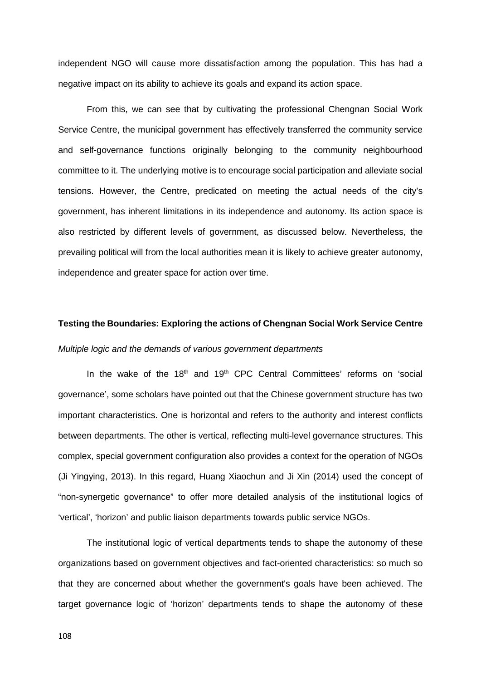independent NGO will cause more dissatisfaction among the population. This has had a negative impact on its ability to achieve its goals and expand its action space.

From this, we can see that by cultivating the professional Chengnan Social Work Service Centre, the municipal government has effectively transferred the community service and self-governance functions originally belonging to the community neighbourhood committee to it. The underlying motive is to encourage social participation and alleviate social tensions. However, the Centre, predicated on meeting the actual needs of the city's government, has inherent limitations in its independence and autonomy. Its action space is also restricted by different levels of government, as discussed below. Nevertheless, the prevailing political will from the local authorities mean it is likely to achieve greater autonomy, independence and greater space for action over time.

# **Testing the Boundaries: Exploring the actions of Chengnan Social Work Service Centre** *Multiple logic and the demands of various government departments*

In the wake of the  $18<sup>th</sup>$  and  $19<sup>th</sup>$  CPC Central Committees' reforms on 'social governance', some scholars have pointed out that the Chinese government structure has two important characteristics. One is horizontal and refers to the authority and interest conflicts between departments. The other is vertical, reflecting multi-level governance structures. This complex, special government configuration also provides a context for the operation of NGOs (Ji Yingying, 2013). In this regard, Huang Xiaochun and Ji Xin (2014) used the concept of "non-synergetic governance" to offer more detailed analysis of the institutional logics of 'vertical', 'horizon' and public liaison departments towards public service NGOs.

The institutional logic of vertical departments tends to shape the autonomy of these organizations based on government objectives and fact-oriented characteristics: so much so that they are concerned about whether the government's goals have been achieved. The target governance logic of 'horizon' departments tends to shape the autonomy of these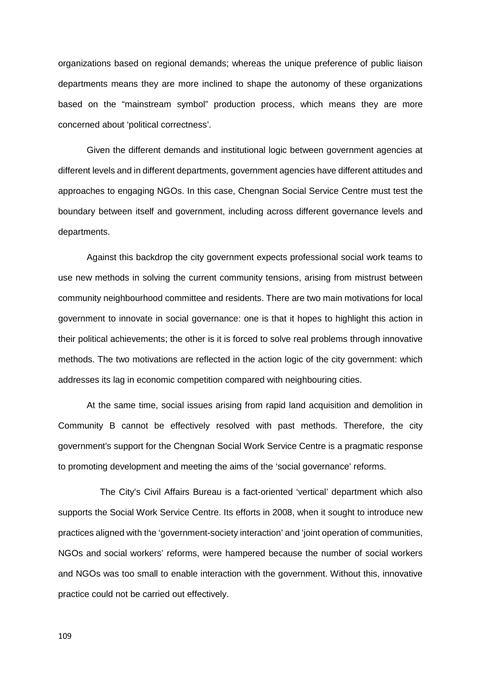organizations based on regional demands; whereas the unique preference of public liaison departments means they are more inclined to shape the autonomy of these organizations based on the "mainstream symbol" production process, which means they are more concerned about 'political correctness'.

Given the different demands and institutional logic between government agencies at different levels and in different departments, government agencies have different attitudes and approaches to engaging NGOs. In this case, Chengnan Social Service Centre must test the boundary between itself and government, including across different governance levels and departments.

Against this backdrop the city government expects professional social work teams to use new methods in solving the current community tensions, arising from mistrust between community neighbourhood committee and residents. There are two main motivations for local government to innovate in social governance: one is that it hopes to highlight this action in their political achievements; the other is it is forced to solve real problems through innovative methods. The two motivations are reflected in the action logic of the city government: which addresses its lag in economic competition compared with neighbouring cities.

At the same time, social issues arising from rapid land acquisition and demolition in Community B cannot be effectively resolved with past methods. Therefore, the city government's support for the Chengnan Social Work Service Centre is a pragmatic response to promoting development and meeting the aims of the 'social governance' reforms.

The City's Civil Affairs Bureau is a fact-oriented 'vertical' department which also supports the Social Work Service Centre. Its efforts in 2008, when it sought to introduce new practices aligned with the 'government-society interaction' and 'joint operation of communities, NGOs and social workers' reforms, were hampered because the number of social workers and NGOs was too small to enable interaction with the government. Without this, innovative practice could not be carried out effectively.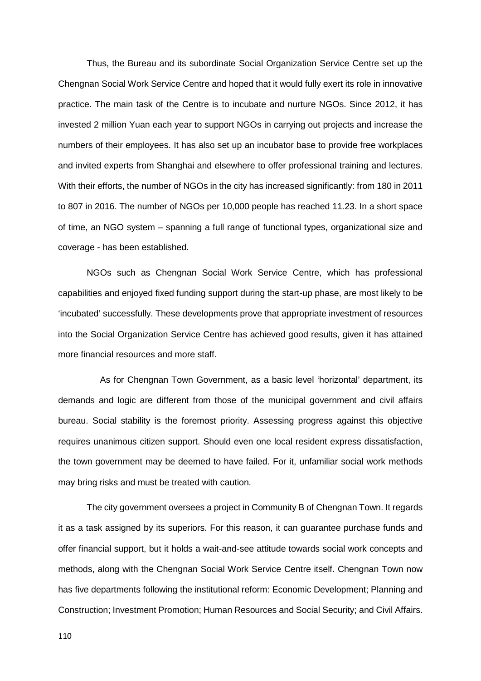Thus, the Bureau and its subordinate Social Organization Service Centre set up the Chengnan Social Work Service Centre and hoped that it would fully exert its role in innovative practice. The main task of the Centre is to incubate and nurture NGOs. Since 2012, it has invested 2 million Yuan each year to support NGOs in carrying out projects and increase the numbers of their employees. It has also set up an incubator base to provide free workplaces and invited experts from Shanghai and elsewhere to offer professional training and lectures. With their efforts, the number of NGOs in the city has increased significantly: from 180 in 2011 to 807 in 2016. The number of NGOs per 10,000 people has reached 11.23. In a short space of time, an NGO system – spanning a full range of functional types, organizational size and coverage - has been established.

NGOs such as Chengnan Social Work Service Centre, which has professional capabilities and enjoyed fixed funding support during the start-up phase, are most likely to be 'incubated' successfully. These developments prove that appropriate investment of resources into the Social Organization Service Centre has achieved good results, given it has attained more financial resources and more staff.

As for Chengnan Town Government, as a basic level 'horizontal' department, its demands and logic are different from those of the municipal government and civil affairs bureau. Social stability is the foremost priority. Assessing progress against this objective requires unanimous citizen support. Should even one local resident express dissatisfaction, the town government may be deemed to have failed. For it, unfamiliar social work methods may bring risks and must be treated with caution.

The city government oversees a project in Community B of Chengnan Town. It regards it as a task assigned by its superiors. For this reason, it can guarantee purchase funds and offer financial support, but it holds a wait-and-see attitude towards social work concepts and methods, along with the Chengnan Social Work Service Centre itself. Chengnan Town now has five departments following the institutional reform: Economic Development; Planning and Construction; Investment Promotion; Human Resources and Social Security; and Civil Affairs.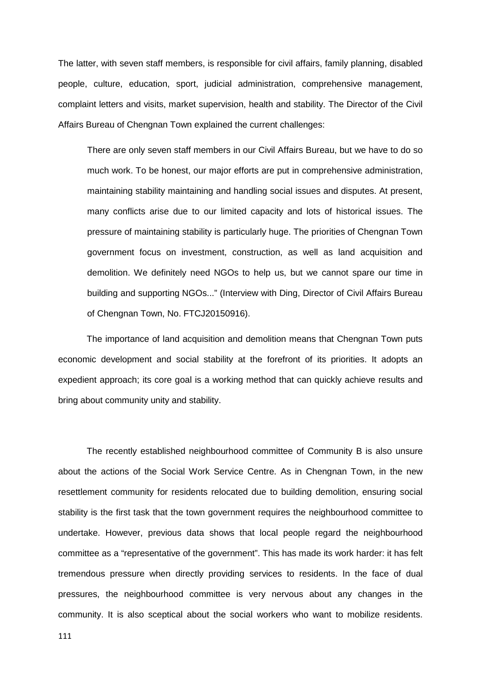The latter, with seven staff members, is responsible for civil affairs, family planning, disabled people, culture, education, sport, judicial administration, comprehensive management, complaint letters and visits, market supervision, health and stability. The Director of the Civil Affairs Bureau of Chengnan Town explained the current challenges:

There are only seven staff members in our Civil Affairs Bureau, but we have to do so much work. To be honest, our major efforts are put in comprehensive administration, maintaining stability maintaining and handling social issues and disputes. At present, many conflicts arise due to our limited capacity and lots of historical issues. The pressure of maintaining stability is particularly huge. The priorities of Chengnan Town government focus on investment, construction, as well as land acquisition and demolition. We definitely need NGOs to help us, but we cannot spare our time in building and supporting NGOs..." (Interview with Ding, Director of Civil Affairs Bureau of Chengnan Town, No. FTCJ20150916).

The importance of land acquisition and demolition means that Chengnan Town puts economic development and social stability at the forefront of its priorities. It adopts an expedient approach; its core goal is a working method that can quickly achieve results and bring about community unity and stability.

The recently established neighbourhood committee of Community B is also unsure about the actions of the Social Work Service Centre. As in Chengnan Town, in the new resettlement community for residents relocated due to building demolition, ensuring social stability is the first task that the town government requires the neighbourhood committee to undertake. However, previous data shows that local people regard the neighbourhood committee as a "representative of the government". This has made its work harder: it has felt tremendous pressure when directly providing services to residents. In the face of dual pressures, the neighbourhood committee is very nervous about any changes in the community. It is also sceptical about the social workers who want to mobilize residents.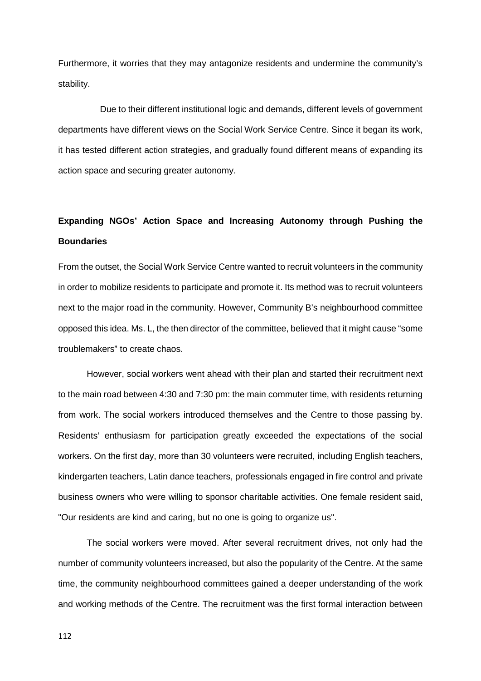Furthermore, it worries that they may antagonize residents and undermine the community's stability.

Due to their different institutional logic and demands, different levels of government departments have different views on the Social Work Service Centre. Since it began its work, it has tested different action strategies, and gradually found different means of expanding its action space and securing greater autonomy.

## **Expanding NGOs' Action Space and Increasing Autonomy through Pushing the Boundaries**

From the outset, the Social Work Service Centre wanted to recruit volunteers in the community in order to mobilize residents to participate and promote it. Its method was to recruit volunteers next to the major road in the community. However, Community B's neighbourhood committee opposed this idea. Ms. L, the then director of the committee, believed that it might cause "some troublemakers" to create chaos.

However, social workers went ahead with their plan and started their recruitment next to the main road between 4:30 and 7:30 pm: the main commuter time, with residents returning from work. The social workers introduced themselves and the Centre to those passing by. Residents' enthusiasm for participation greatly exceeded the expectations of the social workers. On the first day, more than 30 volunteers were recruited, including English teachers, kindergarten teachers, Latin dance teachers, professionals engaged in fire control and private business owners who were willing to sponsor charitable activities. One female resident said, "Our residents are kind and caring, but no one is going to organize us".

The social workers were moved. After several recruitment drives, not only had the number of community volunteers increased, but also the popularity of the Centre. At the same time, the community neighbourhood committees gained a deeper understanding of the work and working methods of the Centre. The recruitment was the first formal interaction between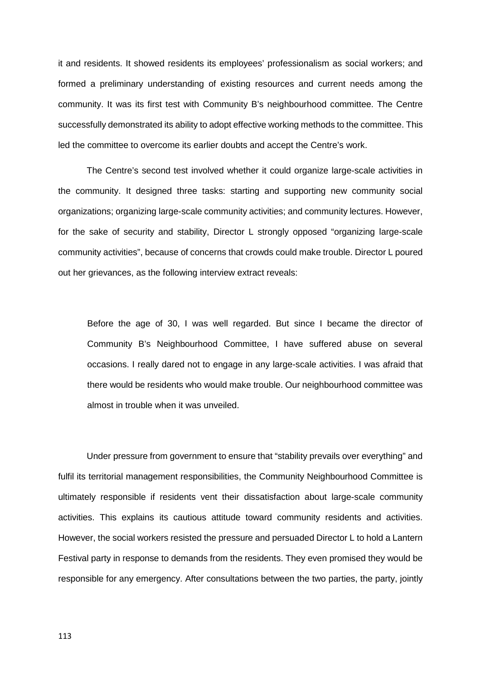it and residents. It showed residents its employees' professionalism as social workers; and formed a preliminary understanding of existing resources and current needs among the community. It was its first test with Community B's neighbourhood committee. The Centre successfully demonstrated its ability to adopt effective working methods to the committee. This led the committee to overcome its earlier doubts and accept the Centre's work.

The Centre's second test involved whether it could organize large-scale activities in the community. It designed three tasks: starting and supporting new community social organizations; organizing large-scale community activities; and community lectures. However, for the sake of security and stability, Director L strongly opposed "organizing large-scale community activities", because of concerns that crowds could make trouble. Director L poured out her grievances, as the following interview extract reveals:

Before the age of 30, I was well regarded. But since I became the director of Community B's Neighbourhood Committee, I have suffered abuse on several occasions. I really dared not to engage in any large-scale activities. I was afraid that there would be residents who would make trouble. Our neighbourhood committee was almost in trouble when it was unveiled.

Under pressure from government to ensure that "stability prevails over everything" and fulfil its territorial management responsibilities, the Community Neighbourhood Committee is ultimately responsible if residents vent their dissatisfaction about large-scale community activities. This explains its cautious attitude toward community residents and activities. However, the social workers resisted the pressure and persuaded Director L to hold a Lantern Festival party in response to demands from the residents. They even promised they would be responsible for any emergency. After consultations between the two parties, the party, jointly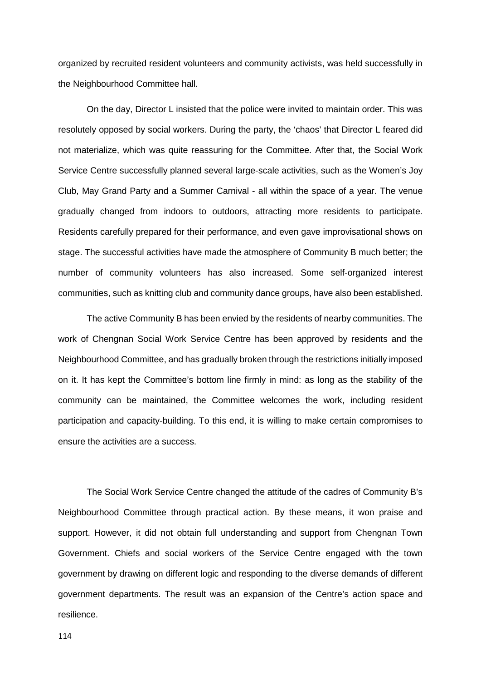organized by recruited resident volunteers and community activists, was held successfully in the Neighbourhood Committee hall.

On the day, Director L insisted that the police were invited to maintain order. This was resolutely opposed by social workers. During the party, the 'chaos' that Director L feared did not materialize, which was quite reassuring for the Committee. After that, the Social Work Service Centre successfully planned several large-scale activities, such as the Women's Joy Club, May Grand Party and a Summer Carnival - all within the space of a year. The venue gradually changed from indoors to outdoors, attracting more residents to participate. Residents carefully prepared for their performance, and even gave improvisational shows on stage. The successful activities have made the atmosphere of Community B much better; the number of community volunteers has also increased. Some self-organized interest communities, such as knitting club and community dance groups, have also been established.

The active Community B has been envied by the residents of nearby communities. The work of Chengnan Social Work Service Centre has been approved by residents and the Neighbourhood Committee, and has gradually broken through the restrictions initially imposed on it. It has kept the Committee's bottom line firmly in mind: as long as the stability of the community can be maintained, the Committee welcomes the work, including resident participation and capacity-building. To this end, it is willing to make certain compromises to ensure the activities are a success.

The Social Work Service Centre changed the attitude of the cadres of Community B's Neighbourhood Committee through practical action. By these means, it won praise and support. However, it did not obtain full understanding and support from Chengnan Town Government. Chiefs and social workers of the Service Centre engaged with the town government by drawing on different logic and responding to the diverse demands of different government departments. The result was an expansion of the Centre's action space and resilience.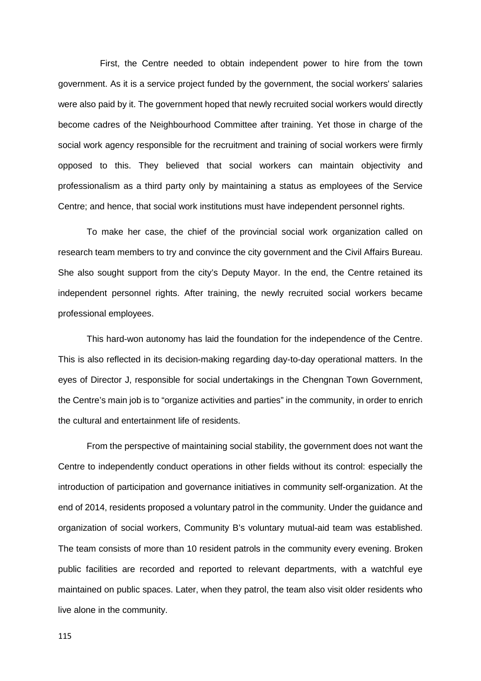First, the Centre needed to obtain independent power to hire from the town government. As it is a service project funded by the government, the social workers' salaries were also paid by it. The government hoped that newly recruited social workers would directly become cadres of the Neighbourhood Committee after training. Yet those in charge of the social work agency responsible for the recruitment and training of social workers were firmly opposed to this. They believed that social workers can maintain objectivity and professionalism as a third party only by maintaining a status as employees of the Service Centre; and hence, that social work institutions must have independent personnel rights.

To make her case, the chief of the provincial social work organization called on research team members to try and convince the city government and the Civil Affairs Bureau. She also sought support from the city's Deputy Mayor. In the end, the Centre retained its independent personnel rights. After training, the newly recruited social workers became professional employees.

This hard-won autonomy has laid the foundation for the independence of the Centre. This is also reflected in its decision-making regarding day-to-day operational matters. In the eyes of Director J, responsible for social undertakings in the Chengnan Town Government, the Centre's main job is to "organize activities and parties" in the community, in order to enrich the cultural and entertainment life of residents.

From the perspective of maintaining social stability, the government does not want the Centre to independently conduct operations in other fields without its control: especially the introduction of participation and governance initiatives in community self-organization. At the end of 2014, residents proposed a voluntary patrol in the community. Under the guidance and organization of social workers, Community B's voluntary mutual-aid team was established. The team consists of more than 10 resident patrols in the community every evening. Broken public facilities are recorded and reported to relevant departments, with a watchful eye maintained on public spaces. Later, when they patrol, the team also visit older residents who live alone in the community.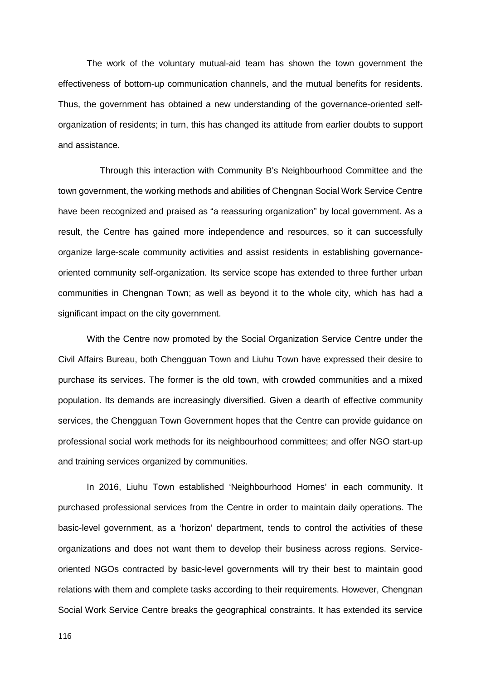The work of the voluntary mutual-aid team has shown the town government the effectiveness of bottom-up communication channels, and the mutual benefits for residents. Thus, the government has obtained a new understanding of the governance-oriented selforganization of residents; in turn, this has changed its attitude from earlier doubts to support and assistance.

Through this interaction with Community B's Neighbourhood Committee and the town government, the working methods and abilities of Chengnan Social Work Service Centre have been recognized and praised as "a reassuring organization" by local government. As a result, the Centre has gained more independence and resources, so it can successfully organize large-scale community activities and assist residents in establishing governanceoriented community self-organization. Its service scope has extended to three further urban communities in Chengnan Town; as well as beyond it to the whole city, which has had a significant impact on the city government.

With the Centre now promoted by the Social Organization Service Centre under the Civil Affairs Bureau, both Chengguan Town and Liuhu Town have expressed their desire to purchase its services. The former is the old town, with crowded communities and a mixed population. Its demands are increasingly diversified. Given a dearth of effective community services, the Chengguan Town Government hopes that the Centre can provide guidance on professional social work methods for its neighbourhood committees; and offer NGO start-up and training services organized by communities.

In 2016, Liuhu Town established 'Neighbourhood Homes' in each community. It purchased professional services from the Centre in order to maintain daily operations. The basic-level government, as a 'horizon' department, tends to control the activities of these organizations and does not want them to develop their business across regions. Serviceoriented NGOs contracted by basic-level governments will try their best to maintain good relations with them and complete tasks according to their requirements. However, Chengnan Social Work Service Centre breaks the geographical constraints. It has extended its service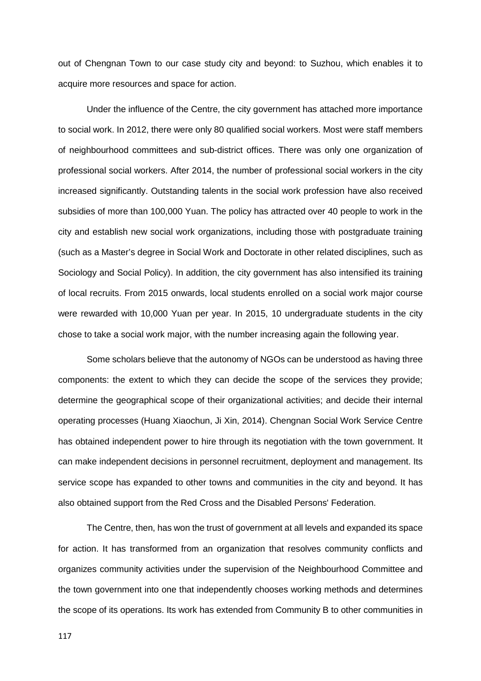out of Chengnan Town to our case study city and beyond: to Suzhou, which enables it to acquire more resources and space for action.

Under the influence of the Centre, the city government has attached more importance to social work. In 2012, there were only 80 qualified social workers. Most were staff members of neighbourhood committees and sub-district offices. There was only one organization of professional social workers. After 2014, the number of professional social workers in the city increased significantly. Outstanding talents in the social work profession have also received subsidies of more than 100,000 Yuan. The policy has attracted over 40 people to work in the city and establish new social work organizations, including those with postgraduate training (such as a Master's degree in Social Work and Doctorate in other related disciplines, such as Sociology and Social Policy). In addition, the city government has also intensified its training of local recruits. From 2015 onwards, local students enrolled on a social work major course were rewarded with 10,000 Yuan per year. In 2015, 10 undergraduate students in the city chose to take a social work major, with the number increasing again the following year.

Some scholars believe that the autonomy of NGOs can be understood as having three components: the extent to which they can decide the scope of the services they provide; determine the geographical scope of their organizational activities; and decide their internal operating processes (Huang Xiaochun, Ji Xin, 2014). Chengnan Social Work Service Centre has obtained independent power to hire through its negotiation with the town government. It can make independent decisions in personnel recruitment, deployment and management. Its service scope has expanded to other towns and communities in the city and beyond. It has also obtained support from the Red Cross and the Disabled Persons' Federation.

The Centre, then, has won the trust of government at all levels and expanded its space for action. It has transformed from an organization that resolves community conflicts and organizes community activities under the supervision of the Neighbourhood Committee and the town government into one that independently chooses working methods and determines the scope of its operations. Its work has extended from Community B to other communities in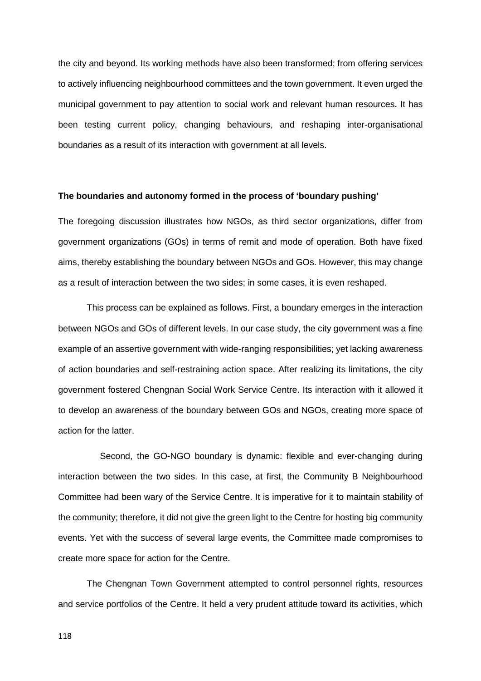the city and beyond. Its working methods have also been transformed; from offering services to actively influencing neighbourhood committees and the town government. It even urged the municipal government to pay attention to social work and relevant human resources. It has been testing current policy, changing behaviours, and reshaping inter-organisational boundaries as a result of its interaction with government at all levels.

## **The boundaries and autonomy formed in the process of 'boundary pushing'**

The foregoing discussion illustrates how NGOs, as third sector organizations, differ from government organizations (GOs) in terms of remit and mode of operation. Both have fixed aims, thereby establishing the boundary between NGOs and GOs. However, this may change as a result of interaction between the two sides; in some cases, it is even reshaped.

This process can be explained as follows. First, a boundary emerges in the interaction between NGOs and GOs of different levels. In our case study, the city government was a fine example of an assertive government with wide-ranging responsibilities; yet lacking awareness of action boundaries and self-restraining action space. After realizing its limitations, the city government fostered Chengnan Social Work Service Centre. Its interaction with it allowed it to develop an awareness of the boundary between GOs and NGOs, creating more space of action for the latter.

Second, the GO-NGO boundary is dynamic: flexible and ever-changing during interaction between the two sides. In this case, at first, the Community B Neighbourhood Committee had been wary of the Service Centre. It is imperative for it to maintain stability of the community; therefore, it did not give the green light to the Centre for hosting big community events. Yet with the success of several large events, the Committee made compromises to create more space for action for the Centre.

The Chengnan Town Government attempted to control personnel rights, resources and service portfolios of the Centre. It held a very prudent attitude toward its activities, which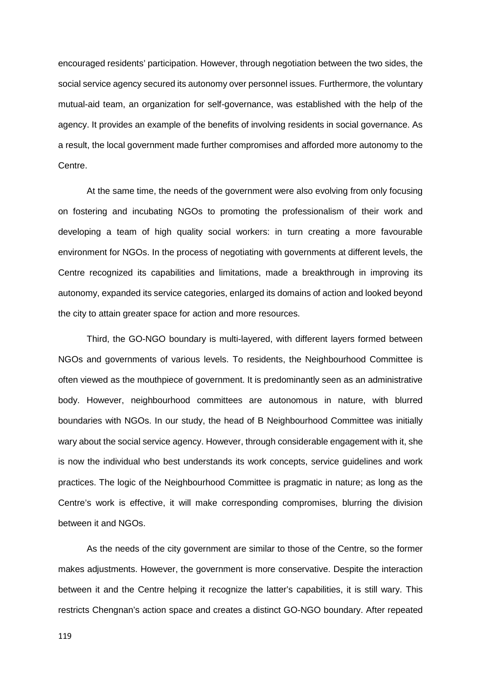encouraged residents' participation. However, through negotiation between the two sides, the social service agency secured its autonomy over personnel issues. Furthermore, the voluntary mutual-aid team, an organization for self-governance, was established with the help of the agency. It provides an example of the benefits of involving residents in social governance. As a result, the local government made further compromises and afforded more autonomy to the Centre.

At the same time, the needs of the government were also evolving from only focusing on fostering and incubating NGOs to promoting the professionalism of their work and developing a team of high quality social workers: in turn creating a more favourable environment for NGOs. In the process of negotiating with governments at different levels, the Centre recognized its capabilities and limitations, made a breakthrough in improving its autonomy, expanded its service categories, enlarged its domains of action and looked beyond the city to attain greater space for action and more resources.

Third, the GO-NGO boundary is multi-layered, with different layers formed between NGOs and governments of various levels. To residents, the Neighbourhood Committee is often viewed as the mouthpiece of government. It is predominantly seen as an administrative body. However, neighbourhood committees are autonomous in nature, with blurred boundaries with NGOs. In our study, the head of B Neighbourhood Committee was initially wary about the social service agency. However, through considerable engagement with it, she is now the individual who best understands its work concepts, service guidelines and work practices. The logic of the Neighbourhood Committee is pragmatic in nature; as long as the Centre's work is effective, it will make corresponding compromises, blurring the division between it and NGOs.

As the needs of the city government are similar to those of the Centre, so the former makes adjustments. However, the government is more conservative. Despite the interaction between it and the Centre helping it recognize the latter's capabilities, it is still wary. This restricts Chengnan's action space and creates a distinct GO-NGO boundary. After repeated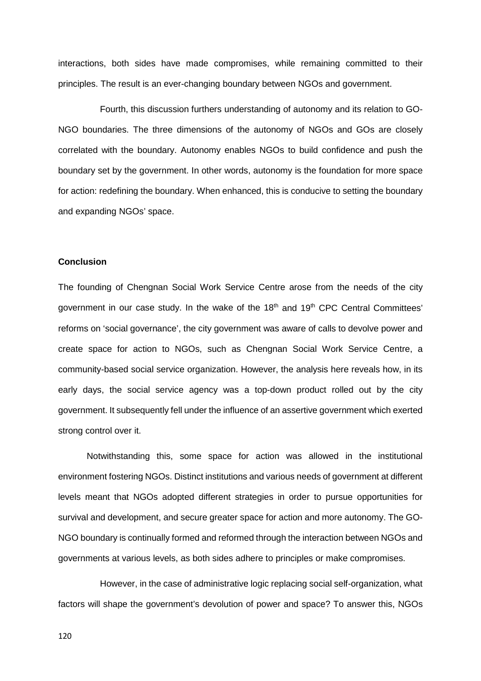interactions, both sides have made compromises, while remaining committed to their principles. The result is an ever-changing boundary between NGOs and government.

Fourth, this discussion furthers understanding of autonomy and its relation to GO-NGO boundaries. The three dimensions of the autonomy of NGOs and GOs are closely correlated with the boundary. Autonomy enables NGOs to build confidence and push the boundary set by the government. In other words, autonomy is the foundation for more space for action: redefining the boundary. When enhanced, this is conducive to setting the boundary and expanding NGOs' space.

## **Conclusion**

The founding of Chengnan Social Work Service Centre arose from the needs of the city government in our case study. In the wake of the 18<sup>th</sup> and 19<sup>th</sup> CPC Central Committees' reforms on 'social governance', the city government was aware of calls to devolve power and create space for action to NGOs, such as Chengnan Social Work Service Centre, a community-based social service organization. However, the analysis here reveals how, in its early days, the social service agency was a top-down product rolled out by the city government. It subsequently fell under the influence of an assertive government which exerted strong control over it.

Notwithstanding this, some space for action was allowed in the institutional environment fostering NGOs. Distinct institutions and various needs of government at different levels meant that NGOs adopted different strategies in order to pursue opportunities for survival and development, and secure greater space for action and more autonomy. The GO-NGO boundary is continually formed and reformed through the interaction between NGOs and governments at various levels, as both sides adhere to principles or make compromises.

However, in the case of administrative logic replacing social self-organization, what factors will shape the government's devolution of power and space? To answer this, NGOs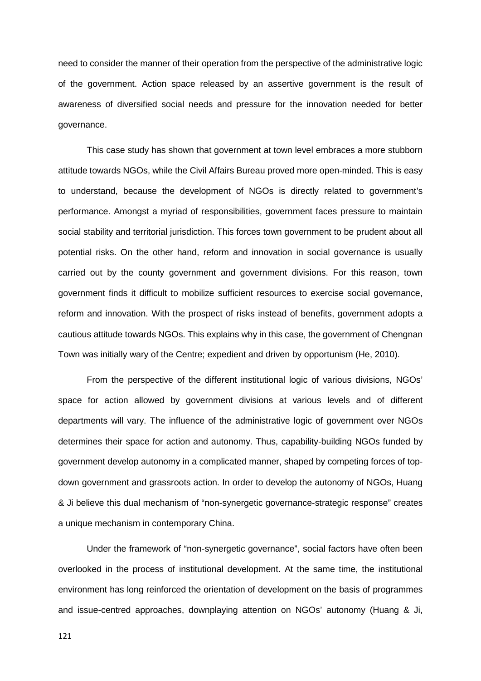need to consider the manner of their operation from the perspective of the administrative logic of the government. Action space released by an assertive government is the result of awareness of diversified social needs and pressure for the innovation needed for better governance.

This case study has shown that government at town level embraces a more stubborn attitude towards NGOs, while the Civil Affairs Bureau proved more open-minded. This is easy to understand, because the development of NGOs is directly related to government's performance. Amongst a myriad of responsibilities, government faces pressure to maintain social stability and territorial jurisdiction. This forces town government to be prudent about all potential risks. On the other hand, reform and innovation in social governance is usually carried out by the county government and government divisions. For this reason, town government finds it difficult to mobilize sufficient resources to exercise social governance, reform and innovation. With the prospect of risks instead of benefits, government adopts a cautious attitude towards NGOs. This explains why in this case, the government of Chengnan Town was initially wary of the Centre; expedient and driven by opportunism (He, 2010).

From the perspective of the different institutional logic of various divisions, NGOs' space for action allowed by government divisions at various levels and of different departments will vary. The influence of the administrative logic of government over NGOs determines their space for action and autonomy. Thus, capability-building NGOs funded by government develop autonomy in a complicated manner, shaped by competing forces of topdown government and grassroots action. In order to develop the autonomy of NGOs, Huang & Ji believe this dual mechanism of "non-synergetic governance-strategic response" creates a unique mechanism in contemporary China.

Under the framework of "non-synergetic governance", social factors have often been overlooked in the process of institutional development. At the same time, the institutional environment has long reinforced the orientation of development on the basis of programmes and issue-centred approaches, downplaying attention on NGOs' autonomy (Huang & Ji,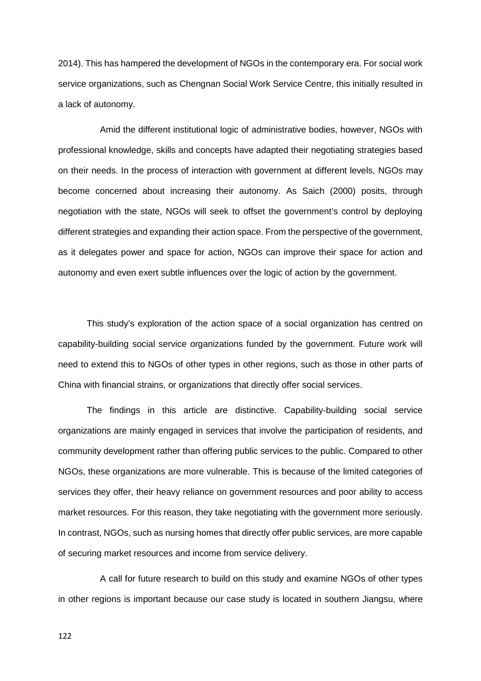2014). This has hampered the development of NGOs in the contemporary era. For social work service organizations, such as Chengnan Social Work Service Centre, this initially resulted in a lack of autonomy.

Amid the different institutional logic of administrative bodies, however, NGOs with professional knowledge, skills and concepts have adapted their negotiating strategies based on their needs. In the process of interaction with government at different levels, NGOs may become concerned about increasing their autonomy. As Saich (2000) posits, through negotiation with the state, NGOs will seek to offset the government's control by deploying different strategies and expanding their action space. From the perspective of the government, as it delegates power and space for action, NGOs can improve their space for action and autonomy and even exert subtle influences over the logic of action by the government.

This study's exploration of the action space of a social organization has centred on capability-building social service organizations funded by the government. Future work will need to extend this to NGOs of other types in other regions, such as those in other parts of China with financial strains, or organizations that directly offer social services.

The findings in this article are distinctive. Capability-building social service organizations are mainly engaged in services that involve the participation of residents, and community development rather than offering public services to the public. Compared to other NGOs, these organizations are more vulnerable. This is because of the limited categories of services they offer, their heavy reliance on government resources and poor ability to access market resources. For this reason, they take negotiating with the government more seriously. In contrast, NGOs, such as nursing homes that directly offer public services, are more capable of securing market resources and income from service delivery.

A call for future research to build on this study and examine NGOs of other types in other regions is important because our case study is located in southern Jiangsu, where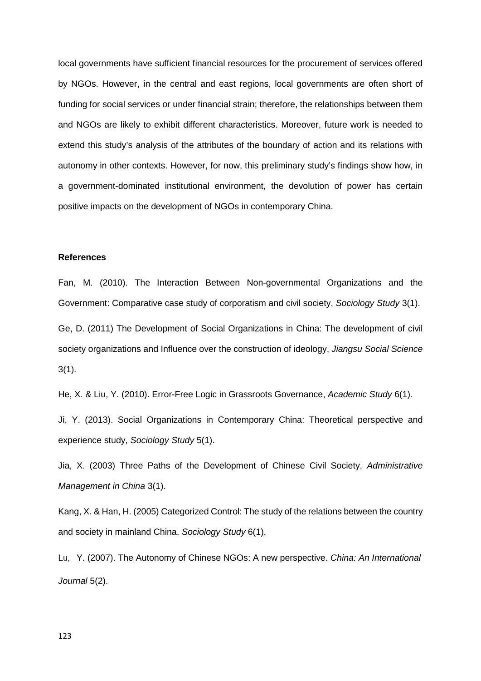local governments have sufficient financial resources for the procurement of services offered by NGOs. However, in the central and east regions, local governments are often short of funding for social services or under financial strain; therefore, the relationships between them and NGOs are likely to exhibit different characteristics. Moreover, future work is needed to extend this study's analysis of the attributes of the boundary of action and its relations with autonomy in other contexts. However, for now, this preliminary study's findings show how, in a government-dominated institutional environment, the devolution of power has certain positive impacts on the development of NGOs in contemporary China.

## **References**

Fan, M. (2010). The Interaction Between Non-governmental Organizations and the Government: Comparative case study of corporatism and civil society, *Sociology Study* 3(1).

Ge, D. (2011) The Development of Social Organizations in China: The development of civil society organizations and Influence over the construction of ideology, *Jiangsu Social Science* 3(1).

He, X. & Liu, Y. (2010). Error-Free Logic in Grassroots Governance, *Academic Study* 6(1).

Ji, Y. (2013). Social Organizations in Contemporary China: Theoretical perspective and experience study, *Sociology Study* 5(1).

Jia, X. (2003) Three Paths of the Development of Chinese Civil Society, *Administrative Management in China* 3(1).

Kang, X. & Han, H. (2005) Categorized Control: The study of the relations between the country and society in mainland China, *Sociology Study* 6(1).

Lu, Y. (2007). The Autonomy of Chinese NGOs: A new perspective. *China: An International Journal* 5(2).